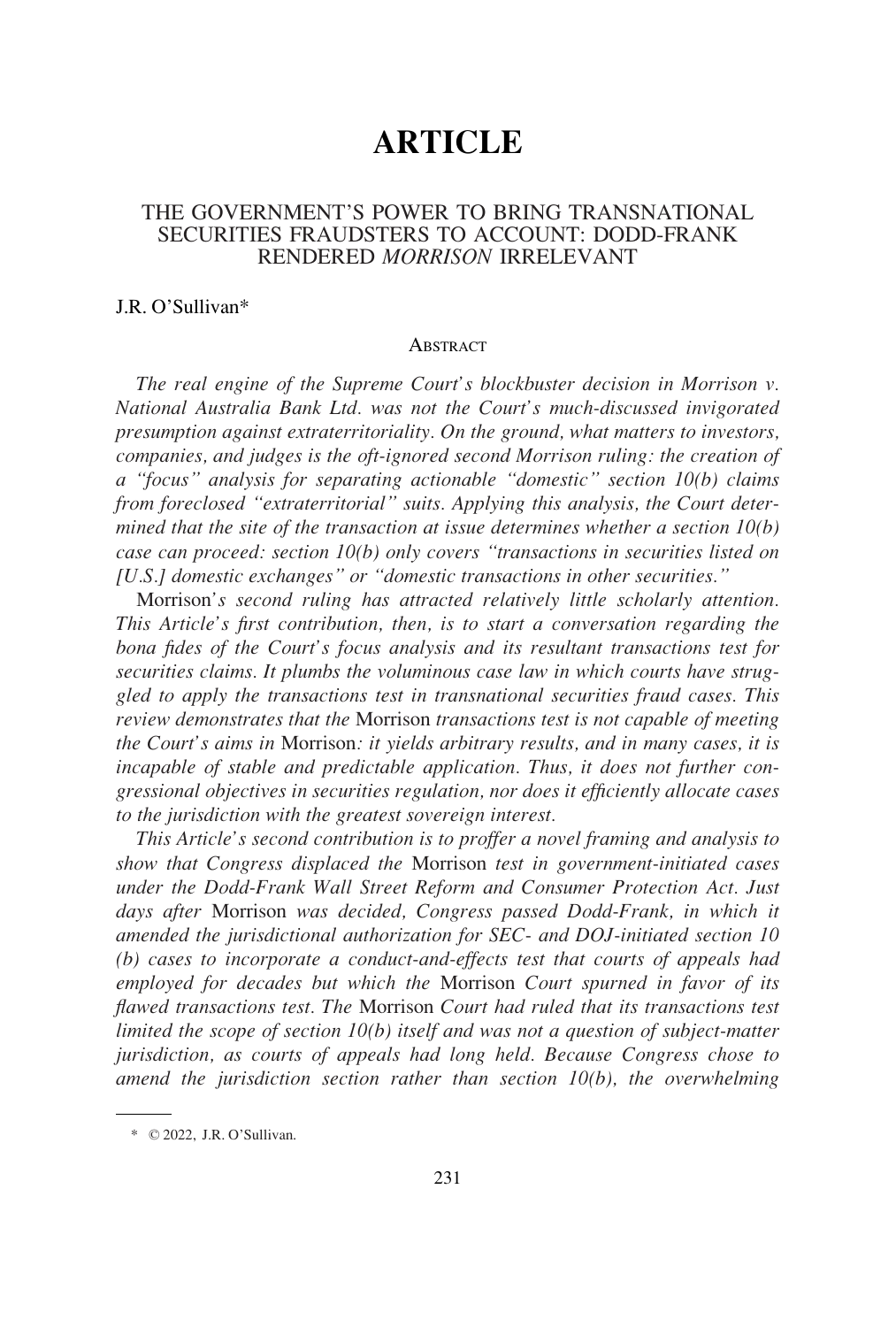# **ARTICLE**

## THE GOVERNMENT'S POWER TO BRING TRANSNATIONAL SECURITIES FRAUDSTERS TO ACCOUNT: DODD-FRANK RENDERED *MORRISON* IRRELEVANT

#### J.R. O'Sullivan\*

#### **ABSTRACT**

*The real engine of the Supreme Court's blockbuster decision in Morrison v. National Australia Bank Ltd. was not the Court's much-discussed invigorated presumption against extraterritoriality. On the ground, what matters to investors, companies, and judges is the oft-ignored second Morrison ruling: the creation of a "focus" analysis for separating actionable "domestic" section 10(b) claims from foreclosed "extraterritorial" suits. Applying this analysis, the Court determined that the site of the transaction at issue determines whether a section 10(b) case can proceed: section 10(b) only covers "transactions in securities listed on [U.S.] domestic exchanges" or "domestic transactions in other securities."* 

Morrison*'s second ruling has attracted relatively little scholarly attention. This Article's first contribution, then, is to start a conversation regarding the bona fides of the Court's focus analysis and its resultant transactions test for securities claims. It plumbs the voluminous case law in which courts have struggled to apply the transactions test in transnational securities fraud cases. This review demonstrates that the* Morrison *transactions test is not capable of meeting the Court's aims in* Morrison*: it yields arbitrary results, and in many cases, it is incapable of stable and predictable application. Thus, it does not further congressional objectives in securities regulation, nor does it efficiently allocate cases to the jurisdiction with the greatest sovereign interest.* 

*This Article's second contribution is to proffer a novel framing and analysis to show that Congress displaced the* Morrison *test in government-initiated cases under the Dodd-Frank Wall Street Reform and Consumer Protection Act. Just days after* Morrison *was decided, Congress passed Dodd-Frank, in which it amended the jurisdictional authorization for SEC- and DOJ-initiated section 10 (b) cases to incorporate a conduct-and-effects test that courts of appeals had employed for decades but which the* Morrison *Court spurned in favor of its flawed transactions test. The* Morrison *Court had ruled that its transactions test limited the scope of section 10(b) itself and was not a question of subject-matter jurisdiction, as courts of appeals had long held. Because Congress chose to amend the jurisdiction section rather than section 10(b), the overwhelming* 

<sup>\*</sup> © 2022, J.R. O'Sullivan.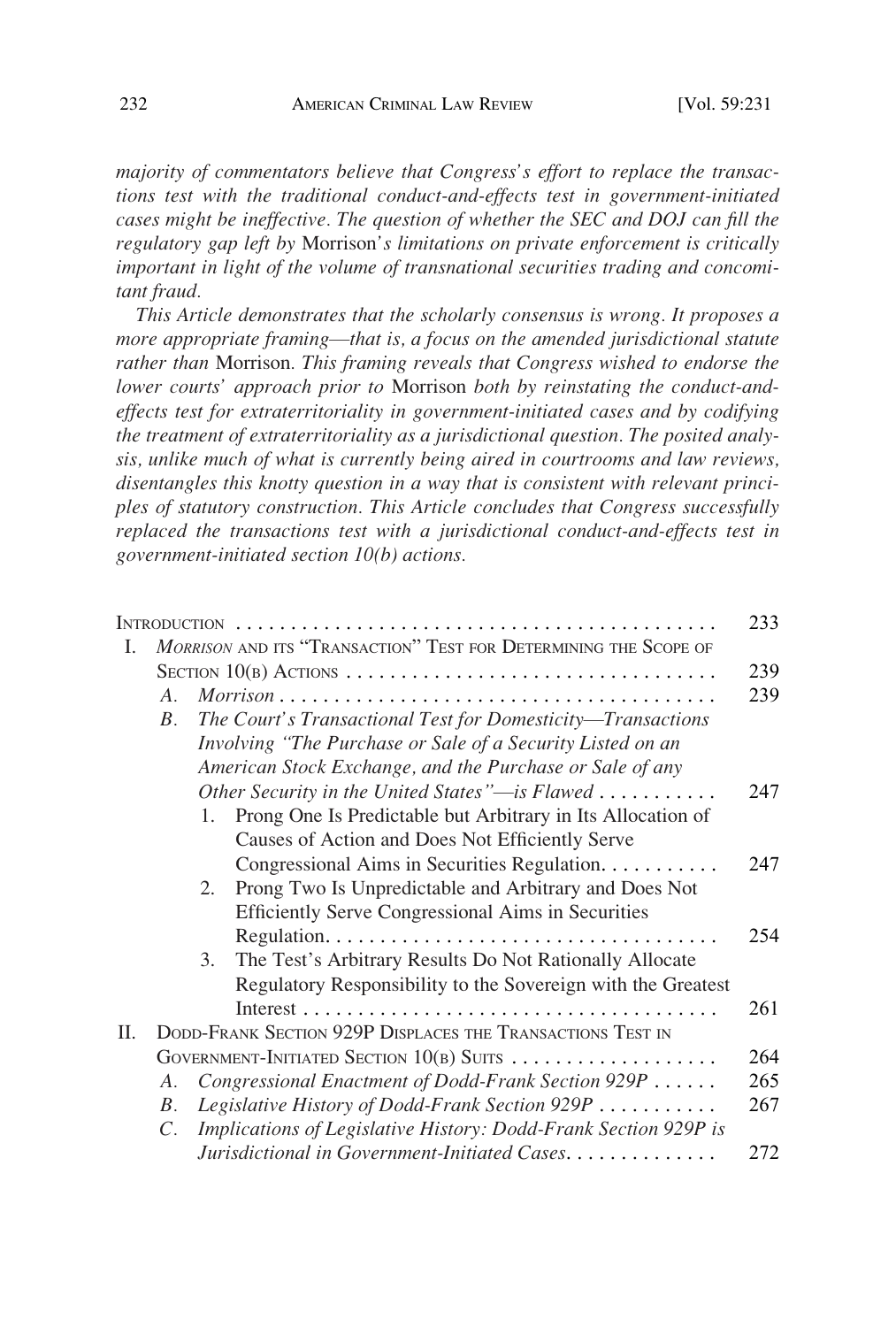*majority of commentators believe that Congress's effort to replace the transactions test with the traditional conduct-and-effects test in government-initiated cases might be ineffective. The question of whether the SEC and DOJ can fill the regulatory gap left by* Morrison*'s limitations on private enforcement is critically important in light of the volume of transnational securities trading and concomitant fraud.* 

*This Article demonstrates that the scholarly consensus is wrong. It proposes a more appropriate framing*—*that is, a focus on the amended jurisdictional statute rather than* Morrison*. This framing reveals that Congress wished to endorse the lower courts' approach prior to* Morrison *both by reinstating the conduct-andeffects test for extraterritoriality in government-initiated cases and by codifying the treatment of extraterritoriality as a jurisdictional question. The posited analysis, unlike much of what is currently being aired in courtrooms and law reviews, disentangles this knotty question in a way that is consistent with relevant principles of statutory construction. This Article concludes that Congress successfully replaced the transactions test with a jurisdictional conduct-and-effects test in government-initiated section 10(b) actions.* 

|    |                                                                  |                                                                   | 233 |  |  |  |
|----|------------------------------------------------------------------|-------------------------------------------------------------------|-----|--|--|--|
| L  | MORRISON AND ITS "TRANSACTION" TEST FOR DETERMINING THE SCOPE OF |                                                                   |     |  |  |  |
|    | SECTION $10(B)$ ACTIONS                                          |                                                                   |     |  |  |  |
|    | $A_{\cdot}$                                                      |                                                                   | 239 |  |  |  |
|    | $B_{\cdot}$                                                      | The Court's Transactional Test for Domesticity-Transactions       |     |  |  |  |
|    |                                                                  | Involving "The Purchase or Sale of a Security Listed on an        |     |  |  |  |
|    |                                                                  | American Stock Exchange, and the Purchase or Sale of any          |     |  |  |  |
|    |                                                                  | Other Security in the United States"—is Flawed                    | 247 |  |  |  |
|    |                                                                  | Prong One Is Predictable but Arbitrary in Its Allocation of<br>1. |     |  |  |  |
|    |                                                                  | Causes of Action and Does Not Efficiently Serve                   |     |  |  |  |
|    |                                                                  | Congressional Aims in Securities Regulation.                      | 247 |  |  |  |
|    |                                                                  | Prong Two Is Unpredictable and Arbitrary and Does Not<br>2.       |     |  |  |  |
|    |                                                                  | <b>Efficiently Serve Congressional Aims in Securities</b>         |     |  |  |  |
|    |                                                                  |                                                                   | 254 |  |  |  |
|    |                                                                  | The Test's Arbitrary Results Do Not Rationally Allocate<br>3.     |     |  |  |  |
|    |                                                                  | Regulatory Responsibility to the Sovereign with the Greatest      |     |  |  |  |
|    |                                                                  |                                                                   | 261 |  |  |  |
| П. | DODD-FRANK SECTION 929P DISPLACES THE TRANSACTIONS TEST IN       |                                                                   |     |  |  |  |
|    | GOVERNMENT-INITIATED SECTION $10(B)$ SUITS                       |                                                                   |     |  |  |  |
|    | A.                                                               | Congressional Enactment of Dodd-Frank Section 929P                | 265 |  |  |  |
|    | $B_{\cdot}$                                                      | Legislative History of Dodd-Frank Section 929P                    | 267 |  |  |  |
|    | C.                                                               | Implications of Legislative History: Dodd-Frank Section 929P is   |     |  |  |  |
|    |                                                                  | Jurisdictional in Government-Initiated Cases.                     | 272 |  |  |  |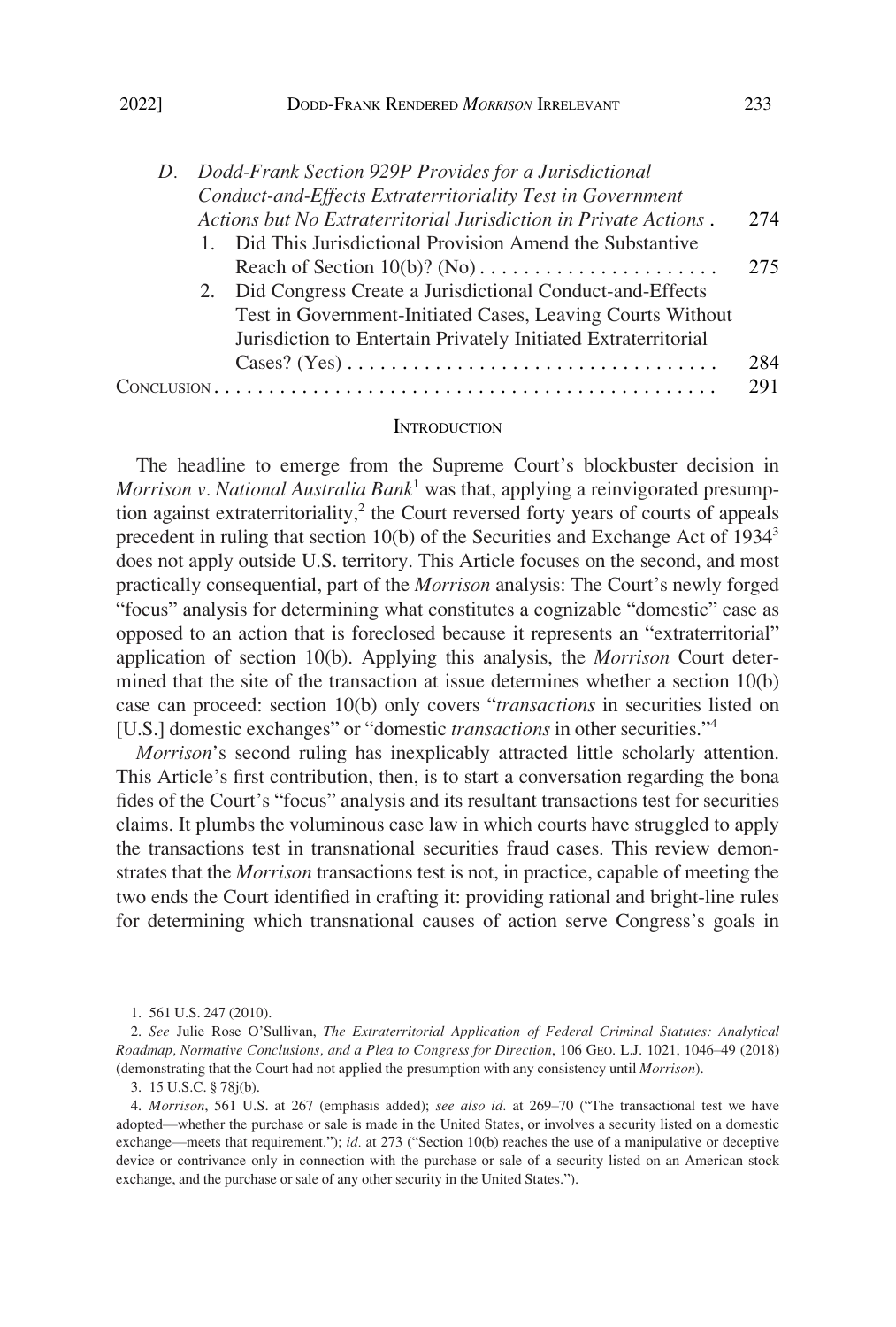<span id="page-2-0"></span>

|  | D. Dodd-Frank Section 929P Provides for a Jurisdictional |                                                                                               |     |  |  |  |
|--|----------------------------------------------------------|-----------------------------------------------------------------------------------------------|-----|--|--|--|
|  |                                                          | Conduct-and-Effects Extraterritoriality Test in Government                                    |     |  |  |  |
|  |                                                          | Actions but No Extraterritorial Jurisdiction in Private Actions.                              | 274 |  |  |  |
|  |                                                          | 1. Did This Jurisdictional Provision Amend the Substantive                                    |     |  |  |  |
|  |                                                          |                                                                                               | 275 |  |  |  |
|  |                                                          | 2. Did Congress Create a Jurisdictional Conduct-and-Effects                                   |     |  |  |  |
|  |                                                          | Test in Government-Initiated Cases, Leaving Courts Without                                    |     |  |  |  |
|  |                                                          | Jurisdiction to Entertain Privately Initiated Extraterritorial                                |     |  |  |  |
|  |                                                          | $\text{Cases? (Yes)} \dots \dots \dots \dots \dots \dots \dots \dots \dots \dots \dots \dots$ | 284 |  |  |  |
|  |                                                          |                                                                                               | 291 |  |  |  |

#### **INTRODUCTION**

The headline to emerge from the Supreme Court's blockbuster decision in *Morrison v. National Australia Bank*1 was that, applying a reinvigorated presumption against extraterritoriality, $2$  the Court reversed forty years of courts of appeals precedent in ruling that section 10(b) of the Securities and Exchange Act of 19343 does not apply outside U.S. territory. This Article focuses on the second, and most practically consequential, part of the *Morrison* analysis: The Court's newly forged "focus" analysis for determining what constitutes a cognizable "domestic" case as opposed to an action that is foreclosed because it represents an "extraterritorial" application of section 10(b). Applying this analysis, the *Morrison* Court determined that the site of the transaction at issue determines whether a section 10(b) case can proceed: section 10(b) only covers "*transactions* in securities listed on [U.S.] domestic exchanges" or "domestic *transactions* in other securities."<sup>4</sup>

*Morrison*'s second ruling has inexplicably attracted little scholarly attention. This Article's first contribution, then, is to start a conversation regarding the bona fides of the Court's "focus" analysis and its resultant transactions test for securities claims. It plumbs the voluminous case law in which courts have struggled to apply the transactions test in transnational securities fraud cases. This review demonstrates that the *Morrison* transactions test is not, in practice, capable of meeting the two ends the Court identified in crafting it: providing rational and bright-line rules for determining which transnational causes of action serve Congress's goals in

<sup>1. 561</sup> U.S. 247 (2010).

<sup>2.</sup> *See* Julie Rose O'Sullivan, *The Extraterritorial Application of Federal Criminal Statutes: Analytical Roadmap, Normative Conclusions, and a Plea to Congress for Direction*, 106 GEO. L.J. 1021, 1046–49 (2018) (demonstrating that the Court had not applied the presumption with any consistency until *Morrison*).

<sup>3. 15</sup> U.S.C. § 78j(b).

<sup>4.</sup> *Morrison*, 561 U.S. at 267 (emphasis added); *see also id.* at 269–70 ("The transactional test we have adopted—whether the purchase or sale is made in the United States, or involves a security listed on a domestic exchange—meets that requirement."); *id.* at 273 ("Section 10(b) reaches the use of a manipulative or deceptive device or contrivance only in connection with the purchase or sale of a security listed on an American stock exchange, and the purchase or sale of any other security in the United States.").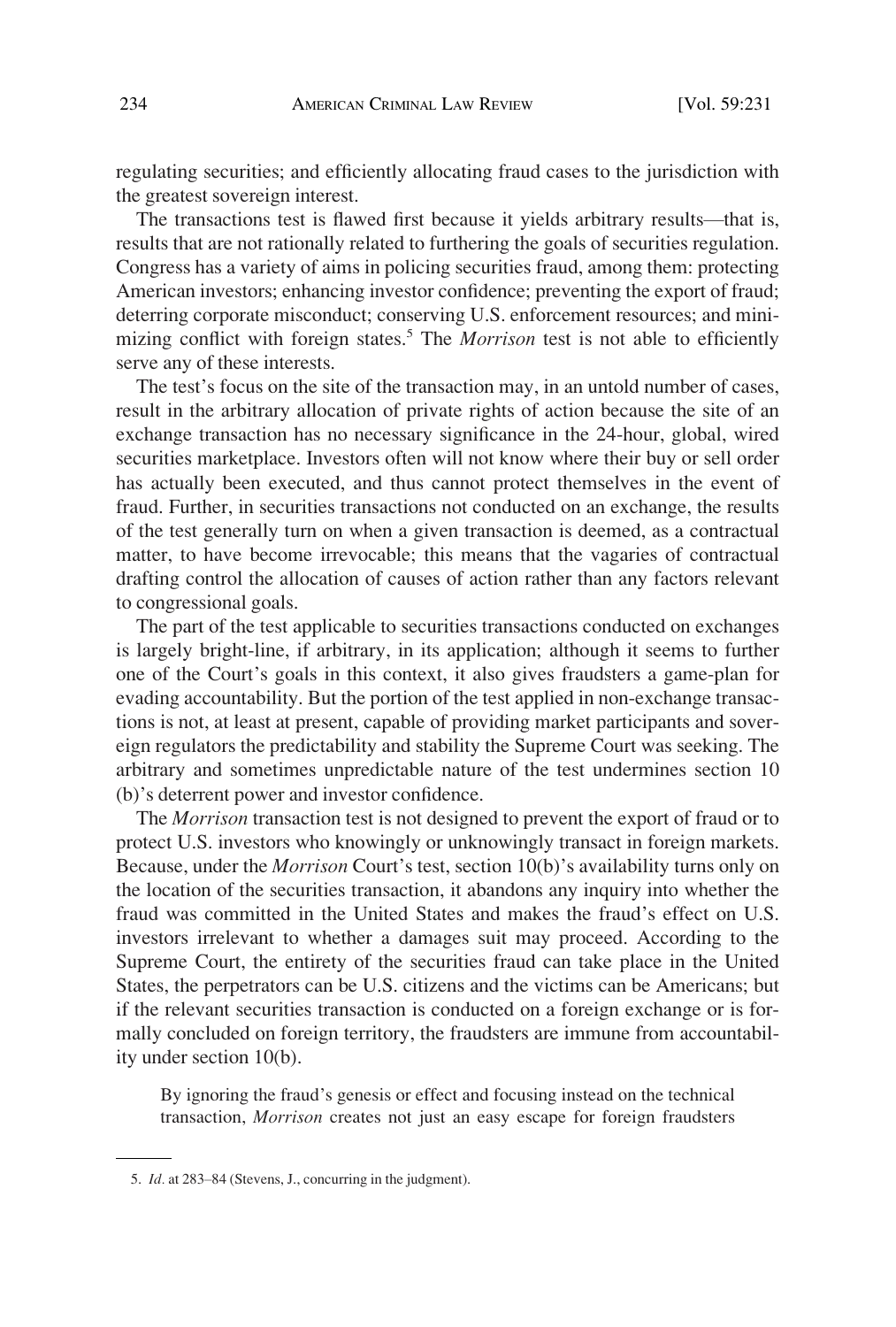regulating securities; and efficiently allocating fraud cases to the jurisdiction with the greatest sovereign interest.

The transactions test is flawed first because it yields arbitrary results—that is, results that are not rationally related to furthering the goals of securities regulation. Congress has a variety of aims in policing securities fraud, among them: protecting American investors; enhancing investor confidence; preventing the export of fraud; deterring corporate misconduct; conserving U.S. enforcement resources; and minimizing conflict with foreign states.5 The *Morrison* test is not able to efficiently serve any of these interests.

The test's focus on the site of the transaction may, in an untold number of cases, result in the arbitrary allocation of private rights of action because the site of an exchange transaction has no necessary significance in the 24-hour, global, wired securities marketplace. Investors often will not know where their buy or sell order has actually been executed, and thus cannot protect themselves in the event of fraud. Further, in securities transactions not conducted on an exchange, the results of the test generally turn on when a given transaction is deemed, as a contractual matter, to have become irrevocable; this means that the vagaries of contractual drafting control the allocation of causes of action rather than any factors relevant to congressional goals.

The part of the test applicable to securities transactions conducted on exchanges is largely bright-line, if arbitrary, in its application; although it seems to further one of the Court's goals in this context, it also gives fraudsters a game-plan for evading accountability. But the portion of the test applied in non-exchange transactions is not, at least at present, capable of providing market participants and sovereign regulators the predictability and stability the Supreme Court was seeking. The arbitrary and sometimes unpredictable nature of the test undermines section 10 (b)'s deterrent power and investor confidence.

The *Morrison* transaction test is not designed to prevent the export of fraud or to protect U.S. investors who knowingly or unknowingly transact in foreign markets. Because, under the *Morrison* Court's test, section 10(b)'s availability turns only on the location of the securities transaction, it abandons any inquiry into whether the fraud was committed in the United States and makes the fraud's effect on U.S. investors irrelevant to whether a damages suit may proceed. According to the Supreme Court, the entirety of the securities fraud can take place in the United States, the perpetrators can be U.S. citizens and the victims can be Americans; but if the relevant securities transaction is conducted on a foreign exchange or is formally concluded on foreign territory, the fraudsters are immune from accountability under section 10(b).

By ignoring the fraud's genesis or effect and focusing instead on the technical transaction, *Morrison* creates not just an easy escape for foreign fraudsters

<sup>5.</sup> *Id.* at 283–84 (Stevens, J., concurring in the judgment).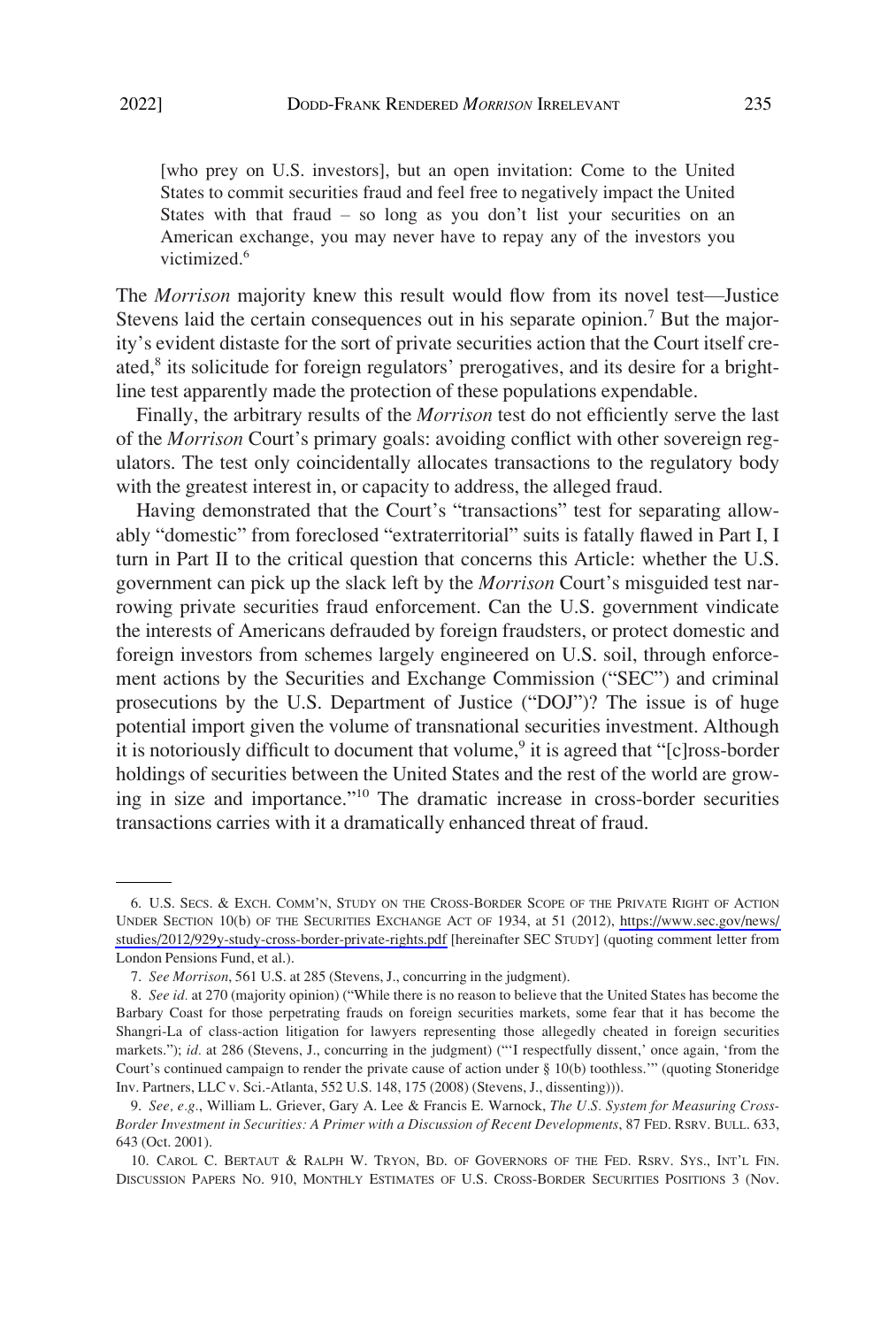[who prey on U.S. investors], but an open invitation: Come to the United States to commit securities fraud and feel free to negatively impact the United States with that fraud  $-$  so long as you don't list your securities on an American exchange, you may never have to repay any of the investors you victimized.<sup>6</sup>

The *Morrison* majority knew this result would flow from its novel test—Justice Stevens laid the certain consequences out in his separate opinion.<sup>7</sup> But the majority's evident distaste for the sort of private securities action that the Court itself created, $8$  its solicitude for foreign regulators' prerogatives, and its desire for a brightline test apparently made the protection of these populations expendable.

Finally, the arbitrary results of the *Morrison* test do not efficiently serve the last of the *Morrison* Court's primary goals: avoiding conflict with other sovereign regulators. The test only coincidentally allocates transactions to the regulatory body with the greatest interest in, or capacity to address, the alleged fraud.

Having demonstrated that the Court's "transactions" test for separating allowably "domestic" from foreclosed "extraterritorial" suits is fatally flawed in Part I, I turn in Part II to the critical question that concerns this Article: whether the U.S. government can pick up the slack left by the *Morrison* Court's misguided test narrowing private securities fraud enforcement. Can the U.S. government vindicate the interests of Americans defrauded by foreign fraudsters, or protect domestic and foreign investors from schemes largely engineered on U.S. soil, through enforcement actions by the Securities and Exchange Commission ("SEC") and criminal prosecutions by the U.S. Department of Justice ("DOJ")? The issue is of huge potential import given the volume of transnational securities investment. Although it is notoriously difficult to document that volume,<sup>9</sup> it is agreed that " $[c]ross-border$ holdings of securities between the United States and the rest of the world are growing in size and importance."10 The dramatic increase in cross-border securities transactions carries with it a dramatically enhanced threat of fraud.

<sup>6.</sup> U.S. SECS. & EXCH. COMM'N, STUDY ON THE CROSS-BORDER SCOPE OF THE PRIVATE RIGHT OF ACTION UNDER SECTION 10(b) OF THE SECURITIES EXCHANGE ACT OF 1934, at 51 (2012), [https://www.sec.gov/news/](https://www.sec.gov/news/studies/2012/929y-study-cross-border-private-rights.pdf)  [studies/2012/929y-study-cross-border-private-rights.pdf](https://www.sec.gov/news/studies/2012/929y-study-cross-border-private-rights.pdf) [hereinafter SEC STUDY] (quoting comment letter from London Pensions Fund, et al.).

<sup>7.</sup> *See Morrison*, 561 U.S. at 285 (Stevens, J., concurring in the judgment).

<sup>8.</sup> *See id.* at 270 (majority opinion) ("While there is no reason to believe that the United States has become the Barbary Coast for those perpetrating frauds on foreign securities markets, some fear that it has become the Shangri-La of class-action litigation for lawyers representing those allegedly cheated in foreign securities markets."); *id.* at 286 (Stevens, J., concurring in the judgment) ("'I respectfully dissent,' once again, 'from the Court's continued campaign to render the private cause of action under § 10(b) toothless.'" (quoting Stoneridge Inv. Partners, LLC v. Sci.-Atlanta, 552 U.S. 148, 175 (2008) (Stevens, J., dissenting))).

<sup>9.</sup> *See, e.g.*, William L. Griever, Gary A. Lee & Francis E. Warnock, *The U.S. System for Measuring Cross-Border Investment in Securities: A Primer with a Discussion of Recent Developments*, 87 FED. RSRV. BULL. 633, 643 (Oct. 2001).

<sup>10.</sup> CAROL C. BERTAUT & RALPH W. TRYON, BD. OF GOVERNORS OF THE FED. RSRV. SYS., INT'L FIN. DISCUSSION PAPERS NO. 910, MONTHLY ESTIMATES OF U.S. CROSS-BORDER SECURITIES POSITIONS 3 (Nov.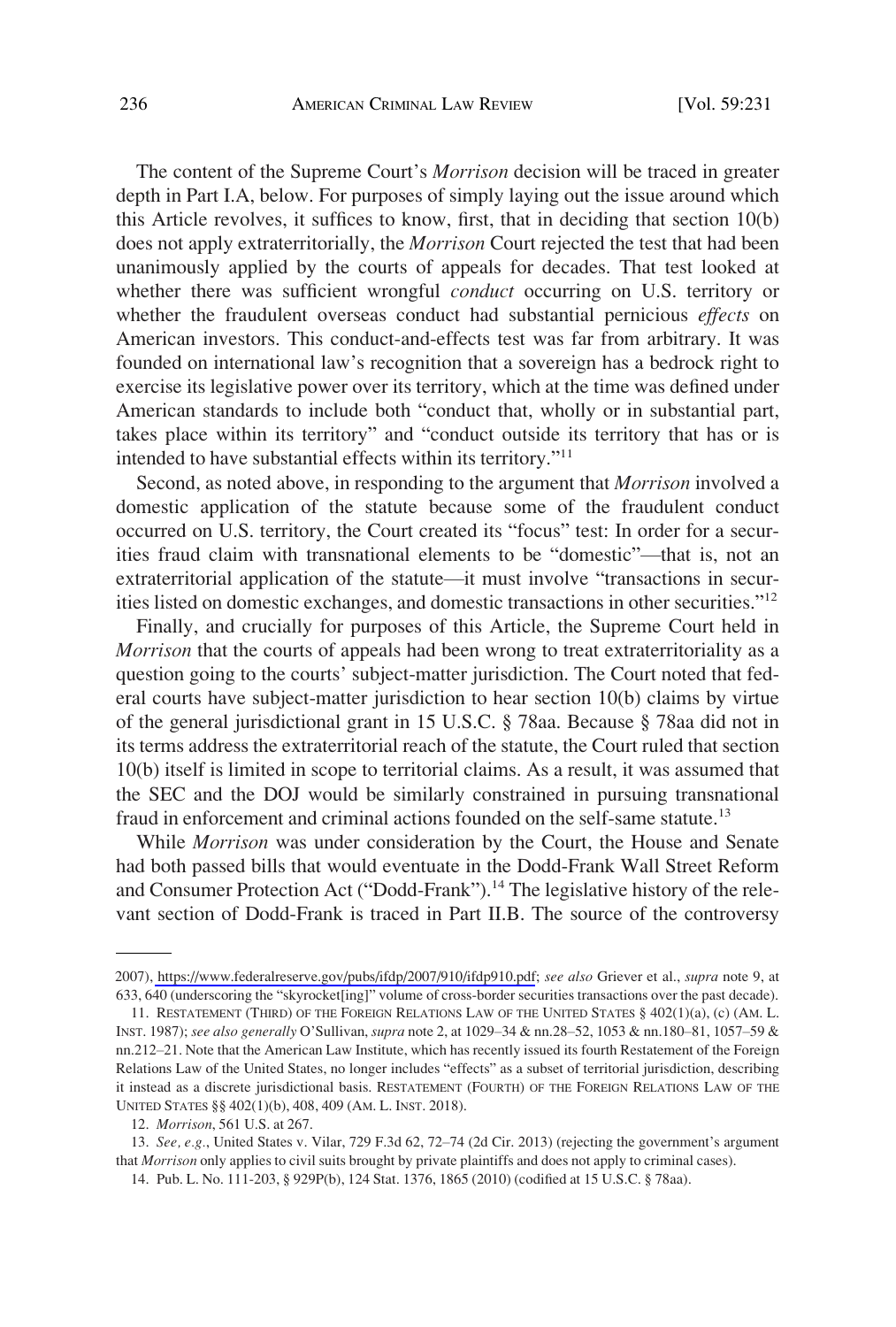The content of the Supreme Court's *Morrison* decision will be traced in greater depth in Part I.A, below. For purposes of simply laying out the issue around which this Article revolves, it suffices to know, first, that in deciding that section 10(b) does not apply extraterritorially, the *Morrison* Court rejected the test that had been unanimously applied by the courts of appeals for decades. That test looked at whether there was sufficient wrongful *conduct* occurring on U.S. territory or whether the fraudulent overseas conduct had substantial pernicious *effects* on American investors. This conduct-and-effects test was far from arbitrary. It was founded on international law's recognition that a sovereign has a bedrock right to exercise its legislative power over its territory, which at the time was defined under American standards to include both "conduct that, wholly or in substantial part, takes place within its territory" and "conduct outside its territory that has or is intended to have substantial effects within its territory."<sup>11</sup>

Second, as noted above, in responding to the argument that *Morrison* involved a domestic application of the statute because some of the fraudulent conduct occurred on U.S. territory, the Court created its "focus" test: In order for a securities fraud claim with transnational elements to be "domestic"—that is, not an extraterritorial application of the statute—it must involve "transactions in securities listed on domestic exchanges, and domestic transactions in other securities."<sup>12</sup>

Finally, and crucially for purposes of this Article, the Supreme Court held in *Morrison* that the courts of appeals had been wrong to treat extraterritoriality as a question going to the courts' subject-matter jurisdiction. The Court noted that federal courts have subject-matter jurisdiction to hear section 10(b) claims by virtue of the general jurisdictional grant in 15 U.S.C. § 78aa. Because § 78aa did not in its terms address the extraterritorial reach of the statute, the Court ruled that section 10(b) itself is limited in scope to territorial claims. As a result, it was assumed that the SEC and the DOJ would be similarly constrained in pursuing transnational fraud in enforcement and criminal actions founded on the self-same statute.<sup>13</sup>

While *Morrison* was under consideration by the Court, the House and Senate had both passed bills that would eventuate in the Dodd-Frank Wall Street Reform and Consumer Protection Act ("Dodd-Frank").<sup>14</sup> The legislative history of the relevant section of Dodd-Frank is traced in Part II.B. The source of the controversy

13. *See, e.g.*, United States v. Vilar, 729 F.3d 62, 72–74 (2d Cir. 2013) (rejecting the government's argument that *Morrison* only applies to civil suits brought by private plaintiffs and does not apply to criminal cases).

14. Pub. L. No. 111-203, § 929P(b), 124 Stat. 1376, 1865 (2010) (codified at 15 U.S.C. § 78aa).

<sup>2007),</sup> [https://www.federalreserve.gov/pubs/ifdp/2007/910/ifdp910.pdf;](https://www.federalreserve.gov/pubs/ifdp/2007/910/ifdp910.pdf) *see also* Griever et al., *supra* note 9, at 633, 640 (underscoring the "skyrocket[ing]" volume of cross-border securities transactions over the past decade).

<sup>11.</sup> RESTATEMENT (THIRD) OF THE FOREIGN RELATIONS LAW OF THE UNITED STATES § 402(1)(a), (c) (AM. L. INST. 1987); *see also generally* O'Sullivan, *supra* note 2, at 1029–34 & nn.28–52, 1053 & nn.180–81, 1057–59 & nn.212–21. Note that the American Law Institute, which has recently issued its fourth Restatement of the Foreign Relations Law of the United States, no longer includes "effects" as a subset of territorial jurisdiction, describing it instead as a discrete jurisdictional basis. RESTATEMENT (FOURTH) OF THE FOREIGN RELATIONS LAW OF THE UNITED STATES §§ 402(1)(b), 408, 409 (AM. L. INST. 2018).

<sup>12.</sup> *Morrison*, 561 U.S. at 267.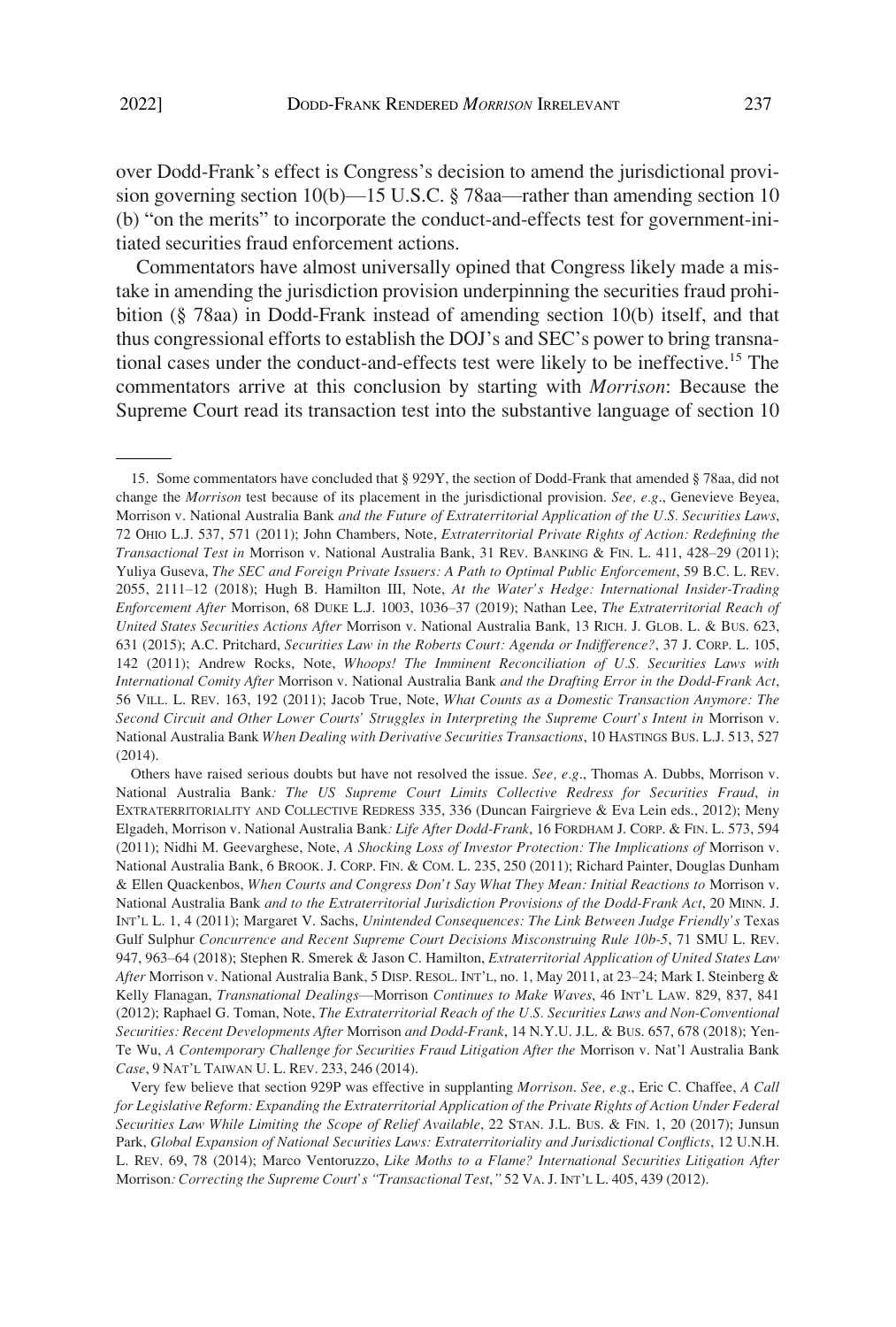over Dodd-Frank's effect is Congress's decision to amend the jurisdictional provision governing section 10(b)—15 U.S.C. § 78aa—rather than amending section 10 (b) "on the merits" to incorporate the conduct-and-effects test for government-initiated securities fraud enforcement actions.

Commentators have almost universally opined that Congress likely made a mistake in amending the jurisdiction provision underpinning the securities fraud prohibition (§ 78aa) in Dodd-Frank instead of amending section 10(b) itself, and that thus congressional efforts to establish the DOJ's and SEC's power to bring transnational cases under the conduct-and-effects test were likely to be ineffective.15 The commentators arrive at this conclusion by starting with *Morrison*: Because the Supreme Court read its transaction test into the substantive language of section 10

Others have raised serious doubts but have not resolved the issue. *See, e.g*., Thomas A. Dubbs, Morrison v. National Australia Bank*: The US Supreme Court Limits Collective Redress for Securities Fraud*, *in*  EXTRATERRITORIALITY AND COLLECTIVE REDRESS 335, 336 (Duncan Fairgrieve & Eva Lein eds., 2012); Meny Elgadeh, Morrison v. National Australia Bank*: Life After Dodd-Frank*, 16 FORDHAM J. CORP. & FIN. L. 573, 594 (2011); Nidhi M. Geevarghese, Note, *A Shocking Loss of Investor Protection: The Implications of* Morrison v. National Australia Bank, 6 BROOK. J. CORP. FIN. & COM. L. 235, 250 (2011); Richard Painter, Douglas Dunham & Ellen Quackenbos, *When Courts and Congress Don't Say What They Mean: Initial Reactions to* Morrison v. National Australia Bank *and to the Extraterritorial Jurisdiction Provisions of the Dodd-Frank Act*, 20 MINN. J. INT'L L. 1, 4 (2011); Margaret V. Sachs, *Unintended Consequences: The Link Between Judge Friendly's* Texas Gulf Sulphur *Concurrence and Recent Supreme Court Decisions Misconstruing Rule 10b-5*, 71 SMU L. REV. 947, 963–64 (2018); Stephen R. Smerek & Jason C. Hamilton, *Extraterritorial Application of United States Law After* Morrison v. National Australia Bank, 5 DISP. RESOL. INT'L, no. 1, May 2011, at 23–24; Mark I. Steinberg & Kelly Flanagan, *Transnational Dealings*—Morrison *Continues to Make Waves*, 46 INT'L LAW. 829, 837, 841 (2012); Raphael G. Toman, Note, *The Extraterritorial Reach of the U.S. Securities Laws and Non-Conventional Securities: Recent Developments After* Morrison *and Dodd-Frank*, 14 N.Y.U. J.L. & BUS. 657, 678 (2018); Yen-Te Wu, *A Contemporary Challenge for Securities Fraud Litigation After the* Morrison v. Nat'l Australia Bank *Case*, 9 NAT'L TAIWAN U. L. REV. 233, 246 (2014).

Very few believe that section 929P was effective in supplanting *Morrison*. *See, e.g.*, Eric C. Chaffee, *A Call for Legislative Reform: Expanding the Extraterritorial Application of the Private Rights of Action Under Federal Securities Law While Limiting the Scope of Relief Available*, 22 STAN. J.L. BUS. & FIN. 1, 20 (2017); Junsun Park, *Global Expansion of National Securities Laws: Extraterritoriality and Jurisdictional Conflicts*, 12 U.N.H. L. REV. 69, 78 (2014); Marco Ventoruzzo, *Like Moths to a Flame? International Securities Litigation After*  Morrison*: Correcting the Supreme Court's "Transactional Test*,*"* 52 VA. J. INT'L L. 405, 439 (2012).

<sup>15.</sup> Some commentators have concluded that § 929Y, the section of Dodd-Frank that amended § 78aa, did not change the *Morrison* test because of its placement in the jurisdictional provision. *See, e.g*., Genevieve Beyea, Morrison v. National Australia Bank *and the Future of Extraterritorial Application of the U.S. Securities Laws*, 72 OHIO L.J. 537, 571 (2011); John Chambers, Note, *Extraterritorial Private Rights of Action: Redefining the Transactional Test in* Morrison v. National Australia Bank, 31 REV. BANKING & FIN. L. 411, 428–29 (2011); Yuliya Guseva, *The SEC and Foreign Private Issuers: A Path to Optimal Public Enforcement*, 59 B.C. L. REV. 2055, 2111–12 (2018); Hugh B. Hamilton III, Note, *At the Water's Hedge: International Insider-Trading Enforcement After* Morrison, 68 DUKE L.J. 1003, 1036–37 (2019); Nathan Lee, *The Extraterritorial Reach of United States Securities Actions After* Morrison v. National Australia Bank, 13 RICH. J. GLOB. L. & BUS. 623, 631 (2015); A.C. Pritchard, *Securities Law in the Roberts Court: Agenda or Indifference?*, 37 J. CORP. L. 105, 142 (2011); Andrew Rocks, Note, *Whoops! The Imminent Reconciliation of U.S. Securities Laws with International Comity After* Morrison v. National Australia Bank *and the Drafting Error in the Dodd-Frank Act*, 56 VILL. L. REV. 163, 192 (2011); Jacob True, Note, *What Counts as a Domestic Transaction Anymore: The Second Circuit and Other Lower Courts' Struggles in Interpreting the Supreme Court's Intent in* Morrison v. National Australia Bank *When Dealing with Derivative Securities Transactions*, 10 HASTINGS BUS. L.J. 513, 527 (2014).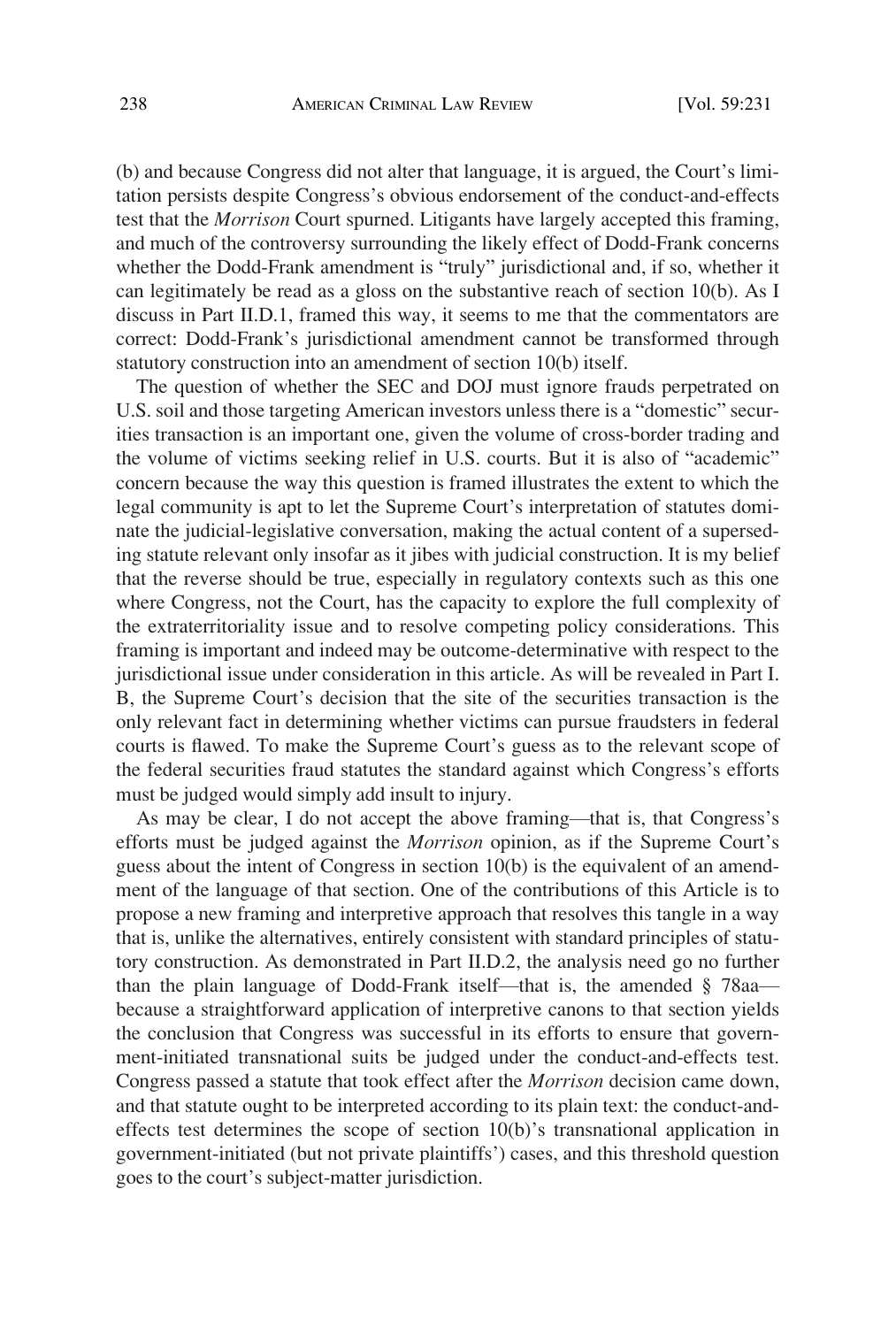(b) and because Congress did not alter that language, it is argued, the Court's limitation persists despite Congress's obvious endorsement of the conduct-and-effects test that the *Morrison* Court spurned. Litigants have largely accepted this framing, and much of the controversy surrounding the likely effect of Dodd-Frank concerns whether the Dodd-Frank amendment is "truly" jurisdictional and, if so, whether it can legitimately be read as a gloss on the substantive reach of section 10(b). As I discuss in Part II.D.1, framed this way, it seems to me that the commentators are correct: Dodd-Frank's jurisdictional amendment cannot be transformed through statutory construction into an amendment of section 10(b) itself.

The question of whether the SEC and DOJ must ignore frauds perpetrated on U.S. soil and those targeting American investors unless there is a "domestic" securities transaction is an important one, given the volume of cross-border trading and the volume of victims seeking relief in U.S. courts. But it is also of "academic" concern because the way this question is framed illustrates the extent to which the legal community is apt to let the Supreme Court's interpretation of statutes dominate the judicial-legislative conversation, making the actual content of a superseding statute relevant only insofar as it jibes with judicial construction. It is my belief that the reverse should be true, especially in regulatory contexts such as this one where Congress, not the Court, has the capacity to explore the full complexity of the extraterritoriality issue and to resolve competing policy considerations. This framing is important and indeed may be outcome-determinative with respect to the jurisdictional issue under consideration in this article. As will be revealed in Part I. B, the Supreme Court's decision that the site of the securities transaction is the only relevant fact in determining whether victims can pursue fraudsters in federal courts is flawed. To make the Supreme Court's guess as to the relevant scope of the federal securities fraud statutes the standard against which Congress's efforts must be judged would simply add insult to injury.

As may be clear, I do not accept the above framing—that is, that Congress's efforts must be judged against the *Morrison* opinion, as if the Supreme Court's guess about the intent of Congress in section 10(b) is the equivalent of an amendment of the language of that section. One of the contributions of this Article is to propose a new framing and interpretive approach that resolves this tangle in a way that is, unlike the alternatives, entirely consistent with standard principles of statutory construction. As demonstrated in Part II.D.2, the analysis need go no further than the plain language of Dodd-Frank itself—that is, the amended § 78aa because a straightforward application of interpretive canons to that section yields the conclusion that Congress was successful in its efforts to ensure that government-initiated transnational suits be judged under the conduct-and-effects test. Congress passed a statute that took effect after the *Morrison* decision came down, and that statute ought to be interpreted according to its plain text: the conduct-andeffects test determines the scope of section 10(b)'s transnational application in government-initiated (but not private plaintiffs') cases, and this threshold question goes to the court's subject-matter jurisdiction.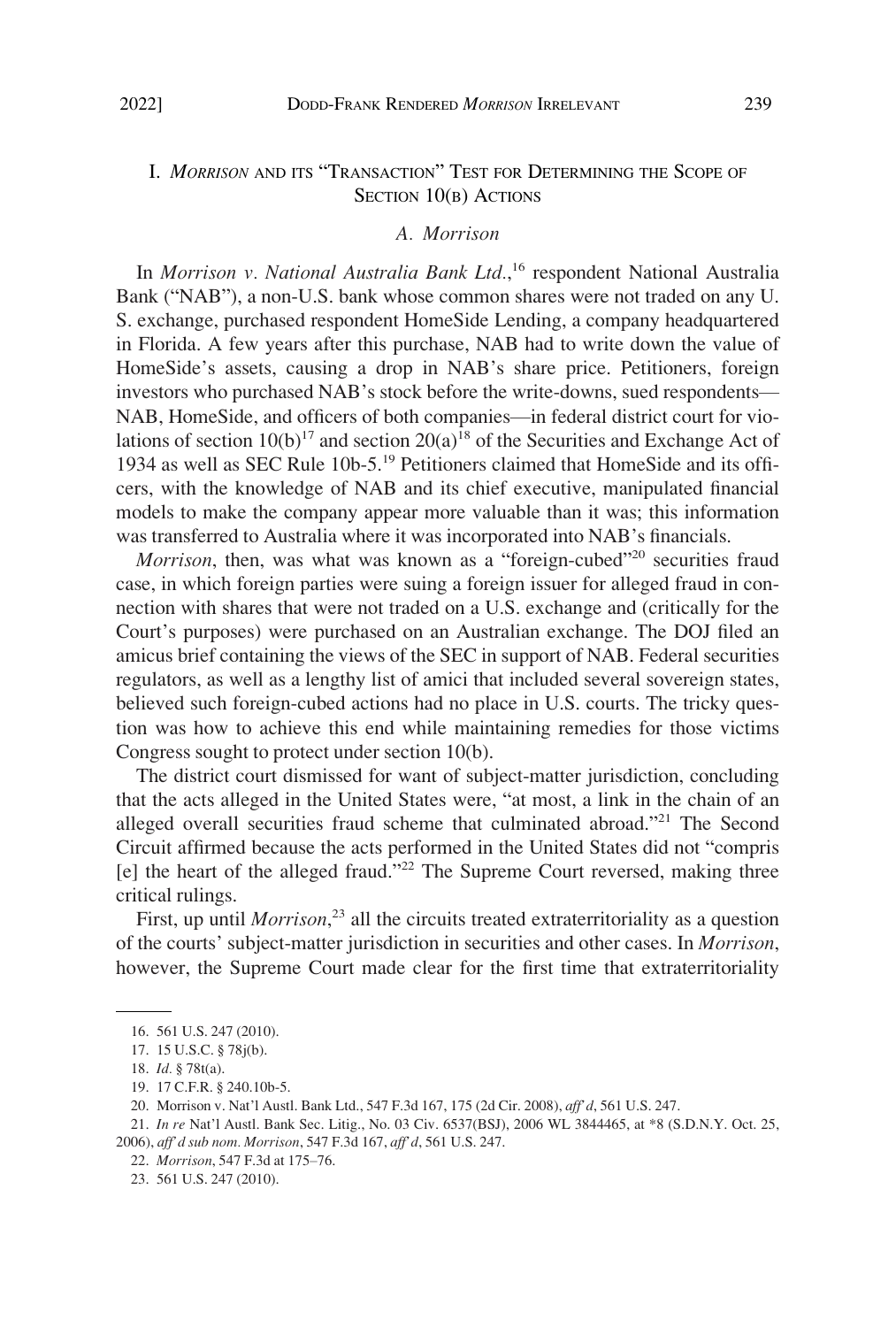## <span id="page-8-0"></span>I. *MORRISON* AND ITS "TRANSACTION" TEST FOR DETERMINING THE SCOPE OF SECTION 10(B) ACTIONS

#### *A. Morrison*

In *Morrison v. National Australia Bank Ltd.*, 16 respondent National Australia Bank ("NAB"), a non-U.S. bank whose common shares were not traded on any U. S. exchange, purchased respondent HomeSide Lending, a company headquartered in Florida. A few years after this purchase, NAB had to write down the value of HomeSide's assets, causing a drop in NAB's share price. Petitioners, foreign investors who purchased NAB's stock before the write-downs, sued respondents— NAB, HomeSide, and officers of both companies—in federal district court for violations of section  $10(b)^{17}$  and section  $20(a)^{18}$  of the Securities and Exchange Act of 1934 as well as SEC Rule 10b-5.19 Petitioners claimed that HomeSide and its officers, with the knowledge of NAB and its chief executive, manipulated financial models to make the company appear more valuable than it was; this information was transferred to Australia where it was incorporated into NAB's financials.

*Morrison*, then, was what was known as a "foreign-cubed"<sup>20</sup> securities fraud case, in which foreign parties were suing a foreign issuer for alleged fraud in connection with shares that were not traded on a U.S. exchange and (critically for the Court's purposes) were purchased on an Australian exchange. The DOJ filed an amicus brief containing the views of the SEC in support of NAB. Federal securities regulators, as well as a lengthy list of amici that included several sovereign states, believed such foreign-cubed actions had no place in U.S. courts. The tricky question was how to achieve this end while maintaining remedies for those victims Congress sought to protect under section 10(b).

The district court dismissed for want of subject-matter jurisdiction, concluding that the acts alleged in the United States were, "at most, a link in the chain of an alleged overall securities fraud scheme that culminated abroad."<sup>21</sup> The Second Circuit affirmed because the acts performed in the United States did not "compris  $[e]$  the heart of the alleged fraud."<sup>22</sup> The Supreme Court reversed, making three critical rulings.

First, up until *Morrison*<sup>23</sup> all the circuits treated extraterritoriality as a question of the courts' subject-matter jurisdiction in securities and other cases. In *Morrison*, however, the Supreme Court made clear for the first time that extraterritoriality

<sup>16. 561</sup> U.S. 247 (2010).

<sup>17. 15</sup> U.S.C. § 78j(b).

<sup>18.</sup> *Id.* § 78t(a).

<sup>19. 17</sup> C.F.R. § 240.10b-5.

<sup>20.</sup> Morrison v. Nat'l Austl. Bank Ltd., 547 F.3d 167, 175 (2d Cir. 2008), *aff'd*, 561 U.S. 247.

<sup>21.</sup> *In re* Nat'l Austl. Bank Sec. Litig., No. 03 Civ. 6537(BSJ), 2006 WL 3844465, at \*8 (S.D.N.Y. Oct. 25, 2006), *aff'd sub nom. Morrison*, 547 F.3d 167, *aff'd*, 561 U.S. 247.

<sup>22.</sup> *Morrison*, 547 F.3d at 175–76.

<sup>23. 561</sup> U.S. 247 (2010).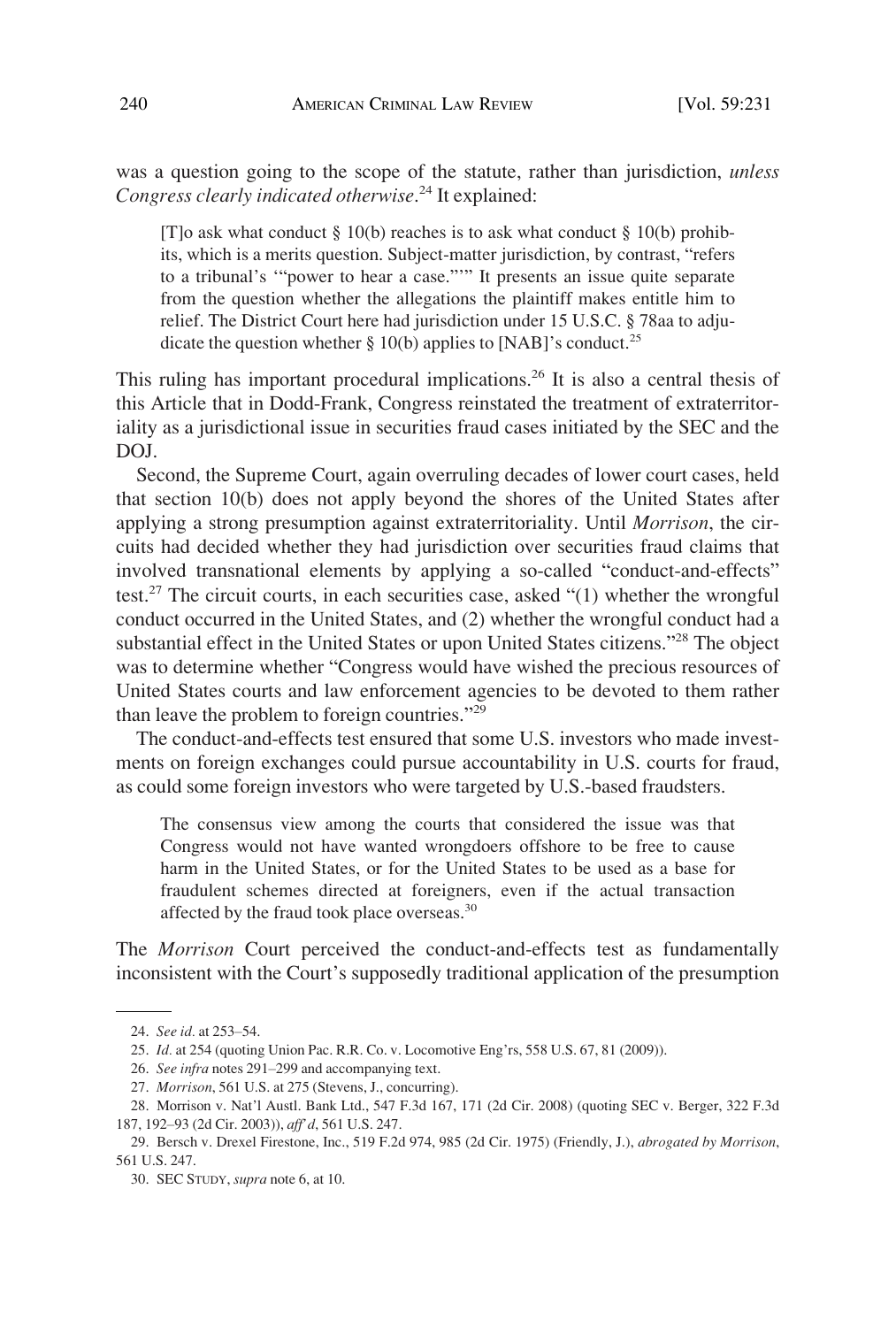was a question going to the scope of the statute, rather than jurisdiction, *unless Congress clearly indicated otherwise*. 24 It explained:

[T]o ask what conduct  $\S 10(b)$  reaches is to ask what conduct  $\S 10(b)$  prohibits, which is a merits question. Subject-matter jurisdiction, by contrast, "refers to a tribunal's '"power to hear a case."'" It presents an issue quite separate from the question whether the allegations the plaintiff makes entitle him to relief. The District Court here had jurisdiction under 15 U.S.C. § 78aa to adjudicate the question whether  $\S 10(b)$  applies to [NAB]'s conduct.<sup>25</sup>

This ruling has important procedural implications.<sup>26</sup> It is also a central thesis of this Article that in Dodd-Frank, Congress reinstated the treatment of extraterritoriality as a jurisdictional issue in securities fraud cases initiated by the SEC and the DOJ.

Second, the Supreme Court, again overruling decades of lower court cases, held that section 10(b) does not apply beyond the shores of the United States after applying a strong presumption against extraterritoriality. Until *Morrison*, the circuits had decided whether they had jurisdiction over securities fraud claims that involved transnational elements by applying a so-called "conduct-and-effects" test.<sup>27</sup> The circuit courts, in each securities case, asked " $(1)$  whether the wrongful conduct occurred in the United States, and (2) whether the wrongful conduct had a substantial effect in the United States or upon United States citizens."28 The object was to determine whether "Congress would have wished the precious resources of United States courts and law enforcement agencies to be devoted to them rather than leave the problem to foreign countries."<sup>29</sup>

The conduct-and-effects test ensured that some U.S. investors who made investments on foreign exchanges could pursue accountability in U.S. courts for fraud, as could some foreign investors who were targeted by U.S.-based fraudsters.

The consensus view among the courts that considered the issue was that Congress would not have wanted wrongdoers offshore to be free to cause harm in the United States, or for the United States to be used as a base for fraudulent schemes directed at foreigners, even if the actual transaction affected by the fraud took place overseas.<sup>30</sup>

The *Morrison* Court perceived the conduct-and-effects test as fundamentally inconsistent with the Court's supposedly traditional application of the presumption

<sup>24.</sup> *See id.* at 253–54.

<sup>25.</sup> *Id.* at 254 (quoting Union Pac. R.R. Co. v. Locomotive Eng'rs, 558 U.S. 67, 81 (2009)).

<sup>26.</sup> *See infra* notes 291–299 and accompanying text.

<sup>27.</sup> *Morrison*, 561 U.S. at 275 (Stevens, J., concurring).

<sup>28.</sup> Morrison v. Nat'l Austl. Bank Ltd., 547 F.3d 167, 171 (2d Cir. 2008) (quoting SEC v. Berger, 322 F.3d 187, 192–93 (2d Cir. 2003)), *aff'd*, 561 U.S. 247.

<sup>29.</sup> Bersch v. Drexel Firestone, Inc., 519 F.2d 974, 985 (2d Cir. 1975) (Friendly, J.), *abrogated by Morrison*, 561 U.S. 247.

<sup>30.</sup> SEC STUDY, *supra* note 6, at 10.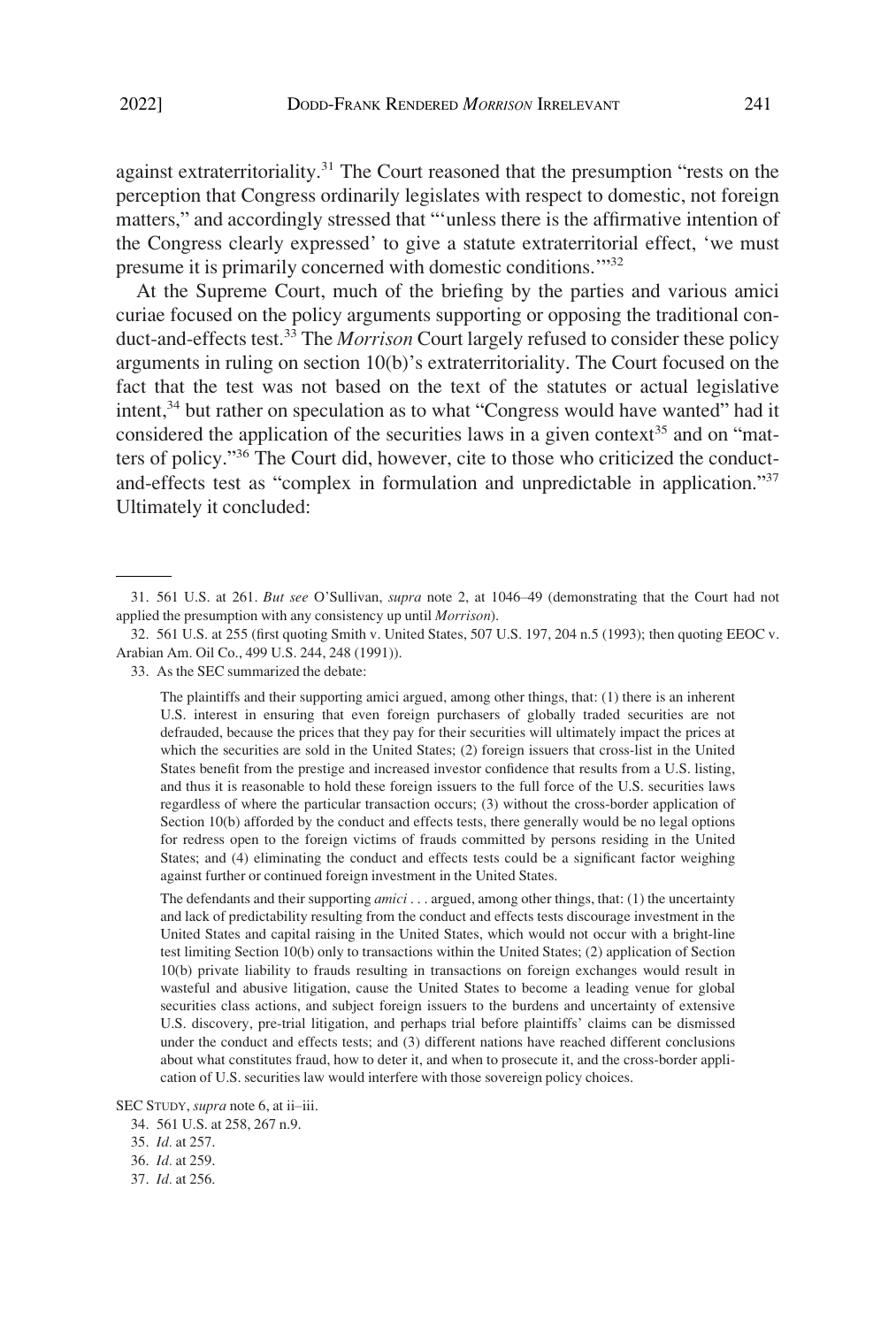against extraterritoriality.<sup>31</sup> The Court reasoned that the presumption "rests on the perception that Congress ordinarily legislates with respect to domestic, not foreign matters," and accordingly stressed that "'unless there is the affirmative intention of the Congress clearly expressed' to give a statute extraterritorial effect, 'we must presume it is primarily concerned with domestic conditions.'"<sup>32</sup>

At the Supreme Court, much of the briefing by the parties and various amici curiae focused on the policy arguments supporting or opposing the traditional conduct-and-effects test.33 The *Morrison* Court largely refused to consider these policy arguments in ruling on section 10(b)'s extraterritoriality. The Court focused on the fact that the test was not based on the text of the statutes or actual legislative intent,<sup>34</sup> but rather on speculation as to what "Congress would have wanted" had it considered the application of the securities laws in a given context<sup>35</sup> and on "matters of policy."36 The Court did, however, cite to those who criticized the conductand-effects test as "complex in formulation and unpredictable in application."<sup>37</sup> Ultimately it concluded:

The plaintiffs and their supporting amici argued, among other things, that: (1) there is an inherent U.S. interest in ensuring that even foreign purchasers of globally traded securities are not defrauded, because the prices that they pay for their securities will ultimately impact the prices at which the securities are sold in the United States; (2) foreign issuers that cross-list in the United States benefit from the prestige and increased investor confidence that results from a U.S. listing, and thus it is reasonable to hold these foreign issuers to the full force of the U.S. securities laws regardless of where the particular transaction occurs; (3) without the cross-border application of Section 10(b) afforded by the conduct and effects tests, there generally would be no legal options for redress open to the foreign victims of frauds committed by persons residing in the United States; and (4) eliminating the conduct and effects tests could be a significant factor weighing against further or continued foreign investment in the United States.

The defendants and their supporting *amici* . . . argued, among other things, that: (1) the uncertainty and lack of predictability resulting from the conduct and effects tests discourage investment in the United States and capital raising in the United States, which would not occur with a bright-line test limiting Section 10(b) only to transactions within the United States; (2) application of Section 10(b) private liability to frauds resulting in transactions on foreign exchanges would result in wasteful and abusive litigation, cause the United States to become a leading venue for global securities class actions, and subject foreign issuers to the burdens and uncertainty of extensive U.S. discovery, pre-trial litigation, and perhaps trial before plaintiffs' claims can be dismissed under the conduct and effects tests; and (3) different nations have reached different conclusions about what constitutes fraud, how to deter it, and when to prosecute it, and the cross-border application of U.S. securities law would interfere with those sovereign policy choices.

<sup>31. 561</sup> U.S. at 261. *But see* O'Sullivan, *supra* note 2, at 1046–49 (demonstrating that the Court had not applied the presumption with any consistency up until *Morrison*).

<sup>32. 561</sup> U.S. at 255 (first quoting Smith v. United States, 507 U.S. 197, 204 n.5 (1993); then quoting EEOC v. Arabian Am. Oil Co., 499 U.S. 244, 248 (1991)).

<sup>33.</sup> As the SEC summarized the debate:

SEC STUDY, *supra* note 6, at ii–iii.

<sup>34. 561</sup> U.S. at 258, 267 n.9.

<sup>35.</sup> *Id.* at 257.

<sup>36.</sup> *Id.* at 259.

<sup>37.</sup> *Id.* at 256.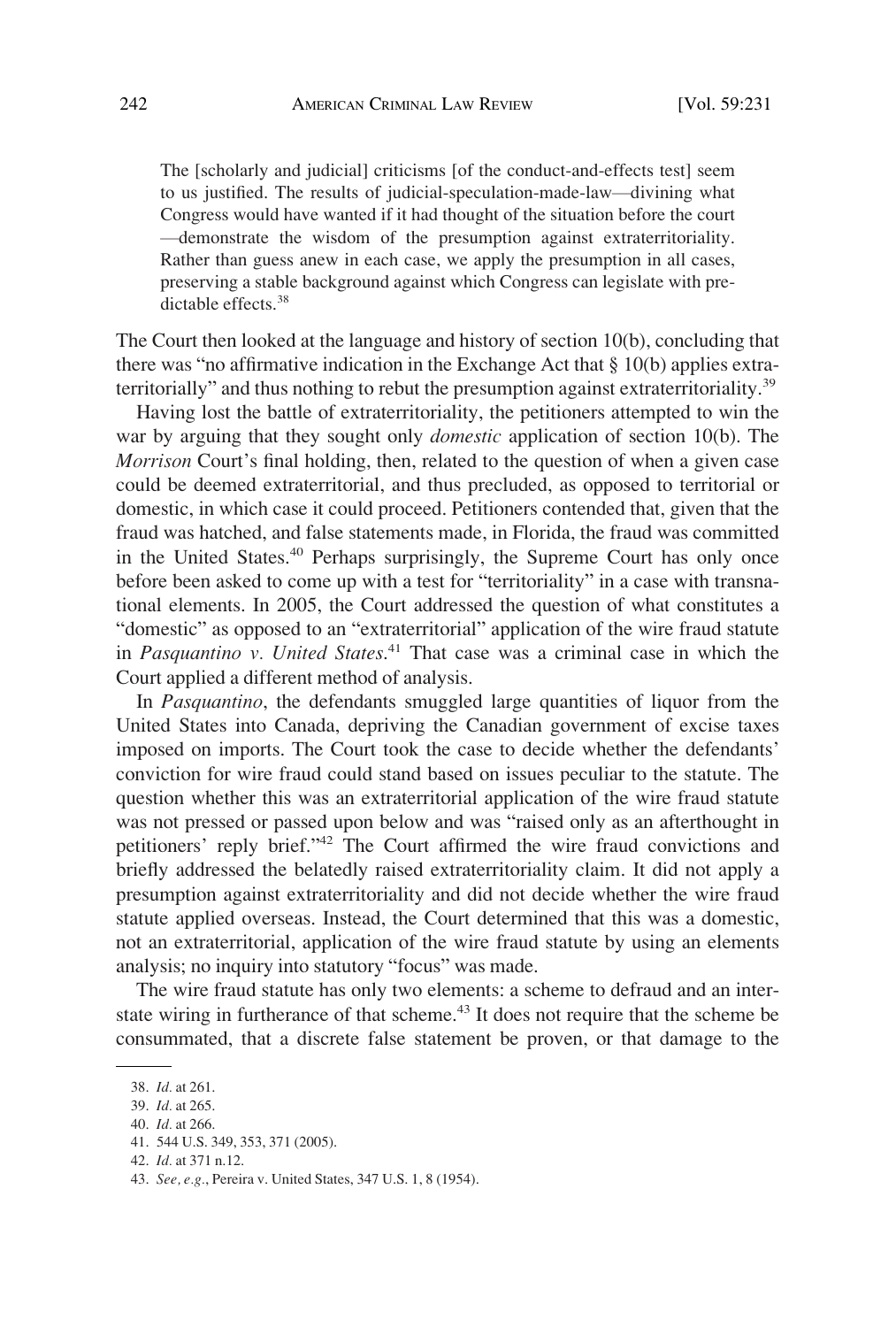The [scholarly and judicial] criticisms [of the conduct-and-effects test] seem to us justified. The results of judicial-speculation-made-law—divining what Congress would have wanted if it had thought of the situation before the court —demonstrate the wisdom of the presumption against extraterritoriality. Rather than guess anew in each case, we apply the presumption in all cases, preserving a stable background against which Congress can legislate with predictable effects.<sup>38</sup>

The Court then looked at the language and history of section 10(b), concluding that there was "no affirmative indication in the Exchange Act that § 10(b) applies extraterritorially" and thus nothing to rebut the presumption against extraterritoriality.<sup>39</sup>

Having lost the battle of extraterritoriality, the petitioners attempted to win the war by arguing that they sought only *domestic* application of section 10(b). The *Morrison* Court's final holding, then, related to the question of when a given case could be deemed extraterritorial, and thus precluded, as opposed to territorial or domestic, in which case it could proceed. Petitioners contended that, given that the fraud was hatched, and false statements made, in Florida, the fraud was committed in the United States.40 Perhaps surprisingly, the Supreme Court has only once before been asked to come up with a test for "territoriality" in a case with transnational elements. In 2005, the Court addressed the question of what constitutes a "domestic" as opposed to an "extraterritorial" application of the wire fraud statute in *Pasquantino v. United States*. 41 That case was a criminal case in which the Court applied a different method of analysis.

In *Pasquantino*, the defendants smuggled large quantities of liquor from the United States into Canada, depriving the Canadian government of excise taxes imposed on imports. The Court took the case to decide whether the defendants' conviction for wire fraud could stand based on issues peculiar to the statute. The question whether this was an extraterritorial application of the wire fraud statute was not pressed or passed upon below and was "raised only as an afterthought in petitioners' reply brief."42 The Court affirmed the wire fraud convictions and briefly addressed the belatedly raised extraterritoriality claim. It did not apply a presumption against extraterritoriality and did not decide whether the wire fraud statute applied overseas. Instead, the Court determined that this was a domestic, not an extraterritorial, application of the wire fraud statute by using an elements analysis; no inquiry into statutory "focus" was made.

The wire fraud statute has only two elements: a scheme to defraud and an interstate wiring in furtherance of that scheme.<sup>43</sup> It does not require that the scheme be consummated, that a discrete false statement be proven, or that damage to the

<sup>38.</sup> *Id.* at 261.

<sup>39.</sup> *Id.* at 265.

<sup>40.</sup> *Id.* at 266.

<sup>41. 544</sup> U.S. 349, 353, 371 (2005).

<sup>42.</sup> *Id.* at 371 n.12.

<sup>43.</sup> *See, e.g.*, Pereira v. United States, 347 U.S. 1, 8 (1954).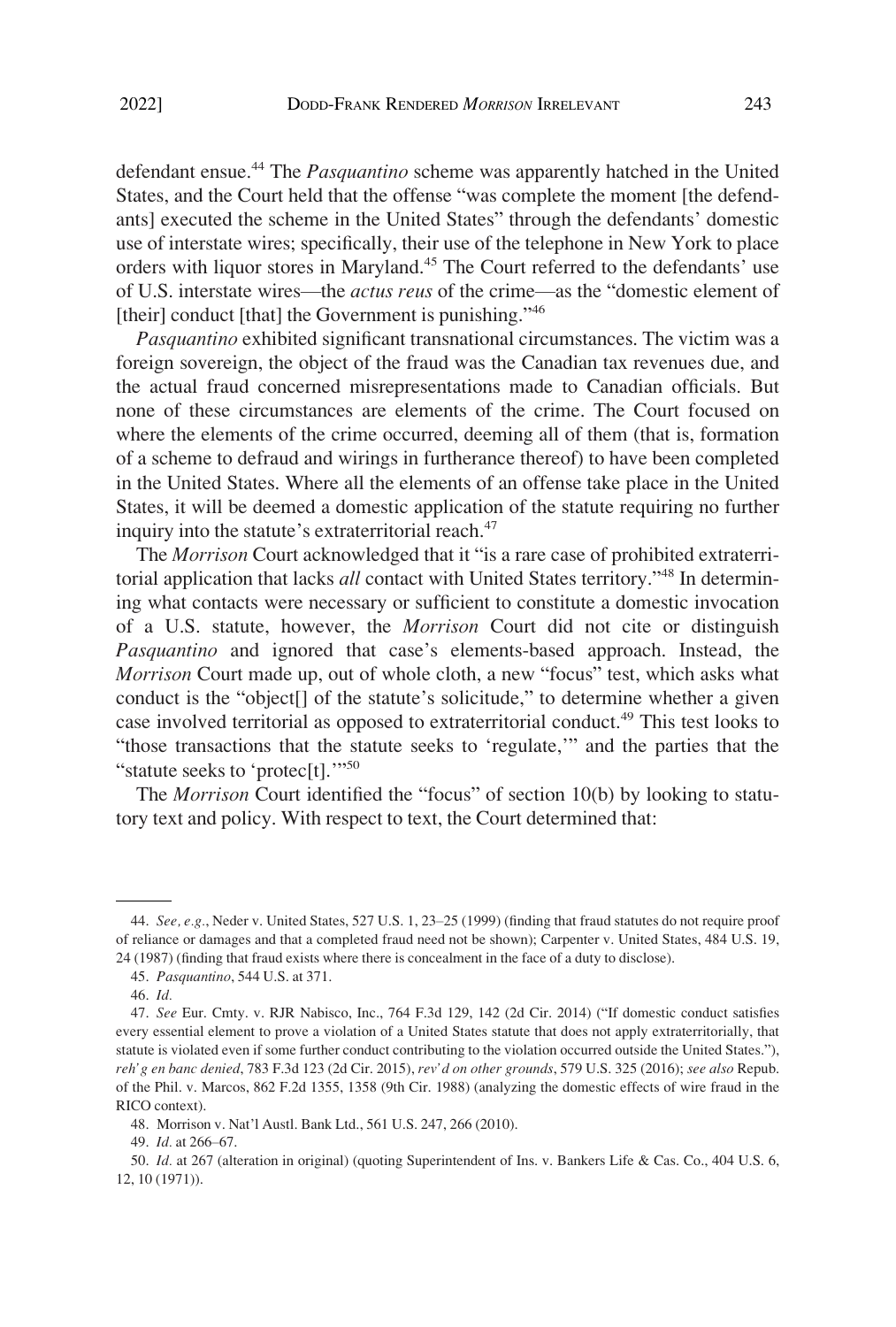defendant ensue.44 The *Pasquantino* scheme was apparently hatched in the United States, and the Court held that the offense "was complete the moment [the defendants] executed the scheme in the United States" through the defendants' domestic use of interstate wires; specifically, their use of the telephone in New York to place orders with liquor stores in Maryland.<sup>45</sup> The Court referred to the defendants' use of U.S. interstate wires—the *actus reus* of the crime—as the "domestic element of [their] conduct [that] the Government is punishing."<sup>46</sup>

*Pasquantino* exhibited significant transnational circumstances. The victim was a foreign sovereign, the object of the fraud was the Canadian tax revenues due, and the actual fraud concerned misrepresentations made to Canadian officials. But none of these circumstances are elements of the crime. The Court focused on where the elements of the crime occurred, deeming all of them (that is, formation of a scheme to defraud and wirings in furtherance thereof) to have been completed in the United States. Where all the elements of an offense take place in the United States, it will be deemed a domestic application of the statute requiring no further inquiry into the statute's extraterritorial reach.<sup>47</sup>

The *Morrison* Court acknowledged that it "is a rare case of prohibited extraterritorial application that lacks *all* contact with United States territory."<sup>48</sup> In determining what contacts were necessary or sufficient to constitute a domestic invocation of a U.S. statute, however, the *Morrison* Court did not cite or distinguish *Pasquantino* and ignored that case's elements-based approach. Instead, the *Morrison* Court made up, out of whole cloth, a new "focus" test, which asks what conduct is the "object<sup>[]</sup> of the statute's solicitude," to determine whether a given case involved territorial as opposed to extraterritorial conduct.<sup>49</sup> This test looks to "those transactions that the statute seeks to 'regulate,'" and the parties that the "statute seeks to 'protec[t].'"<sup>50</sup>

The *Morrison* Court identified the "focus" of section 10(b) by looking to statutory text and policy. With respect to text, the Court determined that:

<sup>44.</sup> *See, e.g.*, Neder v. United States, 527 U.S. 1, 23–25 (1999) (finding that fraud statutes do not require proof of reliance or damages and that a completed fraud need not be shown); Carpenter v. United States, 484 U.S. 19, 24 (1987) (finding that fraud exists where there is concealment in the face of a duty to disclose).

<sup>45.</sup> *Pasquantino*, 544 U.S. at 371.

<sup>46.</sup> *Id.* 

<sup>47.</sup> *See* Eur. Cmty. v. RJR Nabisco, Inc., 764 F.3d 129, 142 (2d Cir. 2014) ("If domestic conduct satisfies every essential element to prove a violation of a United States statute that does not apply extraterritorially, that statute is violated even if some further conduct contributing to the violation occurred outside the United States."), *reh'g en banc denied*, 783 F.3d 123 (2d Cir. 2015), *rev'd on other grounds*, 579 U.S. 325 (2016); *see also* Repub. of the Phil. v. Marcos, 862 F.2d 1355, 1358 (9th Cir. 1988) (analyzing the domestic effects of wire fraud in the RICO context).

<sup>48.</sup> Morrison v. Nat'l Austl. Bank Ltd., 561 U.S. 247, 266 (2010).

<sup>49.</sup> *Id.* at 266–67.

<sup>50.</sup> *Id.* at 267 (alteration in original) (quoting Superintendent of Ins. v. Bankers Life & Cas. Co., 404 U.S. 6, 12, 10 (1971)).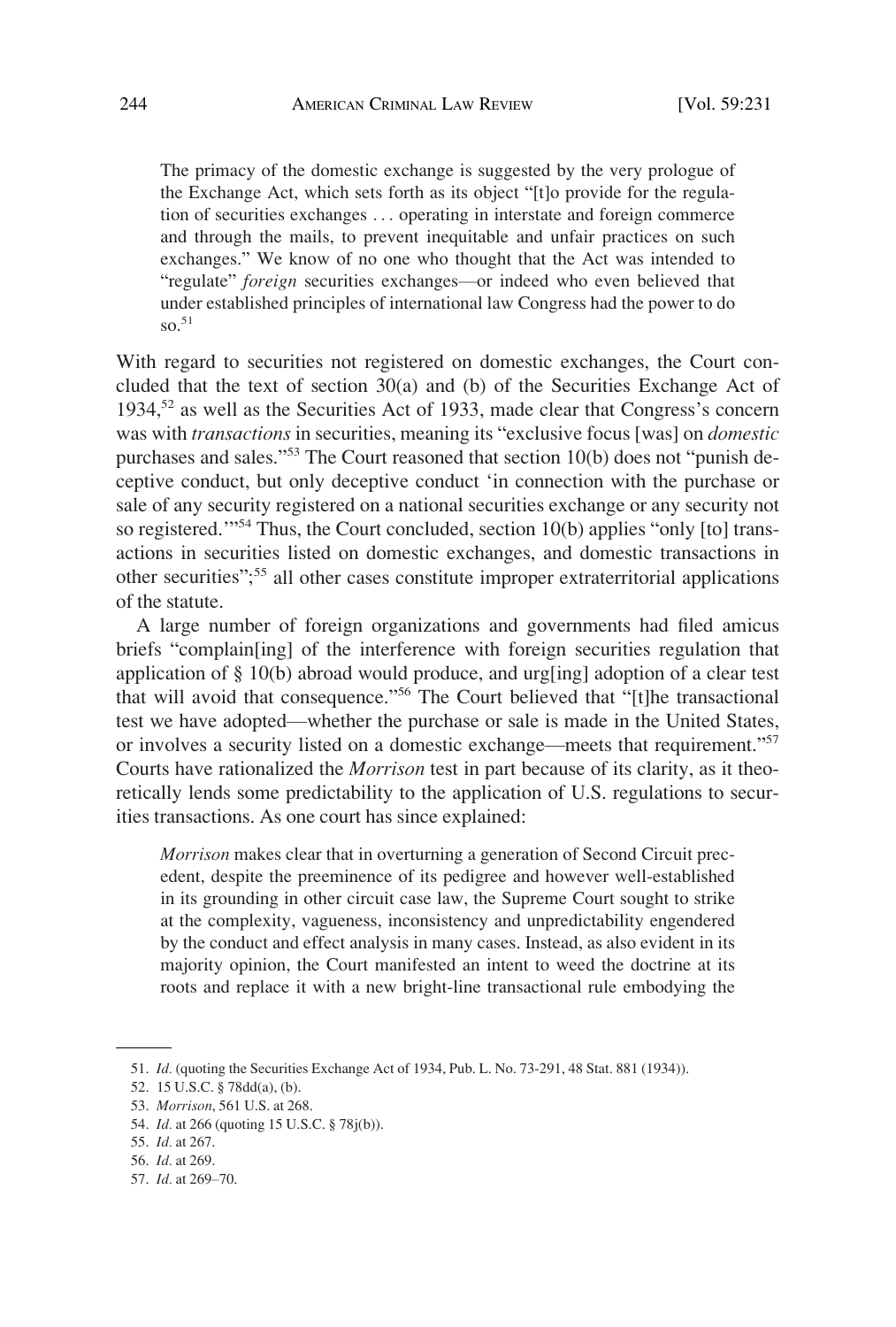The primacy of the domestic exchange is suggested by the very prologue of the Exchange Act, which sets forth as its object "[t]o provide for the regulation of securities exchanges . . . operating in interstate and foreign commerce and through the mails, to prevent inequitable and unfair practices on such exchanges." We know of no one who thought that the Act was intended to "regulate" *foreign* securities exchanges—or indeed who even believed that under established principles of international law Congress had the power to do so.<sup>51</sup>

With regard to securities not registered on domestic exchanges, the Court concluded that the text of section 30(a) and (b) of the Securities Exchange Act of 1934,52 as well as the Securities Act of 1933, made clear that Congress's concern was with *transactions* in securities, meaning its "exclusive focus [was] on *domestic*  purchases and sales."53 The Court reasoned that section 10(b) does not "punish deceptive conduct, but only deceptive conduct 'in connection with the purchase or sale of any security registered on a national securities exchange or any security not so registered.<sup>1954</sup> Thus, the Court concluded, section 10(b) applies "only [to] transactions in securities listed on domestic exchanges, and domestic transactions in other securities"; 55 all other cases constitute improper extraterritorial applications of the statute.

A large number of foreign organizations and governments had filed amicus briefs "complain[ing] of the interference with foreign securities regulation that application of § 10(b) abroad would produce, and urg[ing] adoption of a clear test that will avoid that consequence."56 The Court believed that "[t]he transactional test we have adopted—whether the purchase or sale is made in the United States, or involves a security listed on a domestic exchange—meets that requirement."<sup>57</sup> Courts have rationalized the *Morrison* test in part because of its clarity, as it theoretically lends some predictability to the application of U.S. regulations to securities transactions. As one court has since explained:

*Morrison* makes clear that in overturning a generation of Second Circuit precedent, despite the preeminence of its pedigree and however well-established in its grounding in other circuit case law, the Supreme Court sought to strike at the complexity, vagueness, inconsistency and unpredictability engendered by the conduct and effect analysis in many cases. Instead, as also evident in its majority opinion, the Court manifested an intent to weed the doctrine at its roots and replace it with a new bright-line transactional rule embodying the

<sup>51.</sup> *Id.* (quoting the Securities Exchange Act of 1934, Pub. L. No. 73-291, 48 Stat. 881 (1934)).

<sup>52. 15</sup> U.S.C. § 78dd(a), (b).

<sup>53.</sup> *Morrison*, 561 U.S. at 268.

<sup>54.</sup> *Id.* at 266 (quoting 15 U.S.C. § 78j(b)).

<sup>55.</sup> *Id.* at 267.

<sup>56.</sup> *Id.* at 269.

<sup>57.</sup> *Id.* at 269–70.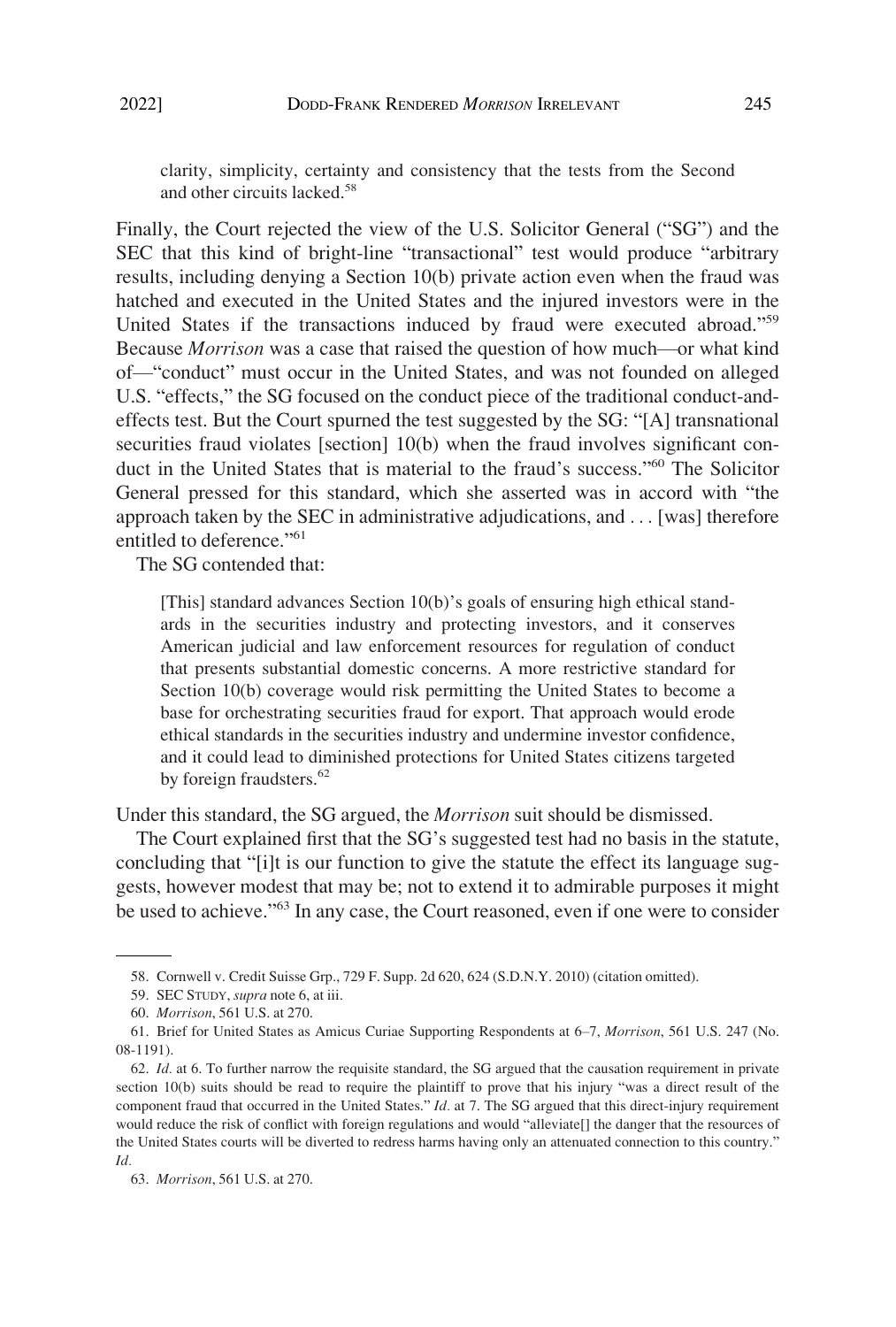clarity, simplicity, certainty and consistency that the tests from the Second and other circuits lacked.<sup>58</sup>

Finally, the Court rejected the view of the U.S. Solicitor General ("SG") and the SEC that this kind of bright-line "transactional" test would produce "arbitrary results, including denying a Section 10(b) private action even when the fraud was hatched and executed in the United States and the injured investors were in the United States if the transactions induced by fraud were executed abroad."<sup>59</sup> Because *Morrison* was a case that raised the question of how much—or what kind of—"conduct" must occur in the United States, and was not founded on alleged U.S. "effects," the SG focused on the conduct piece of the traditional conduct-andeffects test. But the Court spurned the test suggested by the SG: "[A] transnational securities fraud violates [section] 10(b) when the fraud involves significant conduct in the United States that is material to the fraud's success."60 The Solicitor General pressed for this standard, which she asserted was in accord with "the approach taken by the SEC in administrative adjudications, and . . . [was] therefore entitled to deference."<sup>61</sup>

The SG contended that:

[This] standard advances Section 10(b)'s goals of ensuring high ethical standards in the securities industry and protecting investors, and it conserves American judicial and law enforcement resources for regulation of conduct that presents substantial domestic concerns. A more restrictive standard for Section 10(b) coverage would risk permitting the United States to become a base for orchestrating securities fraud for export. That approach would erode ethical standards in the securities industry and undermine investor confidence, and it could lead to diminished protections for United States citizens targeted by foreign fraudsters.<sup>62</sup>

Under this standard, the SG argued, the *Morrison* suit should be dismissed.

The Court explained first that the SG's suggested test had no basis in the statute, concluding that "[i]t is our function to give the statute the effect its language suggests, however modest that may be; not to extend it to admirable purposes it might be used to achieve.<sup>"63</sup> In any case, the Court reasoned, even if one were to consider

<sup>58.</sup> Cornwell v. Credit Suisse Grp., 729 F. Supp. 2d 620, 624 (S.D.N.Y. 2010) (citation omitted).

<sup>59.</sup> SEC STUDY, *supra* note 6, at iii.

<sup>60.</sup> *Morrison*, 561 U.S. at 270.

<sup>61.</sup> Brief for United States as Amicus Curiae Supporting Respondents at 6–7, *Morrison*, 561 U.S. 247 (No. 08-1191).

<sup>62.</sup> *Id.* at 6. To further narrow the requisite standard, the SG argued that the causation requirement in private section 10(b) suits should be read to require the plaintiff to prove that his injury "was a direct result of the component fraud that occurred in the United States." *Id.* at 7. The SG argued that this direct-injury requirement would reduce the risk of conflict with foreign regulations and would "alleviate[] the danger that the resources of the United States courts will be diverted to redress harms having only an attenuated connection to this country." *Id.* 

<sup>63.</sup> *Morrison*, 561 U.S. at 270.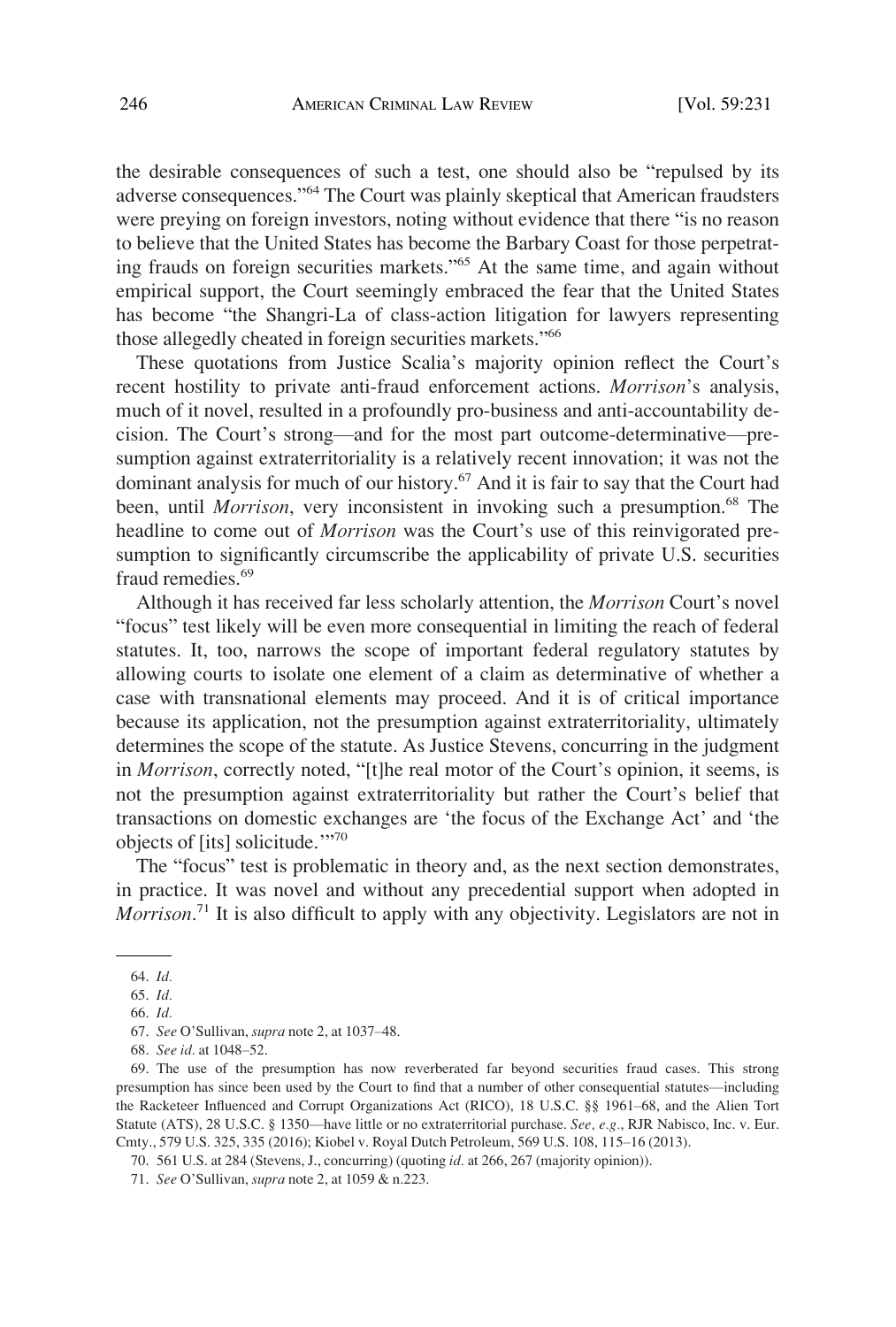the desirable consequences of such a test, one should also be "repulsed by its adverse consequences."64 The Court was plainly skeptical that American fraudsters were preying on foreign investors, noting without evidence that there "is no reason to believe that the United States has become the Barbary Coast for those perpetrating frauds on foreign securities markets."65 At the same time, and again without empirical support, the Court seemingly embraced the fear that the United States has become "the Shangri-La of class-action litigation for lawyers representing those allegedly cheated in foreign securities markets."<sup>66</sup>

These quotations from Justice Scalia's majority opinion reflect the Court's recent hostility to private anti-fraud enforcement actions. *Morrison*'s analysis, much of it novel, resulted in a profoundly pro-business and anti-accountability decision. The Court's strong—and for the most part outcome-determinative—presumption against extraterritoriality is a relatively recent innovation; it was not the dominant analysis for much of our history.67 And it is fair to say that the Court had been, until *Morrison*, very inconsistent in invoking such a presumption.<sup>68</sup> The headline to come out of *Morrison* was the Court's use of this reinvigorated presumption to significantly circumscribe the applicability of private U.S. securities fraud remedies.<sup>69</sup>

Although it has received far less scholarly attention, the *Morrison* Court's novel "focus" test likely will be even more consequential in limiting the reach of federal statutes. It, too, narrows the scope of important federal regulatory statutes by allowing courts to isolate one element of a claim as determinative of whether a case with transnational elements may proceed. And it is of critical importance because its application, not the presumption against extraterritoriality, ultimately determines the scope of the statute. As Justice Stevens, concurring in the judgment in *Morrison*, correctly noted, "[t]he real motor of the Court's opinion, it seems, is not the presumption against extraterritoriality but rather the Court's belief that transactions on domestic exchanges are 'the focus of the Exchange Act' and 'the objects of [its] solicitude.'"<sup>70</sup>

The "focus" test is problematic in theory and, as the next section demonstrates, in practice. It was novel and without any precedential support when adopted in *Morrison*. 71 It is also difficult to apply with any objectivity. Legislators are not in

70. 561 U.S. at 284 (Stevens, J., concurring) (quoting *id.* at 266, 267 (majority opinion)).

<sup>64.</sup> *Id.* 

<sup>65.</sup> *Id.* 

<sup>66.</sup> *Id.* 

<sup>67.</sup> *See* O'Sullivan, *supra* note 2, at 1037–48.

<sup>68.</sup> *See id.* at 1048–52.

<sup>69.</sup> The use of the presumption has now reverberated far beyond securities fraud cases. This strong presumption has since been used by the Court to find that a number of other consequential statutes—including the Racketeer Influenced and Corrupt Organizations Act (RICO), 18 U.S.C. §§ 1961–68, and the Alien Tort Statute (ATS), 28 U.S.C. § 1350—have little or no extraterritorial purchase. *See, e.g.*, RJR Nabisco, Inc. v. Eur. Cmty., 579 U.S. 325, 335 (2016); Kiobel v. Royal Dutch Petroleum, 569 U.S. 108, 115–16 (2013).

<sup>71.</sup> *See* O'Sullivan, *supra* note 2, at 1059 & n.223.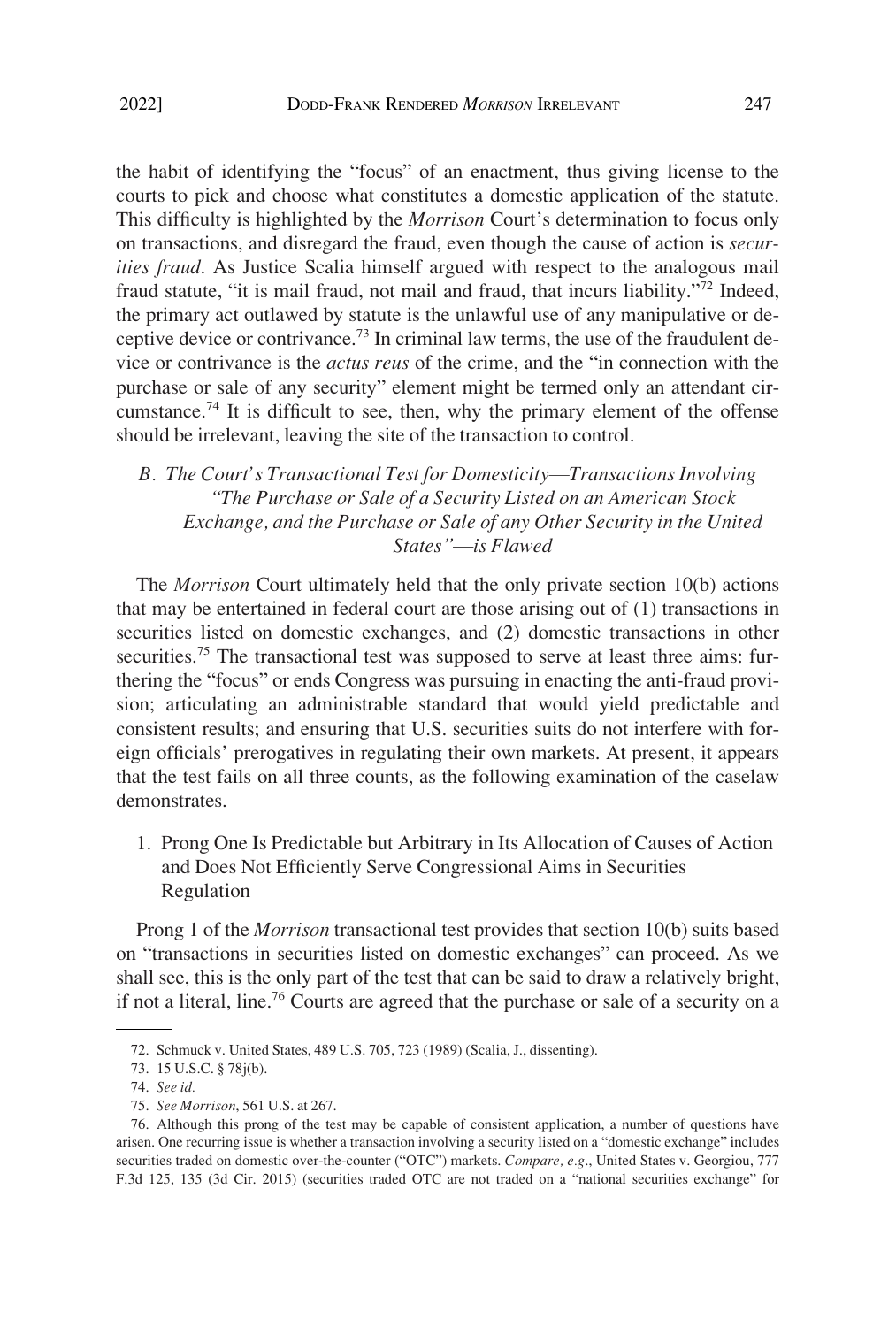<span id="page-16-0"></span>the habit of identifying the "focus" of an enactment, thus giving license to the courts to pick and choose what constitutes a domestic application of the statute. This difficulty is highlighted by the *Morrison* Court's determination to focus only on transactions, and disregard the fraud, even though the cause of action is *securities fraud*. As Justice Scalia himself argued with respect to the analogous mail fraud statute, "it is mail fraud, not mail and fraud, that incurs liability."72 Indeed, the primary act outlawed by statute is the unlawful use of any manipulative or deceptive device or contrivance.73 In criminal law terms, the use of the fraudulent device or contrivance is the *actus reus* of the crime, and the "in connection with the purchase or sale of any security" element might be termed only an attendant circumstance.<sup>74</sup> It is difficult to see, then, why the primary element of the offense should be irrelevant, leaving the site of the transaction to control.

*B. The Court's Transactional Test for Domesticity*—*Transactions Involving "The Purchase or Sale of a Security Listed on an American Stock Exchange, and the Purchase or Sale of any Other Security in the United States"*—*is Flawed* 

The *Morrison* Court ultimately held that the only private section 10(b) actions that may be entertained in federal court are those arising out of (1) transactions in securities listed on domestic exchanges, and (2) domestic transactions in other securities.<sup>75</sup> The transactional test was supposed to serve at least three aims: furthering the "focus" or ends Congress was pursuing in enacting the anti-fraud provision; articulating an administrable standard that would yield predictable and consistent results; and ensuring that U.S. securities suits do not interfere with foreign officials' prerogatives in regulating their own markets. At present, it appears that the test fails on all three counts, as the following examination of the caselaw demonstrates.

1. Prong One Is Predictable but Arbitrary in Its Allocation of Causes of Action and Does Not Efficiently Serve Congressional Aims in Securities Regulation

Prong 1 of the *Morrison* transactional test provides that section 10(b) suits based on "transactions in securities listed on domestic exchanges" can proceed. As we shall see, this is the only part of the test that can be said to draw a relatively bright, if not a literal, line.76 Courts are agreed that the purchase or sale of a security on a

<sup>72.</sup> Schmuck v. United States, 489 U.S. 705, 723 (1989) (Scalia, J., dissenting).

<sup>73. 15</sup> U.S.C. § 78j(b).

<sup>74.</sup> *See id.* 

<sup>75.</sup> *See Morrison*, 561 U.S. at 267.

<sup>76.</sup> Although this prong of the test may be capable of consistent application, a number of questions have arisen. One recurring issue is whether a transaction involving a security listed on a "domestic exchange" includes securities traded on domestic over-the-counter ("OTC") markets. *Compare, e.g*., United States v. Georgiou, 777 F.3d 125, 135 (3d Cir. 2015) (securities traded OTC are not traded on a "national securities exchange" for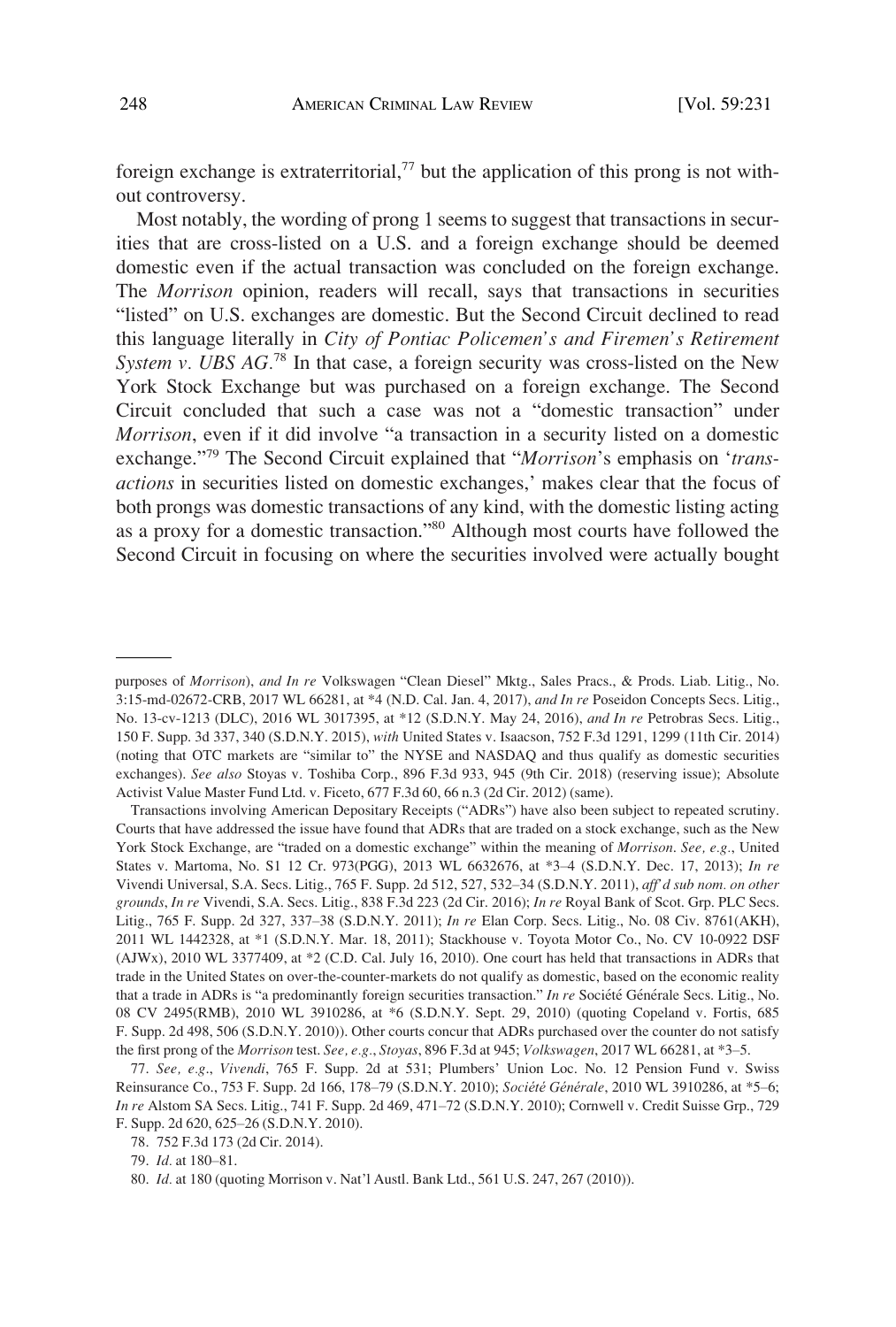foreign exchange is extraterritorial, $77$  but the application of this prong is not without controversy.

Most notably, the wording of prong 1 seems to suggest that transactions in securities that are cross-listed on a U.S. and a foreign exchange should be deemed domestic even if the actual transaction was concluded on the foreign exchange. The *Morrison* opinion, readers will recall, says that transactions in securities "listed" on U.S. exchanges are domestic. But the Second Circuit declined to read this language literally in *City of Pontiac Policemen's and Firemen's Retirement System v. UBS AG.*<sup>78</sup> In that case, a foreign security was cross-listed on the New York Stock Exchange but was purchased on a foreign exchange. The Second Circuit concluded that such a case was not a "domestic transaction" under *Morrison*, even if it did involve "a transaction in a security listed on a domestic exchange."79 The Second Circuit explained that "*Morrison*'s emphasis on '*transactions* in securities listed on domestic exchanges,' makes clear that the focus of both prongs was domestic transactions of any kind, with the domestic listing acting as a proxy for a domestic transaction."80 Although most courts have followed the Second Circuit in focusing on where the securities involved were actually bought

Transactions involving American Depositary Receipts ("ADRs") have also been subject to repeated scrutiny. Courts that have addressed the issue have found that ADRs that are traded on a stock exchange, such as the New York Stock Exchange, are "traded on a domestic exchange" within the meaning of *Morrison*. *See, e.g.*, United States v. Martoma, No. S1 12 Cr. 973(PGG), 2013 WL 6632676, at \*3–4 (S.D.N.Y. Dec. 17, 2013); *In re*  Vivendi Universal, S.A. Secs. Litig., 765 F. Supp. 2d 512, 527, 532–34 (S.D.N.Y. 2011), *aff'd sub nom. on other grounds*, *In re* Vivendi, S.A. Secs. Litig., 838 F.3d 223 (2d Cir. 2016); *In re* Royal Bank of Scot. Grp. PLC Secs. Litig., 765 F. Supp. 2d 327, 337–38 (S.D.N.Y. 2011); *In re* Elan Corp. Secs. Litig., No. 08 Civ. 8761(AKH), 2011 WL 1442328, at \*1 (S.D.N.Y. Mar. 18, 2011); Stackhouse v. Toyota Motor Co., No. CV 10-0922 DSF (AJWx), 2010 WL 3377409, at \*2 (C.D. Cal. July 16, 2010). One court has held that transactions in ADRs that trade in the United States on over-the-counter-markets do not qualify as domestic, based on the economic reality that a trade in ADRs is "a predominantly foreign securities transaction." *In re* Société Générale Secs. Litig., No. 08 CV 2495(RMB), 2010 WL 3910286, at \*6 (S.D.N.Y. Sept. 29, 2010) (quoting Copeland v. Fortis, 685 F. Supp. 2d 498, 506 (S.D.N.Y. 2010)). Other courts concur that ADRs purchased over the counter do not satisfy the first prong of the *Morrison* test. *See, e.g.*, *Stoyas*, 896 F.3d at 945; *Volkswagen*, 2017 WL 66281, at \*3–5.

purposes of *Morrison*), *and In re* Volkswagen "Clean Diesel" Mktg., Sales Pracs., & Prods. Liab. Litig., No. 3:15-md-02672-CRB, 2017 WL 66281, at \*4 (N.D. Cal. Jan. 4, 2017), *and In re* Poseidon Concepts Secs. Litig., No. 13-cv-1213 (DLC), 2016 WL 3017395, at \*12 (S.D.N.Y. May 24, 2016), *and In re* Petrobras Secs. Litig., 150 F. Supp. 3d 337, 340 (S.D.N.Y. 2015), *with* United States v. Isaacson, 752 F.3d 1291, 1299 (11th Cir. 2014) (noting that OTC markets are "similar to" the NYSE and NASDAQ and thus qualify as domestic securities exchanges). *See also* Stoyas v. Toshiba Corp., 896 F.3d 933, 945 (9th Cir. 2018) (reserving issue); Absolute Activist Value Master Fund Ltd. v. Ficeto, 677 F.3d 60, 66 n.3 (2d Cir. 2012) (same).

<sup>77.</sup> *See, e.g*., *Vivendi*, 765 F. Supp. 2d at 531; Plumbers' Union Loc. No. 12 Pension Fund v. Swiss Reinsurance Co., 753 F. Supp. 2d 166, 178–79 (S.D.N.Y. 2010); *Société Générale*, 2010 WL 3910286, at \*5–6; *In re* Alstom SA Secs. Litig., 741 F. Supp. 2d 469, 471–72 (S.D.N.Y. 2010); Cornwell v. Credit Suisse Grp., 729 F. Supp. 2d 620, 625–26 (S.D.N.Y. 2010).

<sup>78. 752</sup> F.3d 173 (2d Cir. 2014).

<sup>79.</sup> *Id.* at 180–81.

<sup>80.</sup> *Id.* at 180 (quoting Morrison v. Nat'l Austl. Bank Ltd., 561 U.S. 247, 267 (2010)).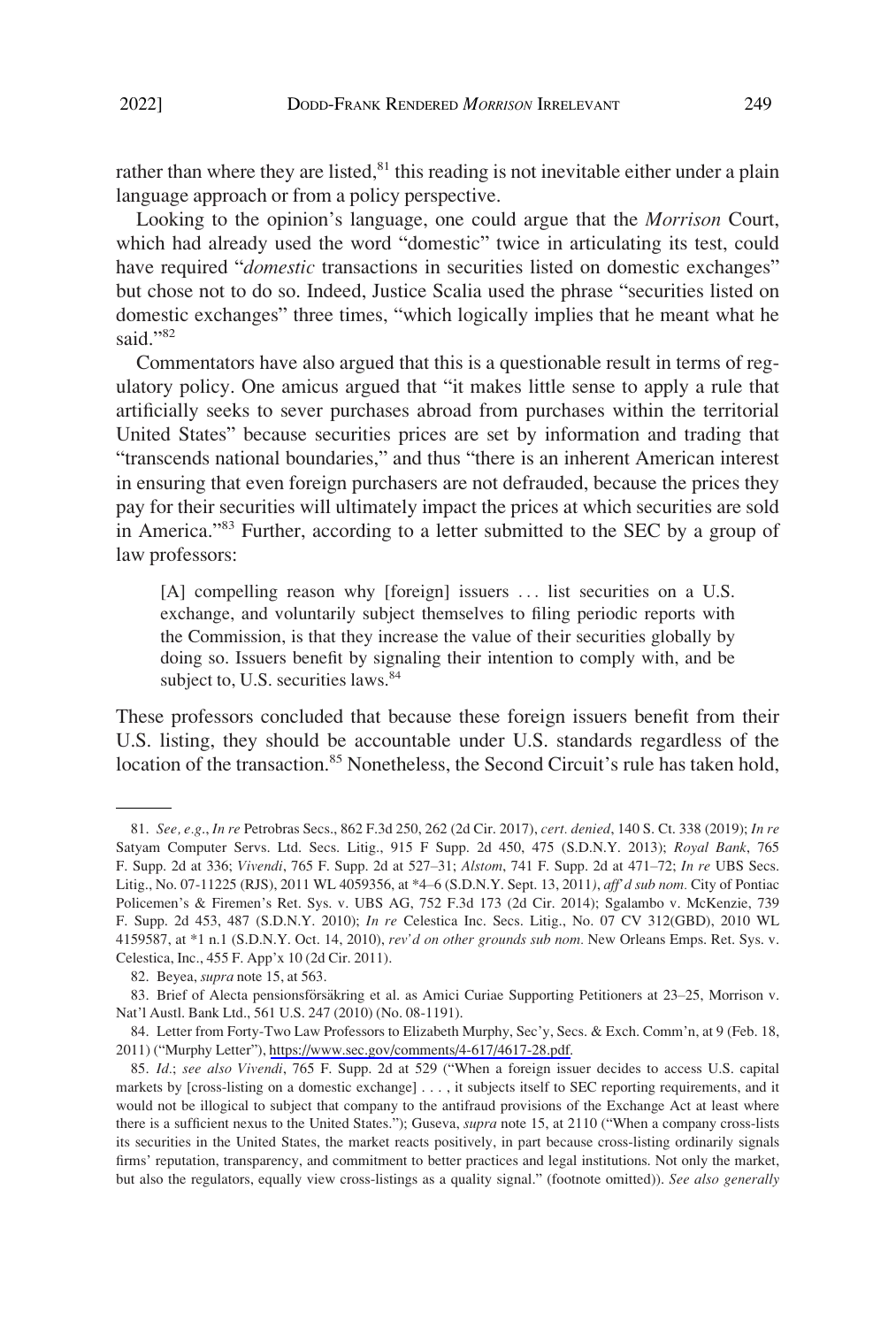rather than where they are listed, $81$  this reading is not inevitable either under a plain language approach or from a policy perspective.

Looking to the opinion's language, one could argue that the *Morrison* Court, which had already used the word "domestic" twice in articulating its test, could have required "*domestic* transactions in securities listed on domestic exchanges" but chose not to do so. Indeed, Justice Scalia used the phrase "securities listed on domestic exchanges" three times, "which logically implies that he meant what he said."82

Commentators have also argued that this is a questionable result in terms of regulatory policy. One amicus argued that "it makes little sense to apply a rule that artificially seeks to sever purchases abroad from purchases within the territorial United States" because securities prices are set by information and trading that "transcends national boundaries," and thus "there is an inherent American interest in ensuring that even foreign purchasers are not defrauded, because the prices they pay for their securities will ultimately impact the prices at which securities are sold in America."83 Further, according to a letter submitted to the SEC by a group of law professors:

[A] compelling reason why [foreign] issuers ... list securities on a U.S. exchange, and voluntarily subject themselves to filing periodic reports with the Commission, is that they increase the value of their securities globally by doing so. Issuers benefit by signaling their intention to comply with, and be subject to, U.S. securities laws.<sup>84</sup>

These professors concluded that because these foreign issuers benefit from their U.S. listing, they should be accountable under U.S. standards regardless of the location of the transaction.<sup>85</sup> Nonetheless, the Second Circuit's rule has taken hold,

<sup>81.</sup> *See, e.g*., *In re* Petrobras Secs., 862 F.3d 250, 262 (2d Cir. 2017), *cert. denied*, 140 S. Ct. 338 (2019); *In re*  Satyam Computer Servs. Ltd. Secs. Litig., 915 F Supp. 2d 450, 475 (S.D.N.Y. 2013); *Royal Bank*, 765 F. Supp. 2d at 336; *Vivendi*, 765 F. Supp. 2d at 527–31; *Alstom*, 741 F. Supp. 2d at 471–72; *In re* UBS Secs. Litig., No. 07-11225 (RJS), 2011 WL 4059356, at \*4–6 (S.D.N.Y. Sept. 13, 2011*)*, *aff'd sub nom.* City of Pontiac Policemen's & Firemen's Ret. Sys. v. UBS AG, 752 F.3d 173 (2d Cir. 2014); Sgalambo v. McKenzie, 739 F. Supp. 2d 453, 487 (S.D.N.Y. 2010); *In re* Celestica Inc. Secs. Litig., No. 07 CV 312(GBD), 2010 WL 4159587, at \*1 n.1 (S.D.N.Y. Oct. 14, 2010), *rev'd on other grounds sub nom.* New Orleans Emps. Ret. Sys. v. Celestica, Inc., 455 F. App'x 10 (2d Cir. 2011).

<sup>82.</sup> Beyea, *supra* note 15, at 563.

<sup>83.</sup> Brief of Alecta pensionsförsäkring et al. as Amici Curiae Supporting Petitioners at 23–25, Morrison v. Nat'l Austl. Bank Ltd., 561 U.S. 247 (2010) (No. 08-1191).

<sup>84.</sup> Letter from Forty-Two Law Professors to Elizabeth Murphy, Sec'y, Secs. & Exch. Comm'n, at 9 (Feb. 18, 2011) ("Murphy Letter"), <https://www.sec.gov/comments/4-617/4617-28.pdf>.

<sup>85.</sup> *Id.*; *see also Vivendi*, 765 F. Supp. 2d at 529 ("When a foreign issuer decides to access U.S. capital markets by [cross-listing on a domestic exchange] . . . , it subjects itself to SEC reporting requirements, and it would not be illogical to subject that company to the antifraud provisions of the Exchange Act at least where there is a sufficient nexus to the United States."); Guseva, *supra* note 15, at 2110 ("When a company cross-lists its securities in the United States, the market reacts positively, in part because cross-listing ordinarily signals firms' reputation, transparency, and commitment to better practices and legal institutions. Not only the market, but also the regulators, equally view cross-listings as a quality signal." (footnote omitted)). *See also generally*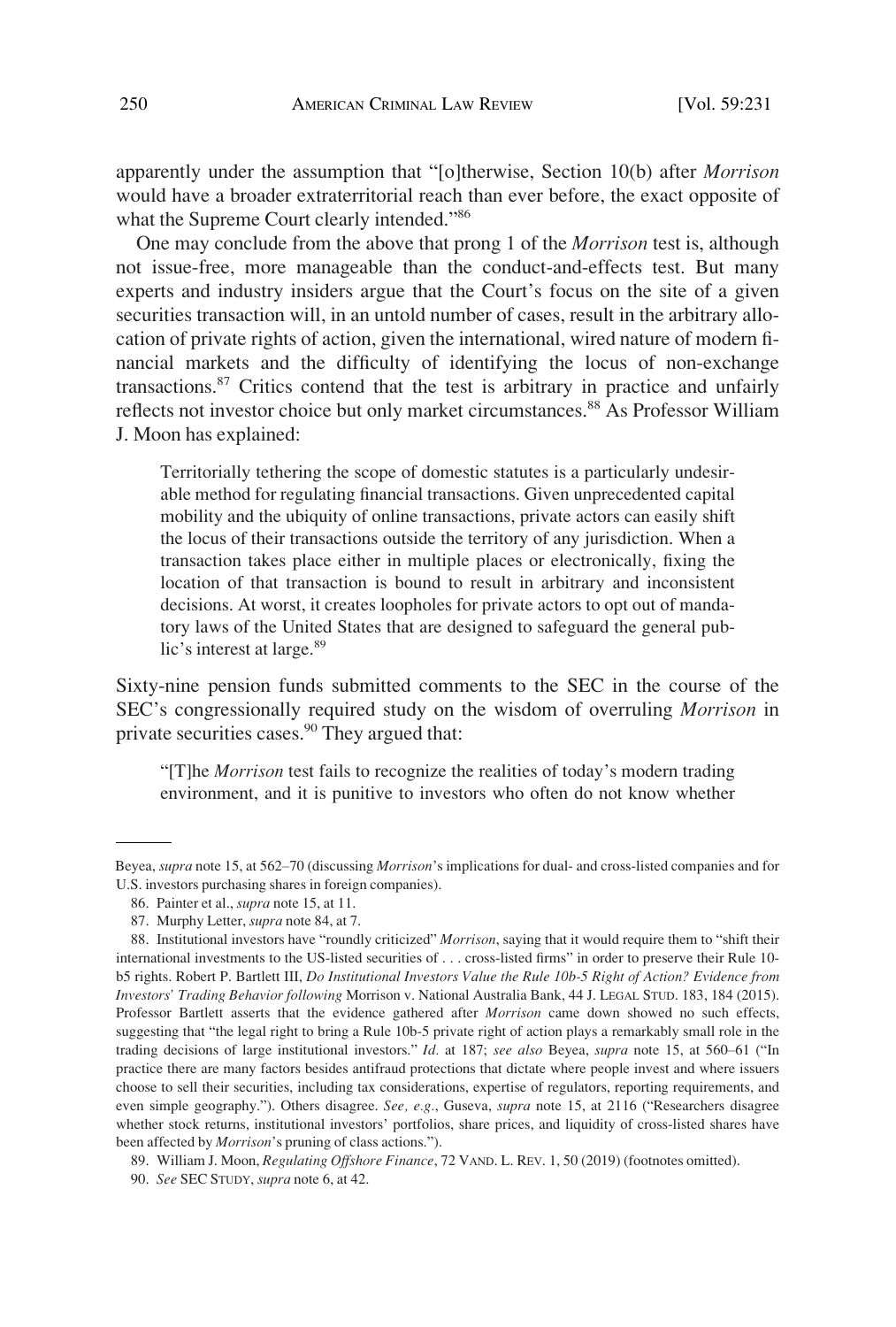apparently under the assumption that "[o]therwise, Section 10(b) after *Morrison*  would have a broader extraterritorial reach than ever before, the exact opposite of what the Supreme Court clearly intended."<sup>86</sup>

One may conclude from the above that prong 1 of the *Morrison* test is, although not issue-free, more manageable than the conduct-and-effects test. But many experts and industry insiders argue that the Court's focus on the site of a given securities transaction will, in an untold number of cases, result in the arbitrary allocation of private rights of action, given the international, wired nature of modern financial markets and the difficulty of identifying the locus of non-exchange transactions.87 Critics contend that the test is arbitrary in practice and unfairly reflects not investor choice but only market circumstances.<sup>88</sup> As Professor William J. Moon has explained:

Territorially tethering the scope of domestic statutes is a particularly undesirable method for regulating financial transactions. Given unprecedented capital mobility and the ubiquity of online transactions, private actors can easily shift the locus of their transactions outside the territory of any jurisdiction. When a transaction takes place either in multiple places or electronically, fixing the location of that transaction is bound to result in arbitrary and inconsistent decisions. At worst, it creates loopholes for private actors to opt out of mandatory laws of the United States that are designed to safeguard the general public's interest at large.<sup>89</sup>

Sixty-nine pension funds submitted comments to the SEC in the course of the SEC's congressionally required study on the wisdom of overruling *Morrison* in private securities cases.<sup>90</sup> They argued that:

"[T]he *Morrison* test fails to recognize the realities of today's modern trading environment, and it is punitive to investors who often do not know whether

Beyea, *supra* note 15, at 562–70 (discussing *Morrison*'s implications for dual- and cross-listed companies and for U.S. investors purchasing shares in foreign companies).

<sup>86.</sup> Painter et al., *supra* note 15, at 11.

<sup>87.</sup> Murphy Letter, *supra* note 84, at 7.

<sup>88.</sup> Institutional investors have "roundly criticized" *Morrison*, saying that it would require them to "shift their international investments to the US-listed securities of . . . cross-listed firms" in order to preserve their Rule 10 b5 rights. Robert P. Bartlett III, *Do Institutional Investors Value the Rule 10b-5 Right of Action? Evidence from Investors' Trading Behavior following* Morrison v. National Australia Bank, 44 J. LEGAL STUD. 183, 184 (2015). Professor Bartlett asserts that the evidence gathered after *Morrison* came down showed no such effects, suggesting that "the legal right to bring a Rule 10b-5 private right of action plays a remarkably small role in the trading decisions of large institutional investors." *Id.* at 187; *see also* Beyea, *supra* note 15, at 560–61 ("In practice there are many factors besides antifraud protections that dictate where people invest and where issuers choose to sell their securities, including tax considerations, expertise of regulators, reporting requirements, and even simple geography."). Others disagree. *See, e.g.*, Guseva, *supra* note 15, at 2116 ("Researchers disagree whether stock returns, institutional investors' portfolios, share prices, and liquidity of cross-listed shares have been affected by *Morrison*'s pruning of class actions.").

<sup>89.</sup> William J. Moon, *Regulating Offshore Finance*, 72 VAND. L. REV. 1, 50 (2019) (footnotes omitted).

<sup>90.</sup> *See* SEC STUDY, *supra* note 6, at 42.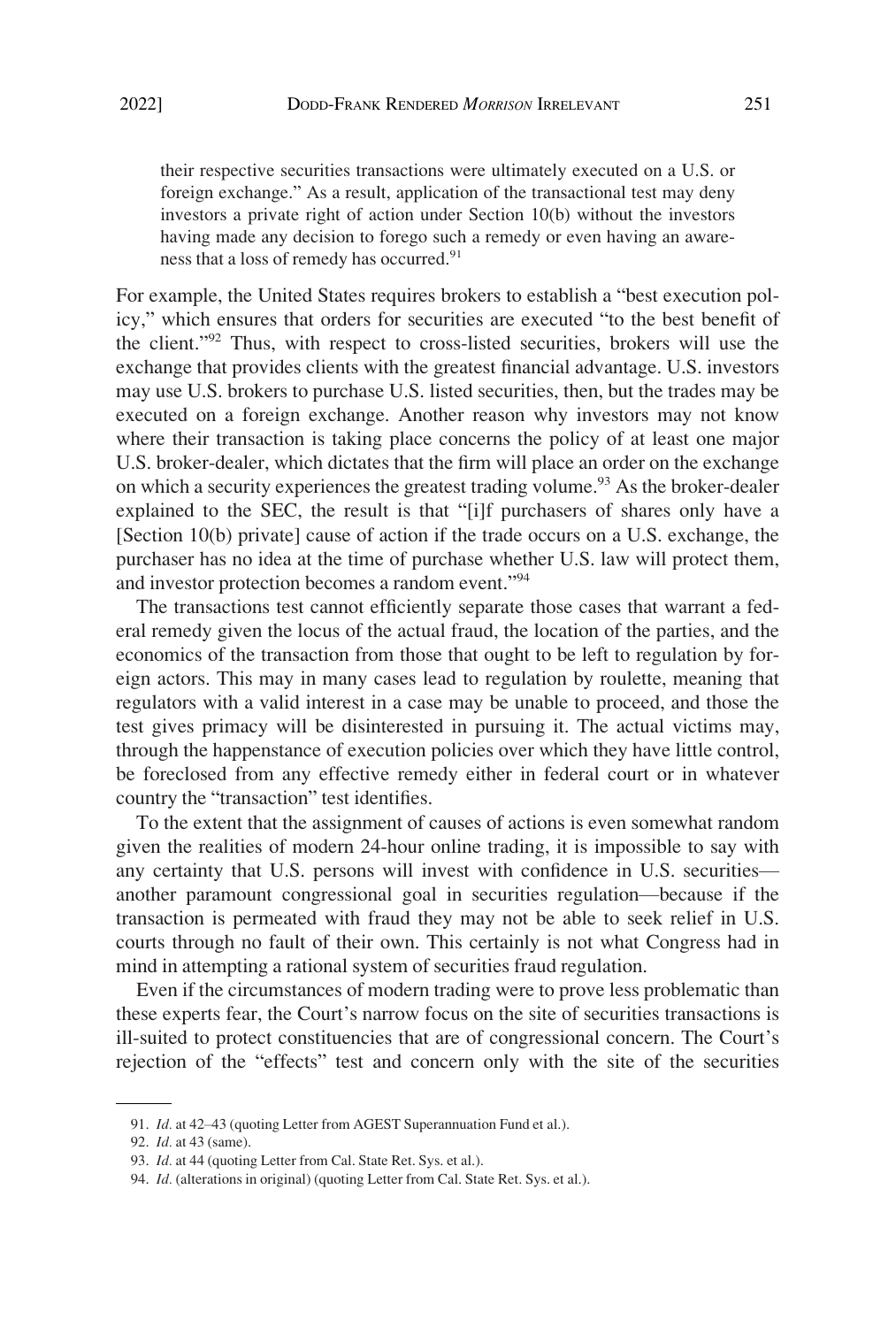their respective securities transactions were ultimately executed on a U.S. or foreign exchange." As a result, application of the transactional test may deny investors a private right of action under Section 10(b) without the investors having made any decision to forego such a remedy or even having an awareness that a loss of remedy has occurred.<sup>91</sup>

For example, the United States requires brokers to establish a "best execution policy," which ensures that orders for securities are executed "to the best benefit of the client."92 Thus, with respect to cross-listed securities, brokers will use the exchange that provides clients with the greatest financial advantage. U.S. investors may use U.S. brokers to purchase U.S. listed securities, then, but the trades may be executed on a foreign exchange. Another reason why investors may not know where their transaction is taking place concerns the policy of at least one major U.S. broker-dealer, which dictates that the firm will place an order on the exchange on which a security experiences the greatest trading volume.<sup>93</sup> As the broker-dealer explained to the SEC, the result is that "[i]f purchasers of shares only have a [Section 10(b) private] cause of action if the trade occurs on a U.S. exchange, the purchaser has no idea at the time of purchase whether U.S. law will protect them, and investor protection becomes a random event."<sup>94</sup>

The transactions test cannot efficiently separate those cases that warrant a federal remedy given the locus of the actual fraud, the location of the parties, and the economics of the transaction from those that ought to be left to regulation by foreign actors. This may in many cases lead to regulation by roulette, meaning that regulators with a valid interest in a case may be unable to proceed, and those the test gives primacy will be disinterested in pursuing it. The actual victims may, through the happenstance of execution policies over which they have little control, be foreclosed from any effective remedy either in federal court or in whatever country the "transaction" test identifies.

To the extent that the assignment of causes of actions is even somewhat random given the realities of modern 24-hour online trading, it is impossible to say with any certainty that U.S. persons will invest with confidence in U.S. securities another paramount congressional goal in securities regulation—because if the transaction is permeated with fraud they may not be able to seek relief in U.S. courts through no fault of their own. This certainly is not what Congress had in mind in attempting a rational system of securities fraud regulation.

Even if the circumstances of modern trading were to prove less problematic than these experts fear, the Court's narrow focus on the site of securities transactions is ill-suited to protect constituencies that are of congressional concern. The Court's rejection of the "effects" test and concern only with the site of the securities

<sup>91.</sup> *Id.* at 42–43 (quoting Letter from AGEST Superannuation Fund et al.).

<sup>92.</sup> *Id.* at 43 (same).

<sup>93.</sup> *Id.* at 44 (quoting Letter from Cal. State Ret. Sys. et al.).

<sup>94.</sup> *Id.* (alterations in original) (quoting Letter from Cal. State Ret. Sys. et al.).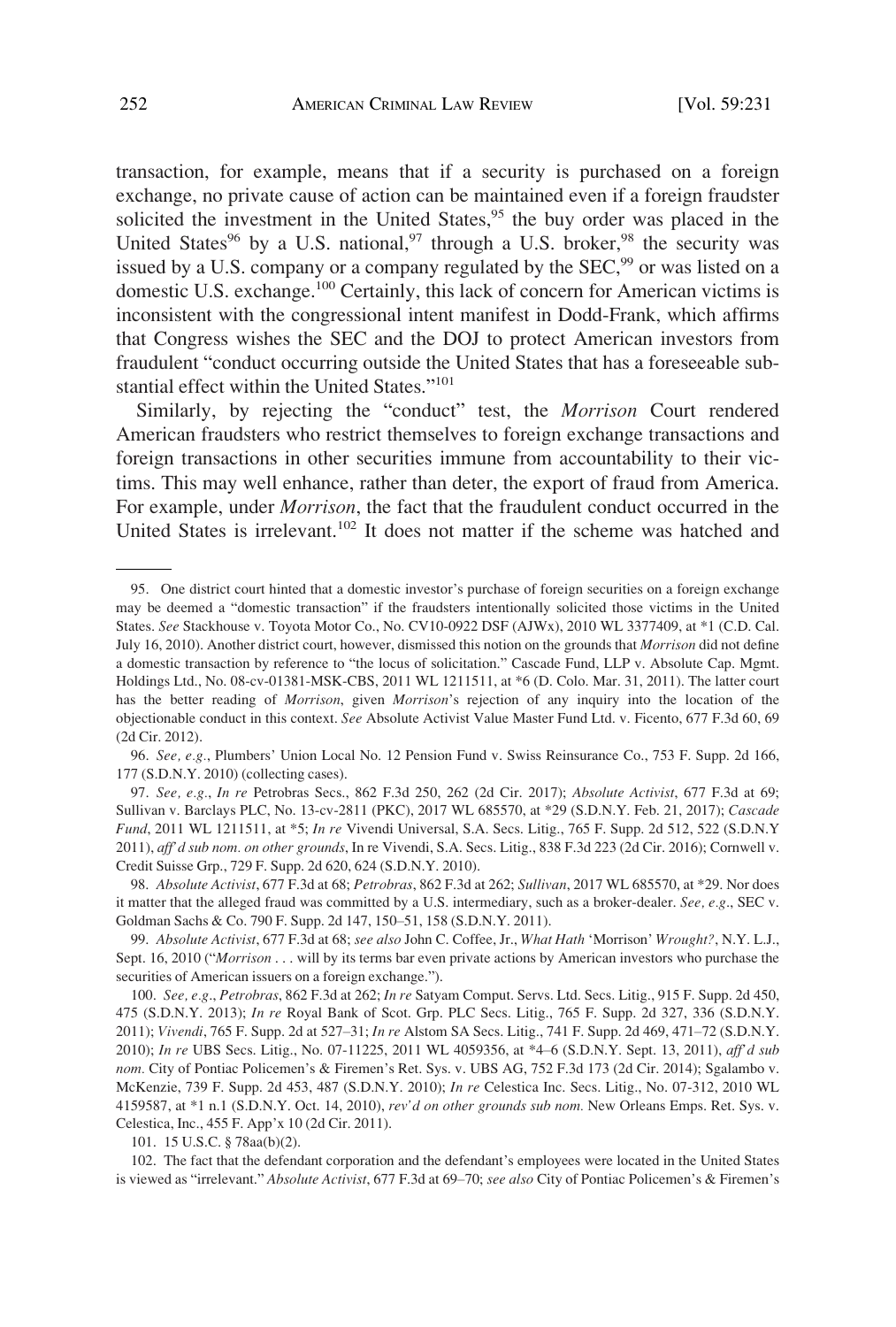transaction, for example, means that if a security is purchased on a foreign exchange, no private cause of action can be maintained even if a foreign fraudster solicited the investment in the United States,<sup>95</sup> the buy order was placed in the United States<sup>96</sup> by a U.S. national,<sup>97</sup> through a U.S. broker,<sup>98</sup> the security was issued by a U.S. company or a company regulated by the  $SEC<sub>299</sub>$  or was listed on a domestic U.S. exchange.<sup>100</sup> Certainly, this lack of concern for American victims is inconsistent with the congressional intent manifest in Dodd-Frank, which affirms that Congress wishes the SEC and the DOJ to protect American investors from fraudulent "conduct occurring outside the United States that has a foreseeable substantial effect within the United States."<sup>101</sup>

Similarly, by rejecting the "conduct" test, the *Morrison* Court rendered American fraudsters who restrict themselves to foreign exchange transactions and foreign transactions in other securities immune from accountability to their victims. This may well enhance, rather than deter, the export of fraud from America. For example, under *Morrison*, the fact that the fraudulent conduct occurred in the United States is irrelevant.<sup>102</sup> It does not matter if the scheme was hatched and

96. *See, e.g.*, Plumbers' Union Local No. 12 Pension Fund v. Swiss Reinsurance Co., 753 F. Supp. 2d 166, 177 (S.D.N.Y. 2010) (collecting cases).

97. *See, e.g.*, *In re* Petrobras Secs., 862 F.3d 250, 262 (2d Cir. 2017); *Absolute Activist*, 677 F.3d at 69; Sullivan v. Barclays PLC, No. 13-cv-2811 (PKC), 2017 WL 685570, at \*29 (S.D.N.Y. Feb. 21, 2017); *Cascade Fund*, 2011 WL 1211511, at \*5; *In re* Vivendi Universal, S.A. Secs. Litig., 765 F. Supp. 2d 512, 522 (S.D.N.Y 2011), *aff'd sub nom. on other grounds*, In re Vivendi, S.A. Secs. Litig., 838 F.3d 223 (2d Cir. 2016); Cornwell v. Credit Suisse Grp., 729 F. Supp. 2d 620, 624 (S.D.N.Y. 2010).

98. *Absolute Activist*, 677 F.3d at 68; *Petrobras*, 862 F.3d at 262; *Sullivan*, 2017 WL 685570, at \*29. Nor does it matter that the alleged fraud was committed by a U.S. intermediary, such as a broker-dealer. *See, e.g*., SEC v. Goldman Sachs & Co. 790 F. Supp. 2d 147, 150–51, 158 (S.D.N.Y. 2011).

99. *Absolute Activist*, 677 F.3d at 68; *see also* John C. Coffee, Jr., *What Hath* 'Morrison' *Wrought?*, N.Y. L.J., Sept. 16, 2010 ("*Morrison* . . . will by its terms bar even private actions by American investors who purchase the securities of American issuers on a foreign exchange.").

100. *See, e.g*., *Petrobras*, 862 F.3d at 262; *In re* Satyam Comput. Servs. Ltd. Secs. Litig., 915 F. Supp. 2d 450, 475 (S.D.N.Y. 2013); *In re* Royal Bank of Scot. Grp. PLC Secs. Litig., 765 F. Supp. 2d 327, 336 (S.D.N.Y. 2011); *Vivendi*, 765 F. Supp. 2d at 527–31; *In re* Alstom SA Secs. Litig., 741 F. Supp. 2d 469, 471–72 (S.D.N.Y. 2010); *In re* UBS Secs. Litig., No. 07-11225, 2011 WL 4059356, at \*4–6 (S.D.N.Y. Sept. 13, 2011), *aff'd sub nom.* City of Pontiac Policemen's & Firemen's Ret. Sys. v. UBS AG, 752 F.3d 173 (2d Cir. 2014); Sgalambo v. McKenzie, 739 F. Supp. 2d 453, 487 (S.D.N.Y. 2010); *In re* Celestica Inc. Secs. Litig., No. 07-312, 2010 WL 4159587, at \*1 n.1 (S.D.N.Y. Oct. 14, 2010), *rev'd on other grounds sub nom.* New Orleans Emps. Ret. Sys. v. Celestica, Inc., 455 F. App'x 10 (2d Cir. 2011).

101. 15 U.S.C. § 78aa(b)(2).

102. The fact that the defendant corporation and the defendant's employees were located in the United States is viewed as "irrelevant." *Absolute Activist*, 677 F.3d at 69–70; *see also* City of Pontiac Policemen's & Firemen's

<sup>95.</sup> One district court hinted that a domestic investor's purchase of foreign securities on a foreign exchange may be deemed a "domestic transaction" if the fraudsters intentionally solicited those victims in the United States. *See* Stackhouse v. Toyota Motor Co., No. CV10-0922 DSF (AJWx), 2010 WL 3377409, at \*1 (C.D. Cal. July 16, 2010). Another district court, however, dismissed this notion on the grounds that *Morrison* did not define a domestic transaction by reference to "the locus of solicitation." Cascade Fund, LLP v. Absolute Cap. Mgmt. Holdings Ltd., No. 08-cv-01381-MSK-CBS, 2011 WL 1211511, at \*6 (D. Colo. Mar. 31, 2011). The latter court has the better reading of *Morrison*, given *Morrison*'s rejection of any inquiry into the location of the objectionable conduct in this context. *See* Absolute Activist Value Master Fund Ltd. v. Ficento, 677 F.3d 60, 69 (2d Cir. 2012).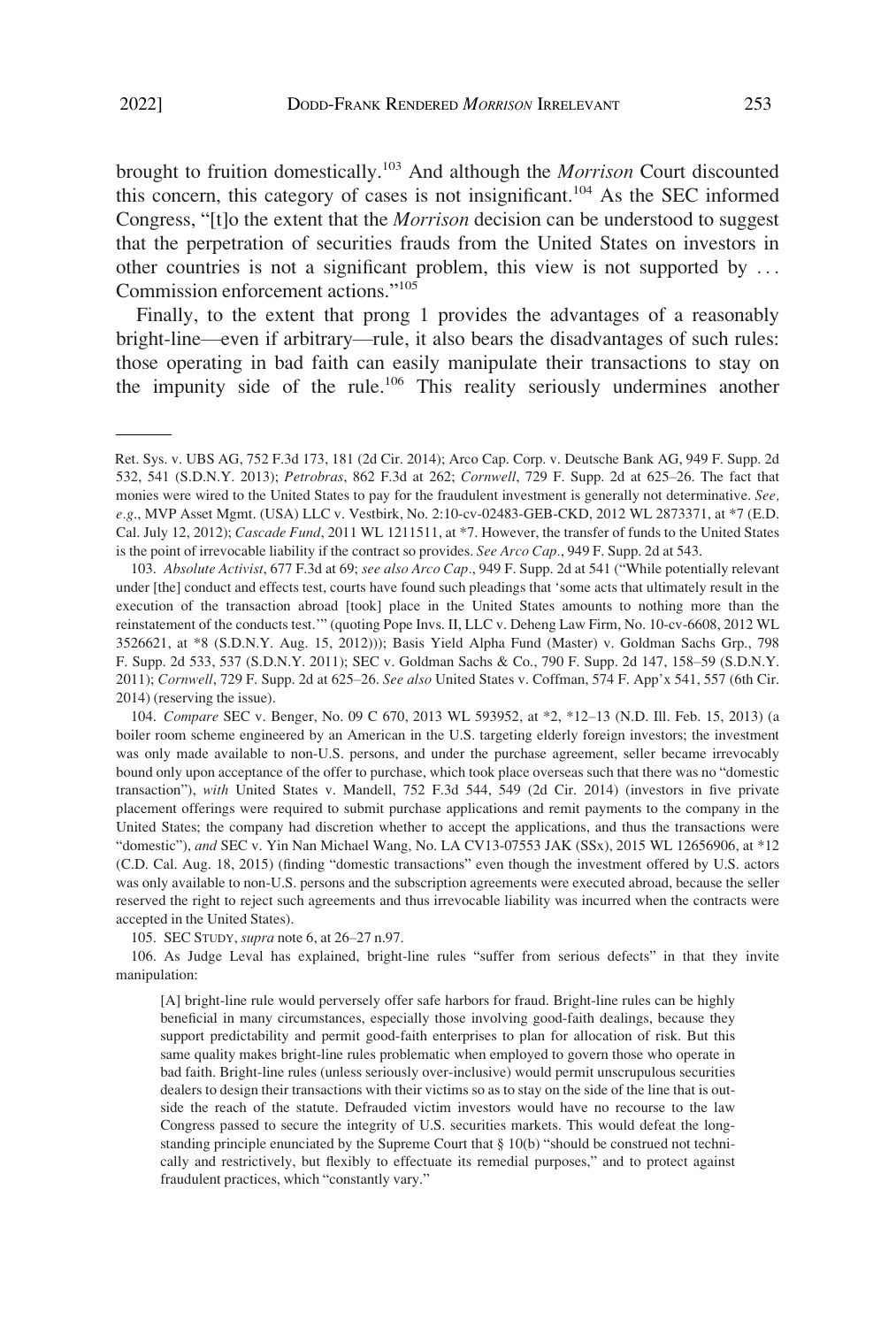brought to fruition domestically.103 And although the *Morrison* Court discounted this concern, this category of cases is not insignificant.104 As the SEC informed Congress, "[t]o the extent that the *Morrison* decision can be understood to suggest that the perpetration of securities frauds from the United States on investors in other countries is not a significant problem, this view is not supported by . . . Commission enforcement actions."<sup>105</sup>

Finally, to the extent that prong 1 provides the advantages of a reasonably bright-line—even if arbitrary—rule, it also bears the disadvantages of such rules: those operating in bad faith can easily manipulate their transactions to stay on the impunity side of the rule.<sup>106</sup> This reality seriously undermines another

103. *Absolute Activist*, 677 F.3d at 69; *see also Arco Cap.*, 949 F. Supp. 2d at 541 ("While potentially relevant under [the] conduct and effects test, courts have found such pleadings that 'some acts that ultimately result in the execution of the transaction abroad [took] place in the United States amounts to nothing more than the reinstatement of the conducts test.'" (quoting Pope Invs. II, LLC v. Deheng Law Firm, No. 10-cv-6608, 2012 WL 3526621, at \*8 (S.D.N.Y. Aug. 15, 2012))); Basis Yield Alpha Fund (Master) v. Goldman Sachs Grp., 798 F. Supp. 2d 533, 537 (S.D.N.Y. 2011); SEC v. Goldman Sachs & Co., 790 F. Supp. 2d 147, 158–59 (S.D.N.Y. 2011); *Cornwell*, 729 F. Supp. 2d at 625–26. *See also* United States v. Coffman, 574 F. App'x 541, 557 (6th Cir. 2014) (reserving the issue).

105. SEC STUDY, *supra* note 6, at 26–27 n.97.

106. As Judge Leval has explained, bright-line rules "suffer from serious defects" in that they invite manipulation:

[A] bright-line rule would perversely offer safe harbors for fraud. Bright-line rules can be highly beneficial in many circumstances, especially those involving good-faith dealings, because they support predictability and permit good-faith enterprises to plan for allocation of risk. But this same quality makes bright-line rules problematic when employed to govern those who operate in bad faith. Bright-line rules (unless seriously over-inclusive) would permit unscrupulous securities dealers to design their transactions with their victims so as to stay on the side of the line that is outside the reach of the statute. Defrauded victim investors would have no recourse to the law Congress passed to secure the integrity of U.S. securities markets. This would defeat the longstanding principle enunciated by the Supreme Court that § 10(b) "should be construed not technically and restrictively, but flexibly to effectuate its remedial purposes," and to protect against fraudulent practices, which "constantly vary."

Ret. Sys. v. UBS AG, 752 F.3d 173, 181 (2d Cir. 2014); Arco Cap. Corp. v. Deutsche Bank AG, 949 F. Supp. 2d 532, 541 (S.D.N.Y. 2013); *Petrobras*, 862 F.3d at 262; *Cornwell*, 729 F. Supp. 2d at 625–26. The fact that monies were wired to the United States to pay for the fraudulent investment is generally not determinative. *See, e.g*., MVP Asset Mgmt. (USA) LLC v. Vestbirk, No. 2:10-cv-02483-GEB-CKD, 2012 WL 2873371, at \*7 (E.D. Cal. July 12, 2012); *Cascade Fund*, 2011 WL 1211511, at \*7. However, the transfer of funds to the United States is the point of irrevocable liability if the contract so provides. *See Arco Cap.*, 949 F. Supp. 2d at 543.

<sup>104.</sup> *Compare* SEC v. Benger, No. 09 C 670, 2013 WL 593952, at \*2, \*12–13 (N.D. Ill. Feb. 15, 2013) (a boiler room scheme engineered by an American in the U.S. targeting elderly foreign investors; the investment was only made available to non-U.S. persons, and under the purchase agreement, seller became irrevocably bound only upon acceptance of the offer to purchase, which took place overseas such that there was no "domestic transaction"), *with* United States v. Mandell, 752 F.3d 544, 549 (2d Cir. 2014) (investors in five private placement offerings were required to submit purchase applications and remit payments to the company in the United States; the company had discretion whether to accept the applications, and thus the transactions were "domestic"), *and* SEC v. Yin Nan Michael Wang, No. LA CV13-07553 JAK (SSx), 2015 WL 12656906, at \*12 (C.D. Cal. Aug. 18, 2015) (finding "domestic transactions" even though the investment offered by U.S. actors was only available to non-U.S. persons and the subscription agreements were executed abroad, because the seller reserved the right to reject such agreements and thus irrevocable liability was incurred when the contracts were accepted in the United States).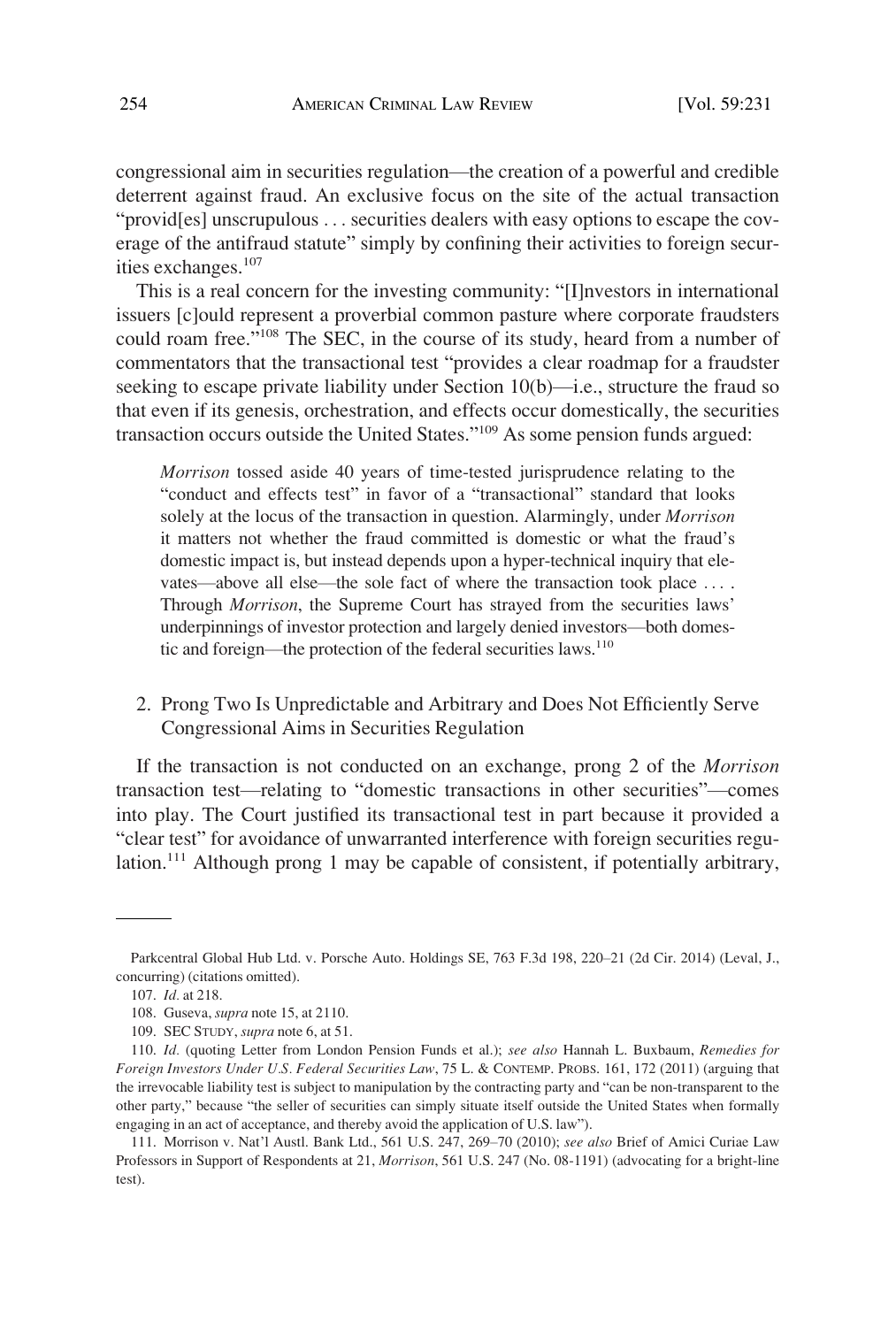<span id="page-23-0"></span>congressional aim in securities regulation—the creation of a powerful and credible deterrent against fraud. An exclusive focus on the site of the actual transaction "provid[es] unscrupulous . . . securities dealers with easy options to escape the coverage of the antifraud statute" simply by confining their activities to foreign securities exchanges.<sup>107</sup>

This is a real concern for the investing community: "[I]nvestors in international issuers [c]ould represent a proverbial common pasture where corporate fraudsters could roam free."108 The SEC, in the course of its study, heard from a number of commentators that the transactional test "provides a clear roadmap for a fraudster seeking to escape private liability under Section 10(b)—i.e., structure the fraud so that even if its genesis, orchestration, and effects occur domestically, the securities transaction occurs outside the United States."109 As some pension funds argued:

*Morrison* tossed aside 40 years of time-tested jurisprudence relating to the "conduct and effects test" in favor of a "transactional" standard that looks solely at the locus of the transaction in question. Alarmingly, under *Morrison*  it matters not whether the fraud committed is domestic or what the fraud's domestic impact is, but instead depends upon a hyper-technical inquiry that elevates—above all else—the sole fact of where the transaction took place .... Through *Morrison*, the Supreme Court has strayed from the securities laws' underpinnings of investor protection and largely denied investors—both domestic and foreign—the protection of the federal securities laws.<sup>110</sup>

## 2. Prong Two Is Unpredictable and Arbitrary and Does Not Efficiently Serve Congressional Aims in Securities Regulation

If the transaction is not conducted on an exchange, prong 2 of the *Morrison*  transaction test—relating to "domestic transactions in other securities"—comes into play. The Court justified its transactional test in part because it provided a "clear test" for avoidance of unwarranted interference with foreign securities regulation.<sup>111</sup> Although prong 1 may be capable of consistent, if potentially arbitrary,

Parkcentral Global Hub Ltd. v. Porsche Auto. Holdings SE, 763 F.3d 198, 220–21 (2d Cir. 2014) (Leval, J., concurring) (citations omitted).

<sup>107.</sup> *Id.* at 218.

<sup>108.</sup> Guseva, *supra* note 15, at 2110.

<sup>109.</sup> SEC STUDY, *supra* note 6, at 51.

<sup>110.</sup> *Id.* (quoting Letter from London Pension Funds et al.); *see also* Hannah L. Buxbaum, *Remedies for Foreign Investors Under U.S. Federal Securities Law*, 75 L. & CONTEMP. PROBS. 161, 172 (2011) (arguing that the irrevocable liability test is subject to manipulation by the contracting party and "can be non-transparent to the other party," because "the seller of securities can simply situate itself outside the United States when formally engaging in an act of acceptance, and thereby avoid the application of U.S. law").

<sup>111.</sup> Morrison v. Nat'l Austl. Bank Ltd., 561 U.S. 247, 269–70 (2010); *see also* Brief of Amici Curiae Law Professors in Support of Respondents at 21, *Morrison*, 561 U.S. 247 (No. 08-1191) (advocating for a bright-line test).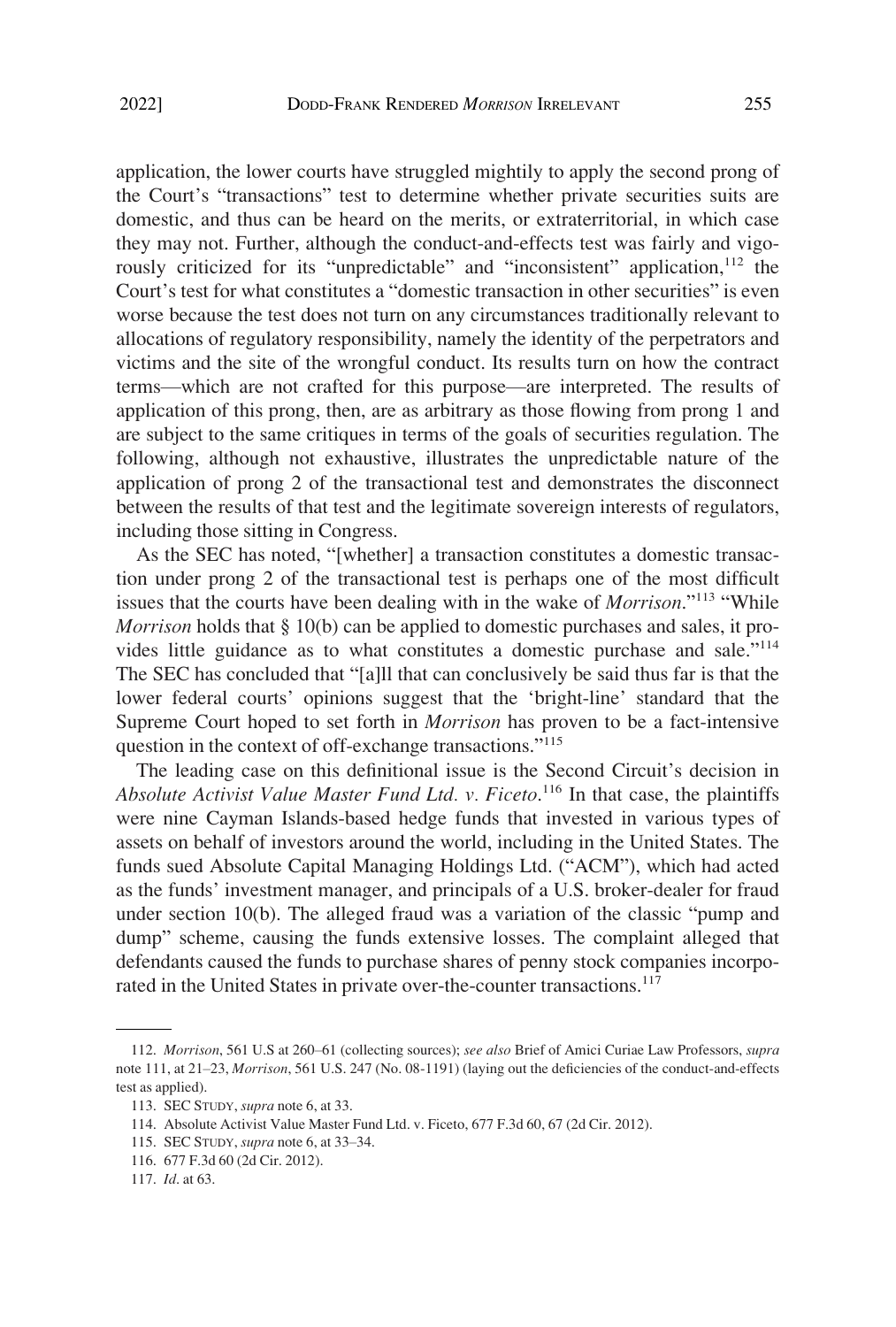application, the lower courts have struggled mightily to apply the second prong of the Court's "transactions" test to determine whether private securities suits are domestic, and thus can be heard on the merits, or extraterritorial, in which case they may not. Further, although the conduct-and-effects test was fairly and vigorously criticized for its "unpredictable" and "inconsistent" application,<sup>112</sup> the Court's test for what constitutes a "domestic transaction in other securities" is even worse because the test does not turn on any circumstances traditionally relevant to allocations of regulatory responsibility, namely the identity of the perpetrators and victims and the site of the wrongful conduct. Its results turn on how the contract terms—which are not crafted for this purpose—are interpreted. The results of application of this prong, then, are as arbitrary as those flowing from prong 1 and are subject to the same critiques in terms of the goals of securities regulation. The following, although not exhaustive, illustrates the unpredictable nature of the application of prong 2 of the transactional test and demonstrates the disconnect between the results of that test and the legitimate sovereign interests of regulators, including those sitting in Congress.

As the SEC has noted, "[whether] a transaction constitutes a domestic transaction under prong 2 of the transactional test is perhaps one of the most difficult issues that the courts have been dealing with in the wake of *Morrison*."<sup>113</sup> "While *Morrison* holds that § 10(b) can be applied to domestic purchases and sales, it provides little guidance as to what constitutes a domestic purchase and sale."<sup>114</sup> The SEC has concluded that "[a]ll that can conclusively be said thus far is that the lower federal courts' opinions suggest that the 'bright-line' standard that the Supreme Court hoped to set forth in *Morrison* has proven to be a fact-intensive question in the context of off-exchange transactions."<sup>115</sup>

The leading case on this definitional issue is the Second Circuit's decision in Absolute Activist Value Master Fund Ltd. v. Ficeto.<sup>116</sup> In that case, the plaintiffs were nine Cayman Islands-based hedge funds that invested in various types of assets on behalf of investors around the world, including in the United States. The funds sued Absolute Capital Managing Holdings Ltd. ("ACM"), which had acted as the funds' investment manager, and principals of a U.S. broker-dealer for fraud under section 10(b). The alleged fraud was a variation of the classic "pump and dump" scheme, causing the funds extensive losses. The complaint alleged that defendants caused the funds to purchase shares of penny stock companies incorporated in the United States in private over-the-counter transactions.<sup>117</sup>

<sup>112.</sup> *Morrison*, 561 U.S at 260–61 (collecting sources); *see also* Brief of Amici Curiae Law Professors, *supra*  note 111, at 21–23, *Morrison*, 561 U.S. 247 (No. 08-1191) (laying out the deficiencies of the conduct-and-effects test as applied).

<sup>113.</sup> SEC STUDY, *supra* note 6, at 33.

<sup>114.</sup> Absolute Activist Value Master Fund Ltd. v. Ficeto, 677 F.3d 60, 67 (2d Cir. 2012).

<sup>115.</sup> SEC STUDY, *supra* note 6, at 33–34.

<sup>116. 677</sup> F.3d 60 (2d Cir. 2012).

<sup>117.</sup> *Id*. at 63.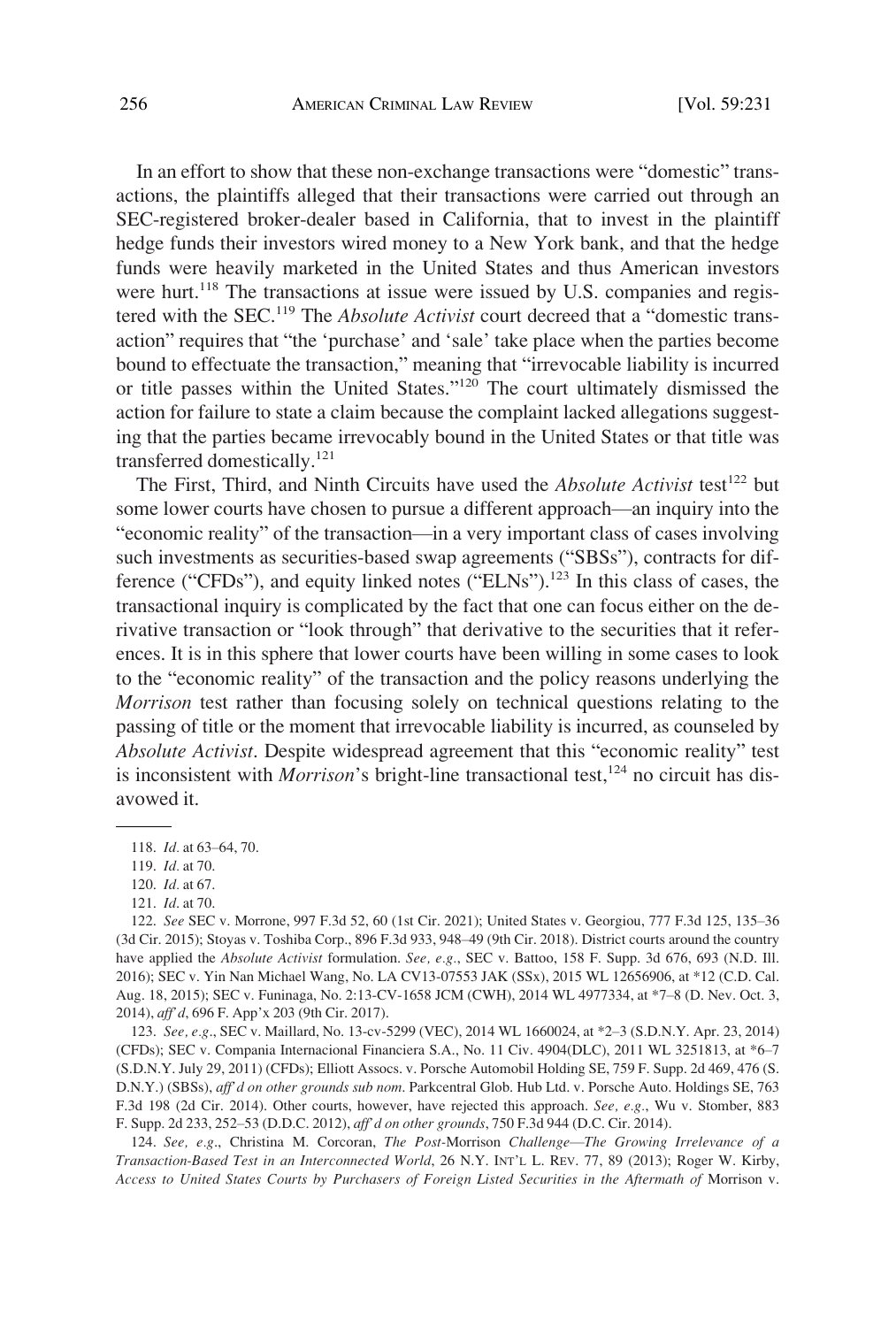In an effort to show that these non-exchange transactions were "domestic" transactions, the plaintiffs alleged that their transactions were carried out through an SEC-registered broker-dealer based in California, that to invest in the plaintiff hedge funds their investors wired money to a New York bank, and that the hedge funds were heavily marketed in the United States and thus American investors were hurt.<sup>118</sup> The transactions at issue were issued by U.S. companies and registered with the SEC.119 The *Absolute Activist* court decreed that a "domestic transaction" requires that "the 'purchase' and 'sale' take place when the parties become bound to effectuate the transaction," meaning that "irrevocable liability is incurred or title passes within the United States."<sup>120</sup> The court ultimately dismissed the action for failure to state a claim because the complaint lacked allegations suggesting that the parties became irrevocably bound in the United States or that title was transferred domestically.<sup>121</sup>

The First, Third, and Ninth Circuits have used the *Absolute Activist* test<sup>122</sup> but some lower courts have chosen to pursue a different approach—an inquiry into the "economic reality" of the transaction—in a very important class of cases involving such investments as securities-based swap agreements ("SBSs"), contracts for difference ("CFDs"), and equity linked notes ("ELNs").<sup>123</sup> In this class of cases, the transactional inquiry is complicated by the fact that one can focus either on the derivative transaction or "look through" that derivative to the securities that it references. It is in this sphere that lower courts have been willing in some cases to look to the "economic reality" of the transaction and the policy reasons underlying the *Morrison* test rather than focusing solely on technical questions relating to the passing of title or the moment that irrevocable liability is incurred, as counseled by *Absolute Activist*. Despite widespread agreement that this "economic reality" test is inconsistent with *Morrison*'s bright-line transactional test,  $124$  no circuit has disavowed it.

123. *See, e.g*., SEC v. Maillard, No. 13-cv-5299 (VEC), 2014 WL 1660024, at \*2–3 (S.D.N.Y. Apr. 23, 2014) (CFDs); SEC v. Compania Internacional Financiera S.A., No. 11 Civ. 4904(DLC), 2011 WL 3251813, at \*6–7 (S.D.N.Y. July 29, 2011) (CFDs); Elliott Assocs. v. Porsche Automobil Holding SE, 759 F. Supp. 2d 469, 476 (S. D.N.Y.) (SBSs), *aff'd on other grounds sub nom*. Parkcentral Glob. Hub Ltd. v. Porsche Auto. Holdings SE, 763 F.3d 198 (2d Cir. 2014). Other courts, however, have rejected this approach. *See, e.g.*, Wu v. Stomber, 883 F. Supp. 2d 233, 252–53 (D.D.C. 2012), *aff'd on other grounds*, 750 F.3d 944 (D.C. Cir. 2014).

124. *See, e.g*., Christina M. Corcoran, *The Post-*Morrison *Challenge*—*The Growing Irrelevance of a Transaction-Based Test in an Interconnected World*, 26 N.Y. INT'L L. REV. 77, 89 (2013); Roger W. Kirby, *Access to United States Courts by Purchasers of Foreign Listed Securities in the Aftermath of* Morrison v.

<sup>118.</sup> *Id.* at 63–64, 70.

<sup>119.</sup> *Id.* at 70.

<sup>120.</sup> *Id.* at 67.

<sup>121.</sup> *Id*. at 70.

<sup>122.</sup> *See* SEC v. Morrone, 997 F.3d 52, 60 (1st Cir. 2021); United States v. Georgiou, 777 F.3d 125, 135–36 (3d Cir. 2015); Stoyas v. Toshiba Corp., 896 F.3d 933, 948–49 (9th Cir. 2018). District courts around the country have applied the *Absolute Activist* formulation. *See, e.g.*, SEC v. Battoo, 158 F. Supp. 3d 676, 693 (N.D. Ill. 2016); SEC v. Yin Nan Michael Wang, No. LA CV13-07553 JAK (SSx), 2015 WL 12656906, at \*12 (C.D. Cal. Aug. 18, 2015); SEC v. Funinaga, No. 2:13-CV-1658 JCM (CWH), 2014 WL 4977334, at \*7–8 (D. Nev. Oct. 3, 2014), *aff'd*, 696 F. App'x 203 (9th Cir. 2017).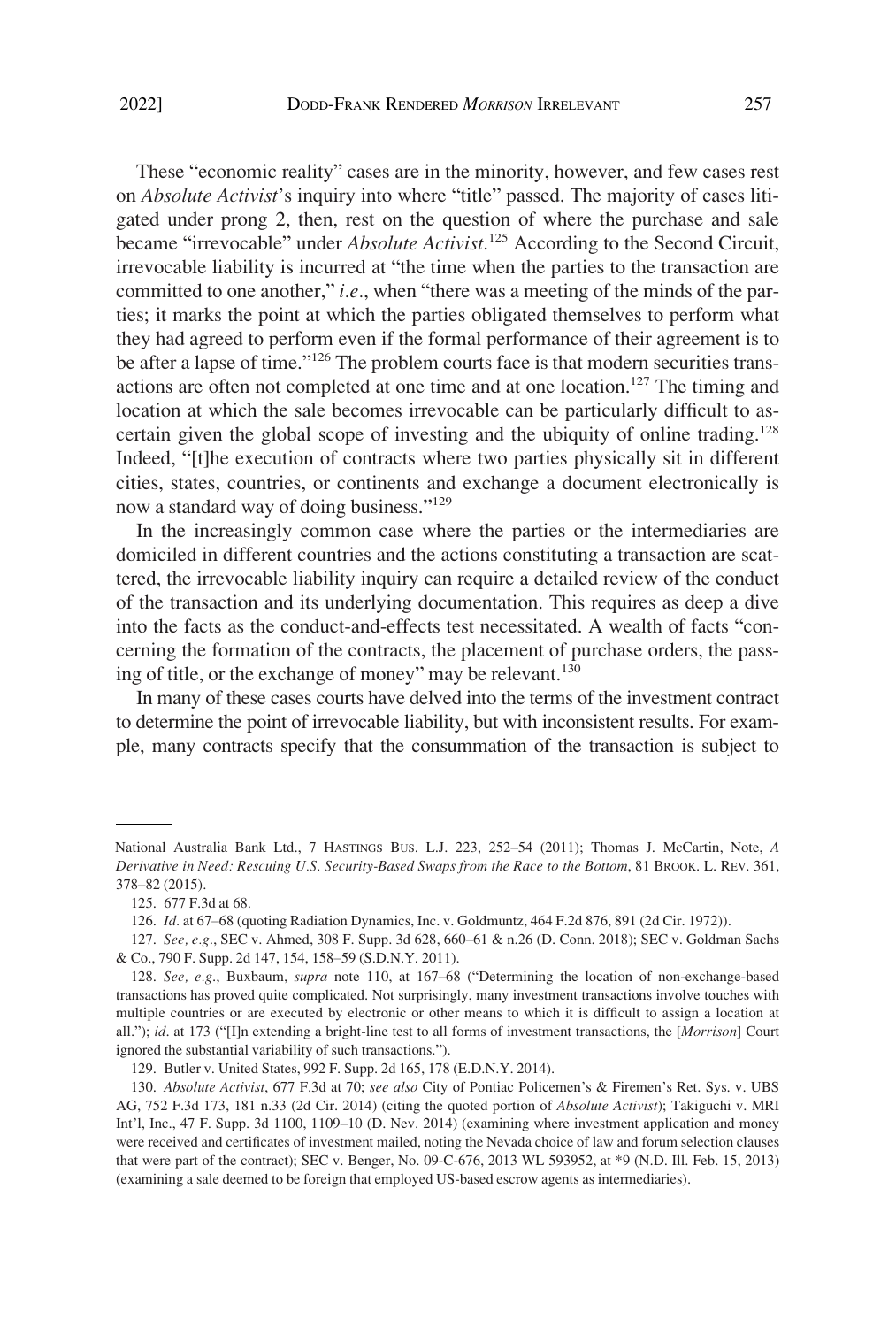These "economic reality" cases are in the minority, however, and few cases rest on *Absolute Activist*'s inquiry into where "title" passed. The majority of cases litigated under prong 2, then, rest on the question of where the purchase and sale became "irrevocable" under *Absolute Activist*. 125 According to the Second Circuit, irrevocable liability is incurred at "the time when the parties to the transaction are committed to one another," *i.e.*, when "there was a meeting of the minds of the parties; it marks the point at which the parties obligated themselves to perform what they had agreed to perform even if the formal performance of their agreement is to be after a lapse of time."<sup>126</sup> The problem courts face is that modern securities transactions are often not completed at one time and at one location.<sup>127</sup> The timing and location at which the sale becomes irrevocable can be particularly difficult to ascertain given the global scope of investing and the ubiquity of online trading.<sup>128</sup> Indeed, "[t]he execution of contracts where two parties physically sit in different cities, states, countries, or continents and exchange a document electronically is now a standard way of doing business."<sup>129</sup>

In the increasingly common case where the parties or the intermediaries are domiciled in different countries and the actions constituting a transaction are scattered, the irrevocable liability inquiry can require a detailed review of the conduct of the transaction and its underlying documentation. This requires as deep a dive into the facts as the conduct-and-effects test necessitated. A wealth of facts "concerning the formation of the contracts, the placement of purchase orders, the passing of title, or the exchange of money" may be relevant.<sup>130</sup>

In many of these cases courts have delved into the terms of the investment contract to determine the point of irrevocable liability, but with inconsistent results. For example, many contracts specify that the consummation of the transaction is subject to

National Australia Bank Ltd., 7 HASTINGS BUS. L.J. 223, 252–54 (2011); Thomas J. McCartin, Note, *A Derivative in Need: Rescuing U.S. Security-Based Swaps from the Race to the Bottom*, 81 BROOK. L. REV. 361, 378–82 (2015).

<sup>125. 677</sup> F.3d at 68.

<sup>126.</sup> *Id.* at 67–68 (quoting Radiation Dynamics, Inc. v. Goldmuntz, 464 F.2d 876, 891 (2d Cir. 1972)).

<sup>127.</sup> *See, e.g*., SEC v. Ahmed, 308 F. Supp. 3d 628, 660–61 & n.26 (D. Conn. 2018); SEC v. Goldman Sachs & Co., 790 F. Supp. 2d 147, 154, 158–59 (S.D.N.Y. 2011).

<sup>128.</sup> *See, e.g*., Buxbaum, *supra* note 110, at 167–68 ("Determining the location of non-exchange-based transactions has proved quite complicated. Not surprisingly, many investment transactions involve touches with multiple countries or are executed by electronic or other means to which it is difficult to assign a location at all."); *id*. at 173 ("[I]n extending a bright-line test to all forms of investment transactions, the [*Morrison*] Court ignored the substantial variability of such transactions.").

<sup>129.</sup> Butler v. United States, 992 F. Supp. 2d 165, 178 (E.D.N.Y. 2014).

<sup>130.</sup> *Absolute Activist*, 677 F.3d at 70; *see also* City of Pontiac Policemen's & Firemen's Ret. Sys. v. UBS AG, 752 F.3d 173, 181 n.33 (2d Cir. 2014) (citing the quoted portion of *Absolute Activist*); Takiguchi v. MRI Int'l, Inc., 47 F. Supp. 3d 1100, 1109–10 (D. Nev. 2014) (examining where investment application and money were received and certificates of investment mailed, noting the Nevada choice of law and forum selection clauses that were part of the contract); SEC v. Benger, No. 09-C-676, 2013 WL 593952, at \*9 (N.D. Ill. Feb. 15, 2013) (examining a sale deemed to be foreign that employed US-based escrow agents as intermediaries).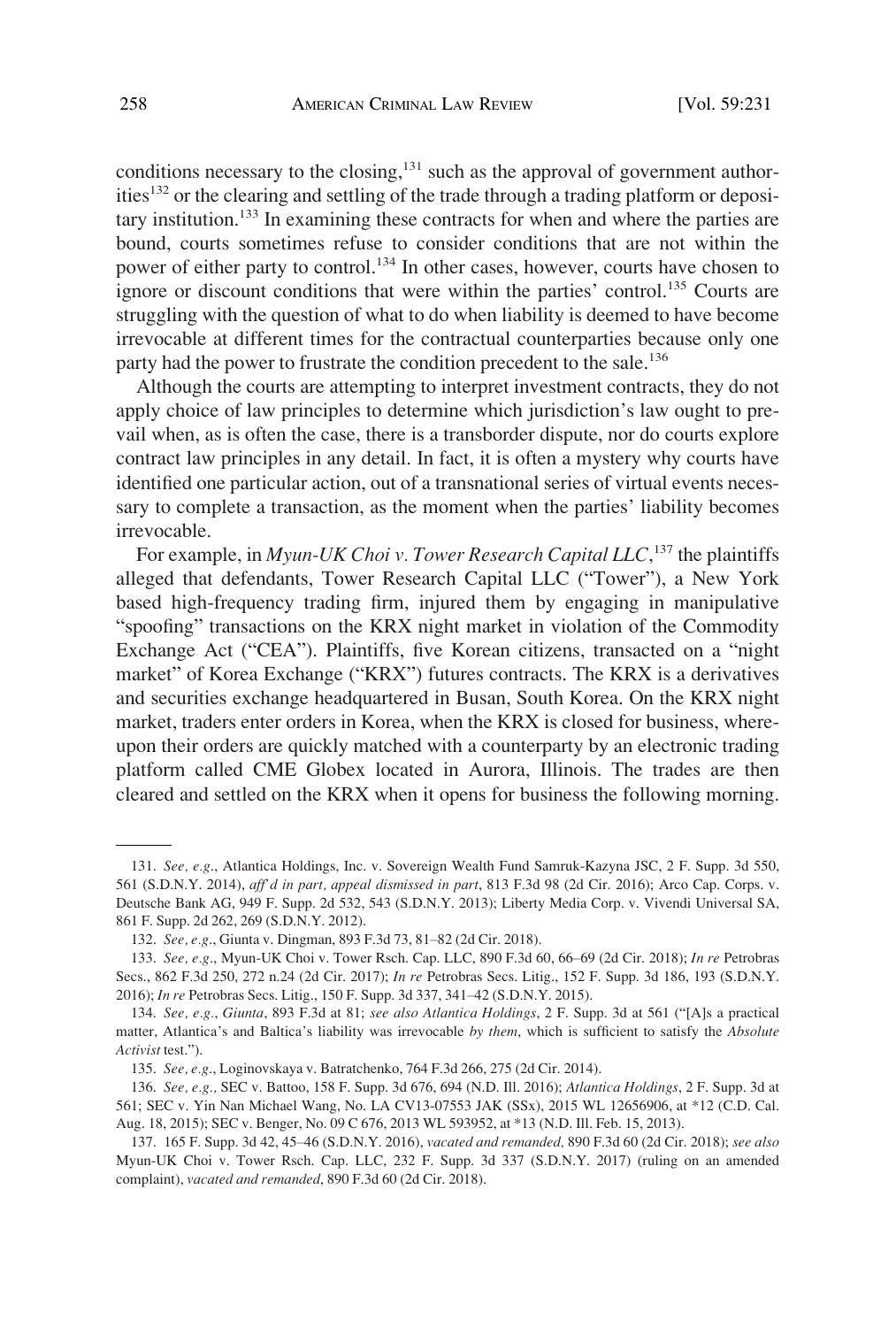conditions necessary to the closing,<sup>131</sup> such as the approval of government authorities<sup>132</sup> or the clearing and settling of the trade through a trading platform or depositary institution.133 In examining these contracts for when and where the parties are bound, courts sometimes refuse to consider conditions that are not within the power of either party to control.<sup>134</sup> In other cases, however, courts have chosen to ignore or discount conditions that were within the parties' control.<sup>135</sup> Courts are struggling with the question of what to do when liability is deemed to have become irrevocable at different times for the contractual counterparties because only one party had the power to frustrate the condition precedent to the sale.<sup>136</sup>

Although the courts are attempting to interpret investment contracts, they do not apply choice of law principles to determine which jurisdiction's law ought to prevail when, as is often the case, there is a transborder dispute, nor do courts explore contract law principles in any detail. In fact, it is often a mystery why courts have identified one particular action, out of a transnational series of virtual events necessary to complete a transaction, as the moment when the parties' liability becomes irrevocable.

For example, in *Myun-UK Choi v. Tower Research Capital LLC*, 137 the plaintiffs alleged that defendants, Tower Research Capital LLC ("Tower"), a New York based high-frequency trading firm, injured them by engaging in manipulative "spoofing" transactions on the KRX night market in violation of the Commodity Exchange Act ("CEA"). Plaintiffs, five Korean citizens, transacted on a "night market" of Korea Exchange ("KRX") futures contracts. The KRX is a derivatives and securities exchange headquartered in Busan, South Korea. On the KRX night market, traders enter orders in Korea, when the KRX is closed for business, whereupon their orders are quickly matched with a counterparty by an electronic trading platform called CME Globex located in Aurora, Illinois. The trades are then cleared and settled on the KRX when it opens for business the following morning.

<sup>131.</sup> *See, e.g*., Atlantica Holdings, Inc. v. Sovereign Wealth Fund Samruk-Kazyna JSC, 2 F. Supp. 3d 550, 561 (S.D.N.Y. 2014), *aff'd in part, appeal dismissed in part*, 813 F.3d 98 (2d Cir. 2016); Arco Cap. Corps. v. Deutsche Bank AG, 949 F. Supp. 2d 532, 543 (S.D.N.Y. 2013); Liberty Media Corp. v. Vivendi Universal SA, 861 F. Supp. 2d 262, 269 (S.D.N.Y. 2012).

<sup>132.</sup> *See, e.g*., Giunta v. Dingman, 893 F.3d 73, 81–82 (2d Cir. 2018).

<sup>133.</sup> *See, e.g*., Myun-UK Choi v. Tower Rsch. Cap. LLC, 890 F.3d 60, 66–69 (2d Cir. 2018); *In re* Petrobras Secs., 862 F.3d 250, 272 n.24 (2d Cir. 2017); *In re* Petrobras Secs. Litig., 152 F. Supp. 3d 186, 193 (S.D.N.Y. 2016); *In re* Petrobras Secs. Litig., 150 F. Supp. 3d 337, 341–42 (S.D.N.Y. 2015).

<sup>134.</sup> *See, e.g.*, *Giunta*, 893 F.3d at 81; *see also Atlantica Holdings*, 2 F. Supp. 3d at 561 ("[A]s a practical matter, Atlantica's and Baltica's liability was irrevocable *by them*, which is sufficient to satisfy the *Absolute Activist* test.").

<sup>135.</sup> *See, e.g*., Loginovskaya v. Batratchenko, 764 F.3d 266, 275 (2d Cir. 2014).

<sup>136.</sup> *See, e.g.,* SEC v. Battoo, 158 F. Supp. 3d 676, 694 (N.D. Ill. 2016); *Atlantica Holdings*, 2 F. Supp. 3d at 561; SEC v. Yin Nan Michael Wang, No. LA CV13-07553 JAK (SSx), 2015 WL 12656906, at \*12 (C.D. Cal. Aug. 18, 2015); SEC v. Benger, No. 09 C 676, 2013 WL 593952, at \*13 (N.D. Ill. Feb. 15, 2013).

<sup>137. 165</sup> F. Supp. 3d 42, 45–46 (S.D.N.Y. 2016), *vacated and remanded,* 890 F.3d 60 (2d Cir. 2018); *see also*  Myun-UK Choi v. Tower Rsch. Cap. LLC, 232 F. Supp. 3d 337 (S.D.N.Y. 2017) (ruling on an amended complaint), *vacated and remanded*, 890 F.3d 60 (2d Cir. 2018).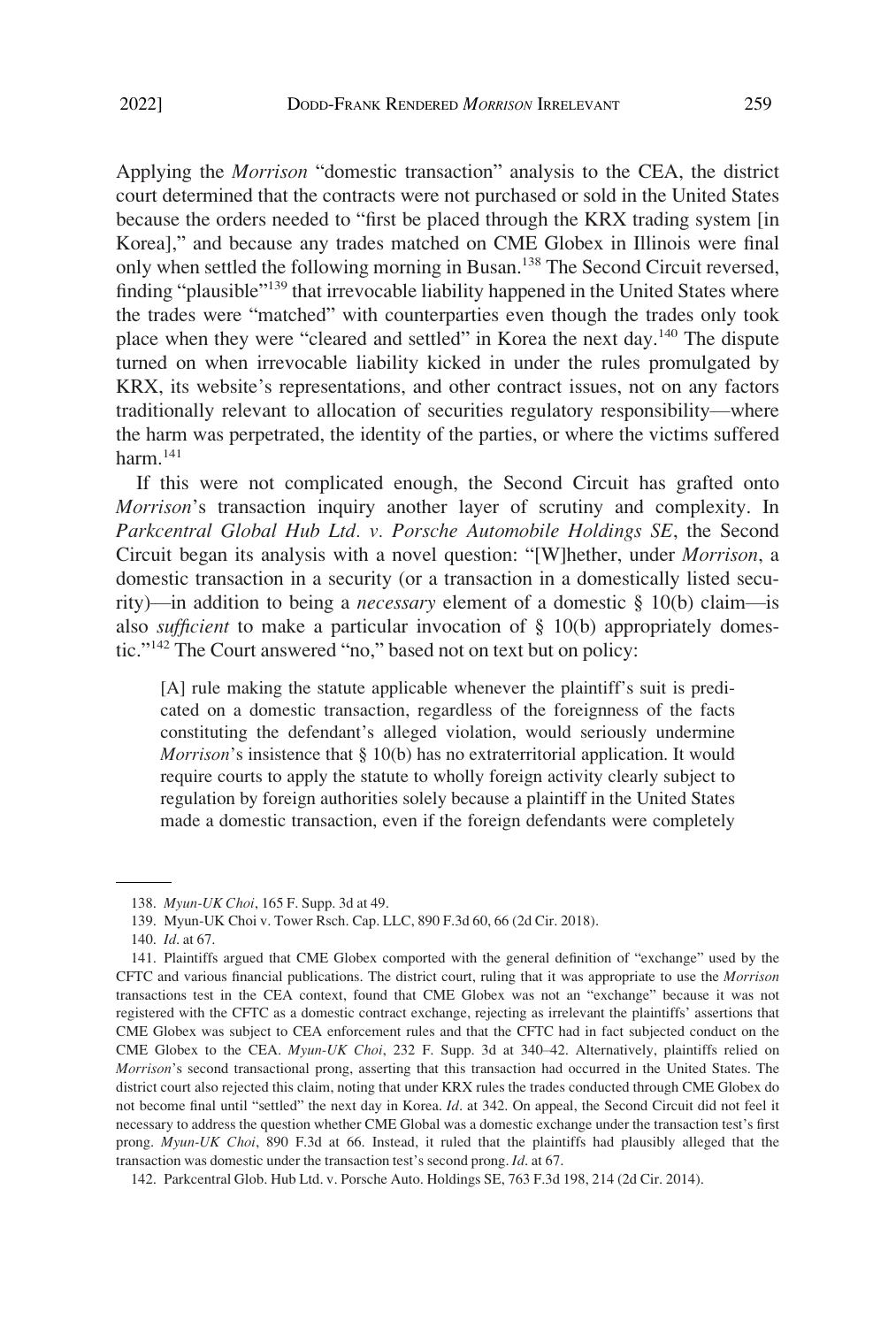Applying the *Morrison* "domestic transaction" analysis to the CEA, the district court determined that the contracts were not purchased or sold in the United States because the orders needed to "first be placed through the KRX trading system [in Korea]," and because any trades matched on CME Globex in Illinois were final only when settled the following morning in Busan.<sup>138</sup> The Second Circuit reversed, finding "plausible"<sup>139</sup> that irrevocable liability happened in the United States where the trades were "matched" with counterparties even though the trades only took place when they were "cleared and settled" in Korea the next day.<sup>140</sup> The dispute turned on when irrevocable liability kicked in under the rules promulgated by KRX, its website's representations, and other contract issues, not on any factors traditionally relevant to allocation of securities regulatory responsibility—where the harm was perpetrated, the identity of the parties, or where the victims suffered harm.<sup>141</sup>

If this were not complicated enough, the Second Circuit has grafted onto *Morrison*'s transaction inquiry another layer of scrutiny and complexity. In *Parkcentral Global Hub Ltd. v. Porsche Automobile Holdings SE*, the Second Circuit began its analysis with a novel question: "[W]hether, under *Morrison*, a domestic transaction in a security (or a transaction in a domestically listed security)—in addition to being a *necessary* element of a domestic § 10(b) claim—is also *sufficient* to make a particular invocation of § 10(b) appropriately domestic."142 The Court answered "no," based not on text but on policy:

[A] rule making the statute applicable whenever the plaintiff's suit is predicated on a domestic transaction, regardless of the foreignness of the facts constituting the defendant's alleged violation, would seriously undermine *Morrison*'s insistence that § 10(b) has no extraterritorial application. It would require courts to apply the statute to wholly foreign activity clearly subject to regulation by foreign authorities solely because a plaintiff in the United States made a domestic transaction, even if the foreign defendants were completely

140. *Id*. at 67.

<sup>138.</sup> *Myun-UK Choi*, 165 F. Supp. 3d at 49.

<sup>139.</sup> Myun-UK Choi v. Tower Rsch. Cap. LLC, 890 F.3d 60, 66 (2d Cir. 2018).

<sup>141.</sup> Plaintiffs argued that CME Globex comported with the general definition of "exchange" used by the CFTC and various financial publications. The district court, ruling that it was appropriate to use the *Morrison*  transactions test in the CEA context, found that CME Globex was not an "exchange" because it was not registered with the CFTC as a domestic contract exchange, rejecting as irrelevant the plaintiffs' assertions that CME Globex was subject to CEA enforcement rules and that the CFTC had in fact subjected conduct on the CME Globex to the CEA. *Myun-UK Choi*, 232 F. Supp. 3d at 340–42. Alternatively, plaintiffs relied on *Morrison*'s second transactional prong, asserting that this transaction had occurred in the United States. The district court also rejected this claim, noting that under KRX rules the trades conducted through CME Globex do not become final until "settled" the next day in Korea. *Id*. at 342. On appeal, the Second Circuit did not feel it necessary to address the question whether CME Global was a domestic exchange under the transaction test's first prong. *Myun-UK Choi*, 890 F.3d at 66. Instead, it ruled that the plaintiffs had plausibly alleged that the transaction was domestic under the transaction test's second prong. *Id*. at 67.

<sup>142.</sup> Parkcentral Glob. Hub Ltd. v. Porsche Auto. Holdings SE, 763 F.3d 198, 214 (2d Cir. 2014).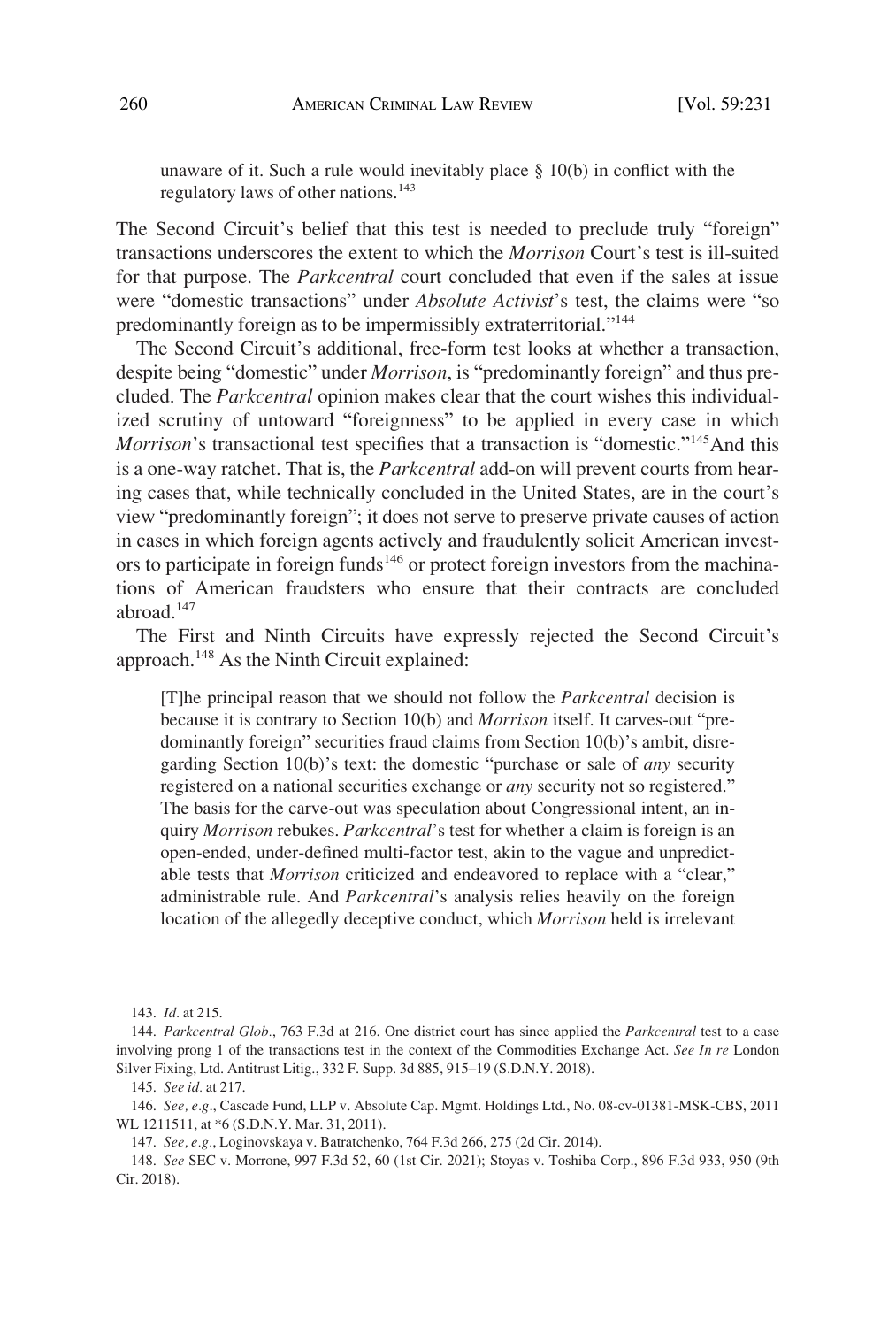unaware of it. Such a rule would inevitably place  $\S$  10(b) in conflict with the regulatory laws of other nations.<sup>143</sup>

The Second Circuit's belief that this test is needed to preclude truly "foreign" transactions underscores the extent to which the *Morrison* Court's test is ill-suited for that purpose. The *Parkcentral* court concluded that even if the sales at issue were "domestic transactions" under *Absolute Activist*'s test, the claims were "so predominantly foreign as to be impermissibly extraterritorial."<sup>144</sup>

The Second Circuit's additional, free-form test looks at whether a transaction, despite being "domestic" under *Morrison*, is "predominantly foreign" and thus precluded. The *Parkcentral* opinion makes clear that the court wishes this individualized scrutiny of untoward "foreignness" to be applied in every case in which *Morrison*'s transactional test specifies that a transaction is "domestic."<sup>145</sup>And this is a one-way ratchet. That is, the *Parkcentral* add-on will prevent courts from hearing cases that, while technically concluded in the United States, are in the court's view "predominantly foreign"; it does not serve to preserve private causes of action in cases in which foreign agents actively and fraudulently solicit American investors to participate in foreign funds<sup>146</sup> or protect foreign investors from the machinations of American fraudsters who ensure that their contracts are concluded abroad.<sup>147</sup>

The First and Ninth Circuits have expressly rejected the Second Circuit's approach.<sup>148</sup> As the Ninth Circuit explained:

[T]he principal reason that we should not follow the *Parkcentral* decision is because it is contrary to Section 10(b) and *Morrison* itself. It carves-out "predominantly foreign" securities fraud claims from Section 10(b)'s ambit, disregarding Section 10(b)'s text: the domestic "purchase or sale of *any* security registered on a national securities exchange or *any* security not so registered." The basis for the carve-out was speculation about Congressional intent, an inquiry *Morrison* rebukes. *Parkcentral*'s test for whether a claim is foreign is an open-ended, under-defined multi-factor test, akin to the vague and unpredictable tests that *Morrison* criticized and endeavored to replace with a "clear," administrable rule. And *Parkcentral*'s analysis relies heavily on the foreign location of the allegedly deceptive conduct, which *Morrison* held is irrelevant

<sup>143.</sup> *Id.* at 215.

<sup>144.</sup> *Parkcentral Glob.*, 763 F.3d at 216. One district court has since applied the *Parkcentral* test to a case involving prong 1 of the transactions test in the context of the Commodities Exchange Act. *See In re* London Silver Fixing, Ltd. Antitrust Litig., 332 F. Supp. 3d 885, 915–19 (S.D.N.Y. 2018).

<sup>145.</sup> *See id.* at 217.

<sup>146.</sup> *See, e.g*., Cascade Fund, LLP v. Absolute Cap. Mgmt. Holdings Ltd., No. 08-cv-01381-MSK-CBS, 2011 WL 1211511, at \*6 (S.D.N.Y. Mar. 31, 2011).

<sup>147.</sup> *See, e.g.*, Loginovskaya v. Batratchenko, 764 F.3d 266, 275 (2d Cir. 2014).

<sup>148.</sup> *See* SEC v. Morrone, 997 F.3d 52, 60 (1st Cir. 2021); Stoyas v. Toshiba Corp., 896 F.3d 933, 950 (9th Cir. 2018).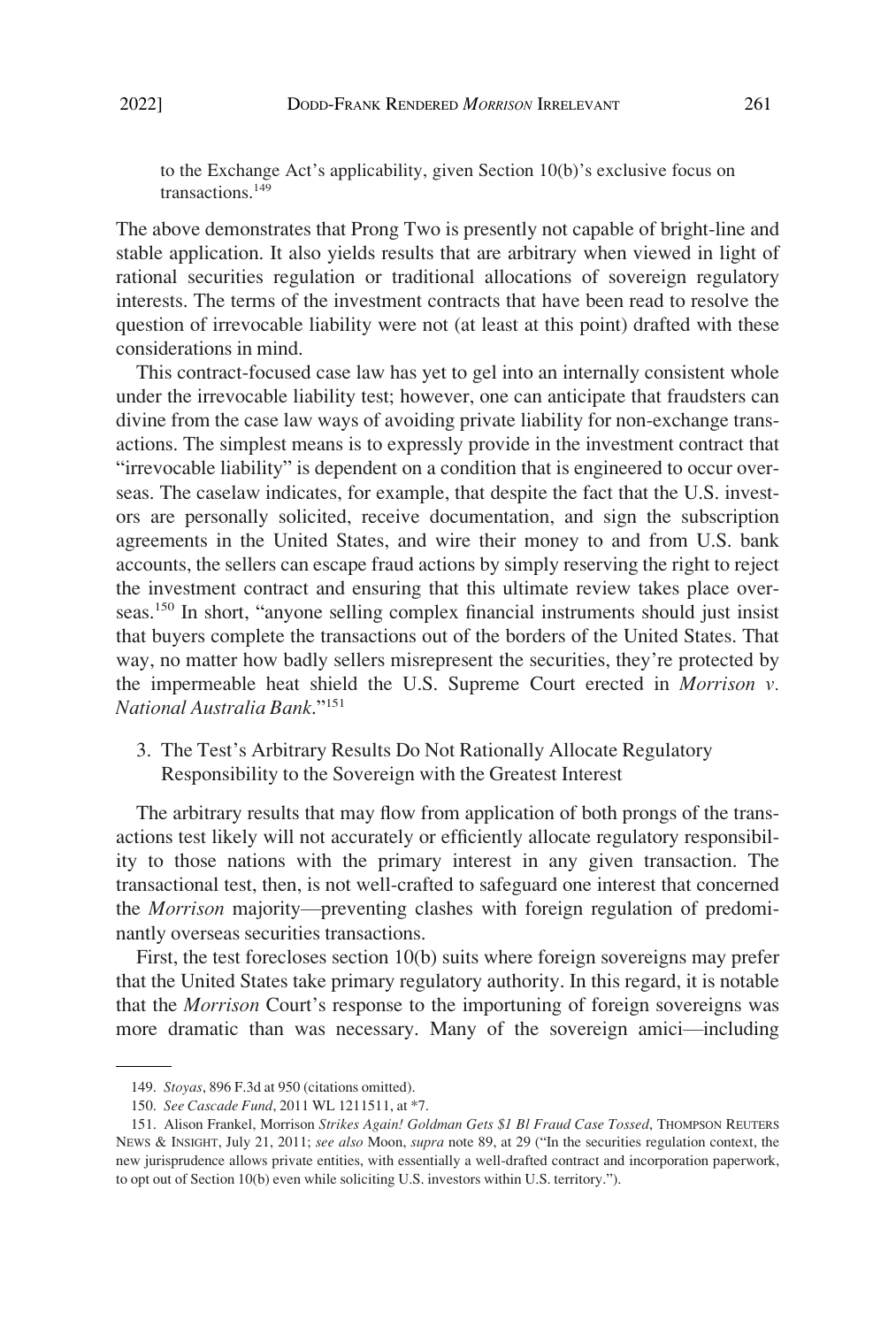<span id="page-30-0"></span>to the Exchange Act's applicability, given Section 10(b)'s exclusive focus on transactions.<sup>149</sup>

The above demonstrates that Prong Two is presently not capable of bright-line and stable application. It also yields results that are arbitrary when viewed in light of rational securities regulation or traditional allocations of sovereign regulatory interests. The terms of the investment contracts that have been read to resolve the question of irrevocable liability were not (at least at this point) drafted with these considerations in mind.

This contract-focused case law has yet to gel into an internally consistent whole under the irrevocable liability test; however, one can anticipate that fraudsters can divine from the case law ways of avoiding private liability for non-exchange transactions. The simplest means is to expressly provide in the investment contract that "irrevocable liability" is dependent on a condition that is engineered to occur overseas. The caselaw indicates, for example, that despite the fact that the U.S. investors are personally solicited, receive documentation, and sign the subscription agreements in the United States, and wire their money to and from U.S. bank accounts, the sellers can escape fraud actions by simply reserving the right to reject the investment contract and ensuring that this ultimate review takes place overseas.150 In short, "anyone selling complex financial instruments should just insist that buyers complete the transactions out of the borders of the United States. That way, no matter how badly sellers misrepresent the securities, they're protected by the impermeable heat shield the U.S. Supreme Court erected in *Morrison v. National Australia Bank*."<sup>151</sup>

3. The Test's Arbitrary Results Do Not Rationally Allocate Regulatory Responsibility to the Sovereign with the Greatest Interest

The arbitrary results that may flow from application of both prongs of the transactions test likely will not accurately or efficiently allocate regulatory responsibility to those nations with the primary interest in any given transaction. The transactional test, then, is not well-crafted to safeguard one interest that concerned the *Morrison* majority—preventing clashes with foreign regulation of predominantly overseas securities transactions.

First, the test forecloses section 10(b) suits where foreign sovereigns may prefer that the United States take primary regulatory authority. In this regard, it is notable that the *Morrison* Court's response to the importuning of foreign sovereigns was more dramatic than was necessary. Many of the sovereign amici—including

<sup>149.</sup> *Stoyas*, 896 F.3d at 950 (citations omitted).

<sup>150.</sup> *See Cascade Fund*, 2011 WL 1211511, at \*7.

<sup>151.</sup> Alison Frankel, Morrison *Strikes Again! Goldman Gets \$1 Bl Fraud Case Tossed*, THOMPSON REUTERS NEWS & INSIGHT, July 21, 2011; *see also* Moon, *supra* note 89, at 29 ("In the securities regulation context, the new jurisprudence allows private entities, with essentially a well-drafted contract and incorporation paperwork, to opt out of Section 10(b) even while soliciting U.S. investors within U.S. territory.").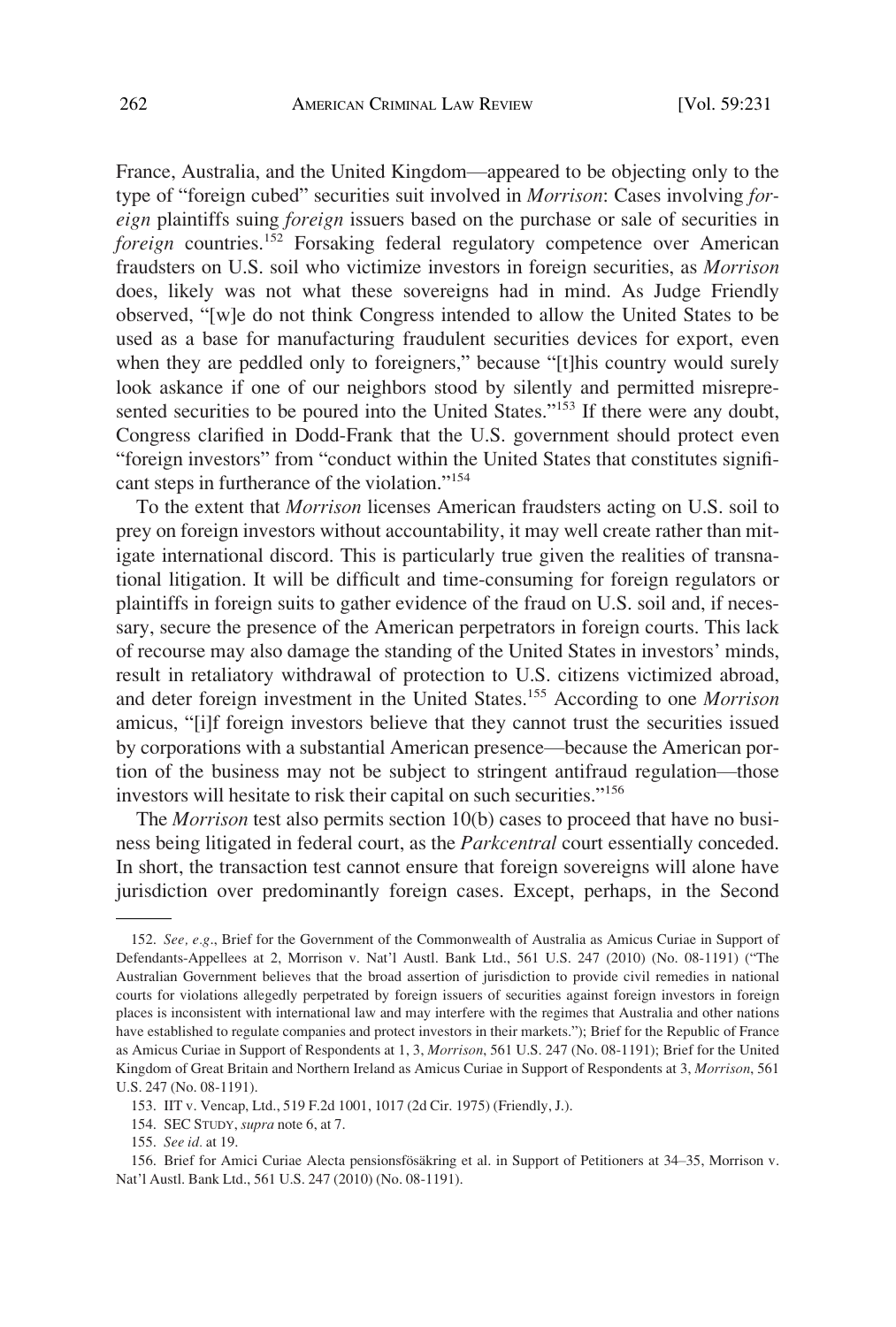France, Australia, and the United Kingdom—appeared to be objecting only to the type of "foreign cubed" securities suit involved in *Morrison*: Cases involving *foreign* plaintiffs suing *foreign* issuers based on the purchase or sale of securities in *foreign* countries.<sup>152</sup> Forsaking federal regulatory competence over American fraudsters on U.S. soil who victimize investors in foreign securities, as *Morrison*  does, likely was not what these sovereigns had in mind. As Judge Friendly observed, "[w]e do not think Congress intended to allow the United States to be used as a base for manufacturing fraudulent securities devices for export, even when they are peddled only to foreigners," because "[t]his country would surely look askance if one of our neighbors stood by silently and permitted misrepresented securities to be poured into the United States."<sup>153</sup> If there were any doubt, Congress clarified in Dodd-Frank that the U.S. government should protect even "foreign investors" from "conduct within the United States that constitutes significant steps in furtherance of the violation."<sup>154</sup>

To the extent that *Morrison* licenses American fraudsters acting on U.S. soil to prey on foreign investors without accountability, it may well create rather than mitigate international discord. This is particularly true given the realities of transnational litigation. It will be difficult and time-consuming for foreign regulators or plaintiffs in foreign suits to gather evidence of the fraud on U.S. soil and, if necessary, secure the presence of the American perpetrators in foreign courts. This lack of recourse may also damage the standing of the United States in investors' minds, result in retaliatory withdrawal of protection to U.S. citizens victimized abroad, and deter foreign investment in the United States.155 According to one *Morrison*  amicus, "[i]f foreign investors believe that they cannot trust the securities issued by corporations with a substantial American presence—because the American portion of the business may not be subject to stringent antifraud regulation—those investors will hesitate to risk their capital on such securities."<sup>156</sup>

The *Morrison* test also permits section 10(b) cases to proceed that have no business being litigated in federal court, as the *Parkcentral* court essentially conceded. In short, the transaction test cannot ensure that foreign sovereigns will alone have jurisdiction over predominantly foreign cases. Except, perhaps, in the Second

<sup>152.</sup> *See, e.g*., Brief for the Government of the Commonwealth of Australia as Amicus Curiae in Support of Defendants-Appellees at 2, Morrison v. Nat'l Austl. Bank Ltd., 561 U.S. 247 (2010) (No. 08-1191) ("The Australian Government believes that the broad assertion of jurisdiction to provide civil remedies in national courts for violations allegedly perpetrated by foreign issuers of securities against foreign investors in foreign places is inconsistent with international law and may interfere with the regimes that Australia and other nations have established to regulate companies and protect investors in their markets."); Brief for the Republic of France as Amicus Curiae in Support of Respondents at 1, 3, *Morrison*, 561 U.S. 247 (No. 08-1191); Brief for the United Kingdom of Great Britain and Northern Ireland as Amicus Curiae in Support of Respondents at 3, *Morrison*, 561 U.S. 247 (No. 08-1191).

<sup>153.</sup> IIT v. Vencap, Ltd., 519 F.2d 1001, 1017 (2d Cir. 1975) (Friendly, J.).

<sup>154.</sup> SEC STUDY, *supra* note 6, at 7.

<sup>155.</sup> *See id.* at 19.

<sup>156.</sup> Brief for Amici Curiae Alecta pensionsfösäkring et al. in Support of Petitioners at 34–35, Morrison v. Nat'l Austl. Bank Ltd., 561 U.S. 247 (2010) (No. 08-1191).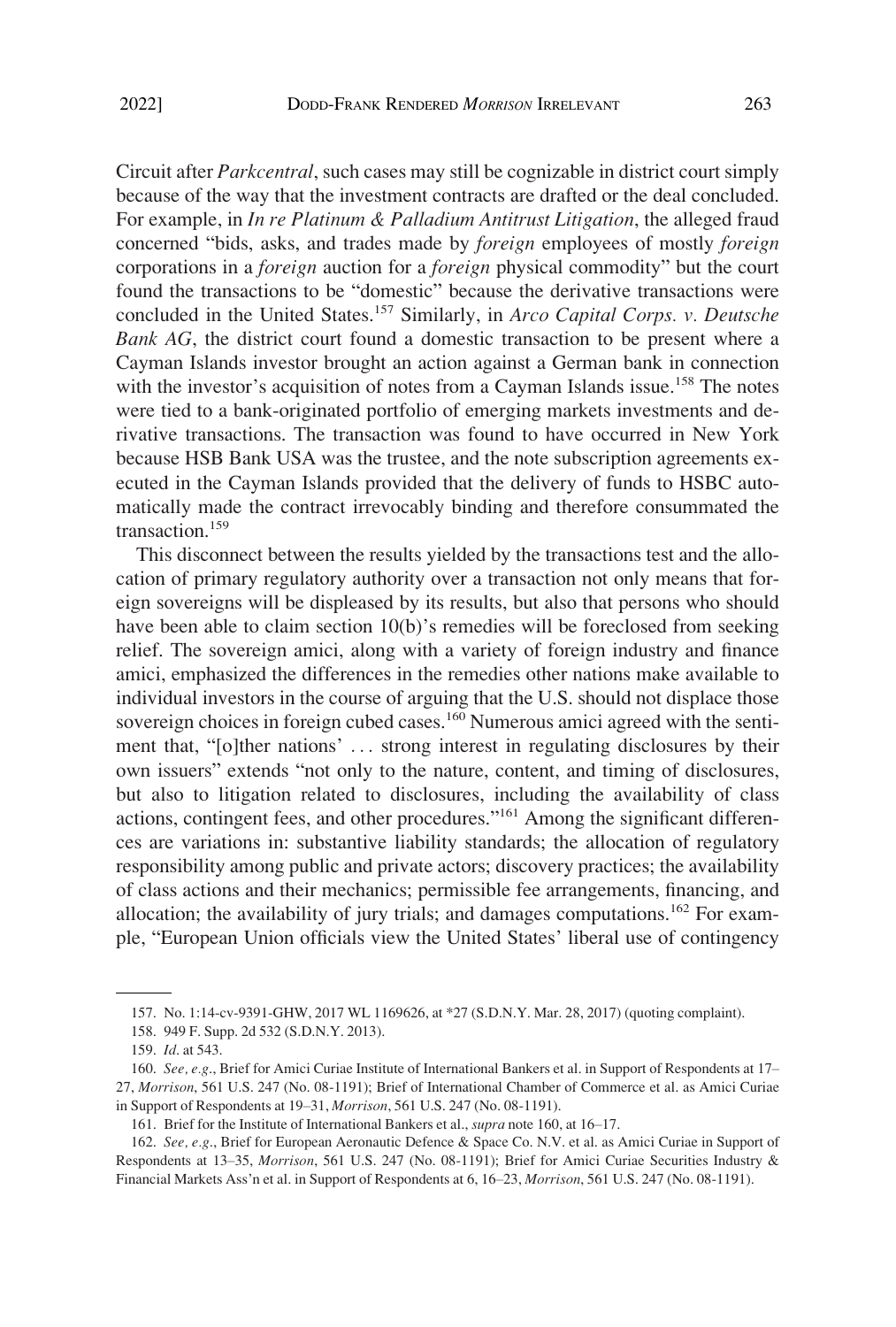Circuit after *Parkcentral*, such cases may still be cognizable in district court simply because of the way that the investment contracts are drafted or the deal concluded. For example, in *In re Platinum & Palladium Antitrust Litigation*, the alleged fraud concerned "bids, asks, and trades made by *foreign* employees of mostly *foreign*  corporations in a *foreign* auction for a *foreign* physical commodity" but the court found the transactions to be "domestic" because the derivative transactions were concluded in the United States.157 Similarly, in *Arco Capital Corps. v. Deutsche Bank AG*, the district court found a domestic transaction to be present where a Cayman Islands investor brought an action against a German bank in connection with the investor's acquisition of notes from a Cayman Islands issue.<sup>158</sup> The notes were tied to a bank-originated portfolio of emerging markets investments and derivative transactions. The transaction was found to have occurred in New York because HSB Bank USA was the trustee, and the note subscription agreements executed in the Cayman Islands provided that the delivery of funds to HSBC automatically made the contract irrevocably binding and therefore consummated the transaction.159

This disconnect between the results yielded by the transactions test and the allocation of primary regulatory authority over a transaction not only means that foreign sovereigns will be displeased by its results, but also that persons who should have been able to claim section 10(b)'s remedies will be foreclosed from seeking relief. The sovereign amici, along with a variety of foreign industry and finance amici, emphasized the differences in the remedies other nations make available to individual investors in the course of arguing that the U.S. should not displace those sovereign choices in foreign cubed cases.<sup>160</sup> Numerous amici agreed with the sentiment that, "[o]ther nations' . . . strong interest in regulating disclosures by their own issuers" extends "not only to the nature, content, and timing of disclosures, but also to litigation related to disclosures, including the availability of class actions, contingent fees, and other procedures."161 Among the significant differences are variations in: substantive liability standards; the allocation of regulatory responsibility among public and private actors; discovery practices; the availability of class actions and their mechanics; permissible fee arrangements, financing, and allocation; the availability of jury trials; and damages computations.<sup>162</sup> For example, "European Union officials view the United States' liberal use of contingency

<sup>157.</sup> No. 1:14-cv-9391-GHW, 2017 WL 1169626, at \*27 (S.D.N.Y. Mar. 28, 2017) (quoting complaint).

<sup>158. 949</sup> F. Supp. 2d 532 (S.D.N.Y. 2013).

<sup>159.</sup> *Id*. at 543.

<sup>160.</sup> *See, e.g*., Brief for Amici Curiae Institute of International Bankers et al. in Support of Respondents at 17– 27, *Morrison*, 561 U.S. 247 (No. 08-1191); Brief of International Chamber of Commerce et al. as Amici Curiae in Support of Respondents at 19–31, *Morrison*, 561 U.S. 247 (No. 08-1191).

<sup>161.</sup> Brief for the Institute of International Bankers et al., *supra* note 160, at 16–17.

<sup>162.</sup> *See, e.g*., Brief for European Aeronautic Defence & Space Co. N.V. et al. as Amici Curiae in Support of Respondents at 13–35, *Morrison*, 561 U.S. 247 (No. 08-1191); Brief for Amici Curiae Securities Industry & Financial Markets Ass'n et al. in Support of Respondents at 6, 16–23, *Morrison*, 561 U.S. 247 (No. 08-1191).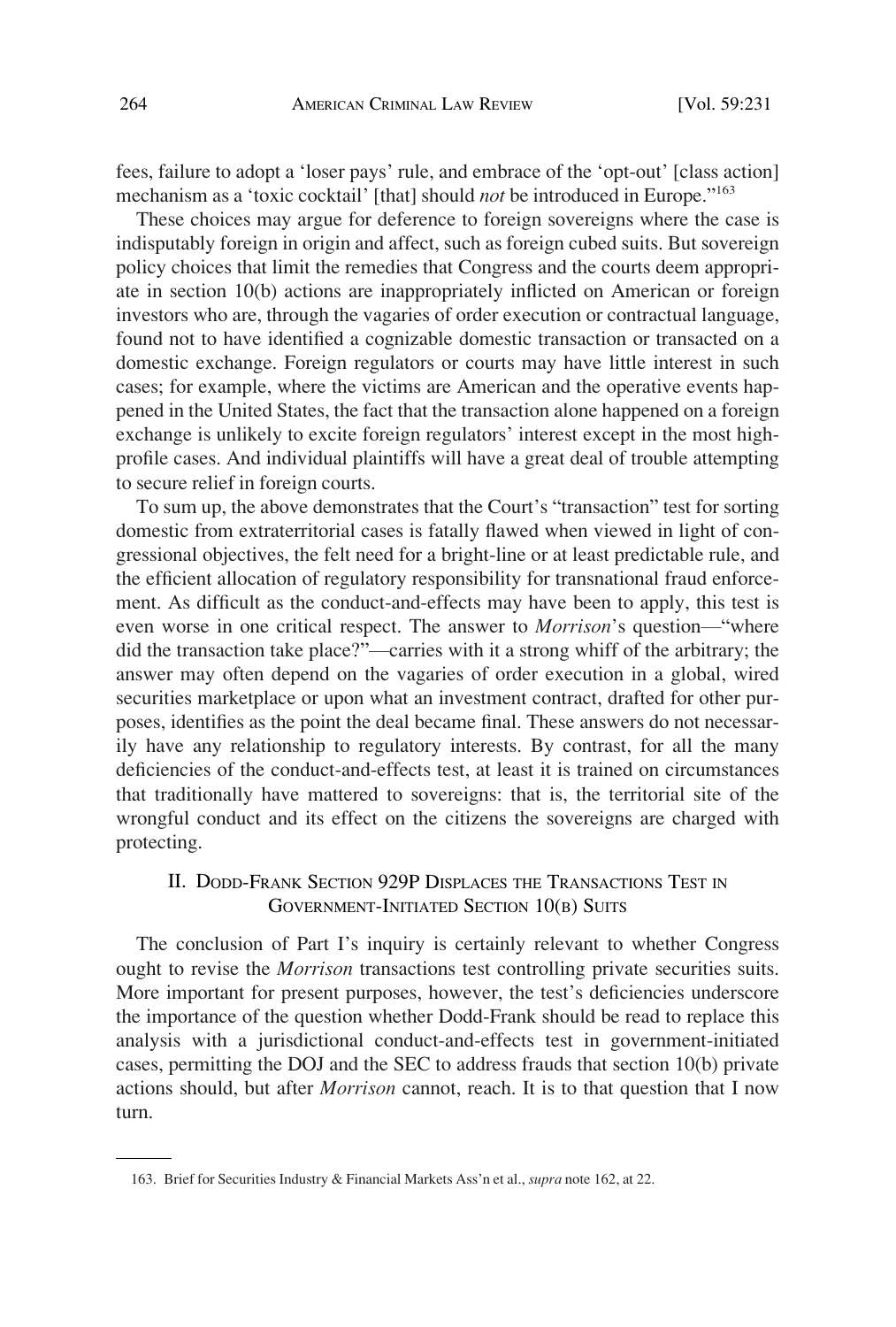<span id="page-33-0"></span>fees, failure to adopt a 'loser pays' rule, and embrace of the 'opt-out' [class action] mechanism as a 'toxic cocktail' [that] should *not* be introduced in Europe."<sup>163</sup>

These choices may argue for deference to foreign sovereigns where the case is indisputably foreign in origin and affect, such as foreign cubed suits. But sovereign policy choices that limit the remedies that Congress and the courts deem appropriate in section 10(b) actions are inappropriately inflicted on American or foreign investors who are, through the vagaries of order execution or contractual language, found not to have identified a cognizable domestic transaction or transacted on a domestic exchange. Foreign regulators or courts may have little interest in such cases; for example, where the victims are American and the operative events happened in the United States, the fact that the transaction alone happened on a foreign exchange is unlikely to excite foreign regulators' interest except in the most highprofile cases. And individual plaintiffs will have a great deal of trouble attempting to secure relief in foreign courts.

To sum up, the above demonstrates that the Court's "transaction" test for sorting domestic from extraterritorial cases is fatally flawed when viewed in light of congressional objectives, the felt need for a bright-line or at least predictable rule, and the efficient allocation of regulatory responsibility for transnational fraud enforcement. As difficult as the conduct-and-effects may have been to apply, this test is even worse in one critical respect. The answer to *Morrison*'s question—"where did the transaction take place?"—carries with it a strong whiff of the arbitrary; the answer may often depend on the vagaries of order execution in a global, wired securities marketplace or upon what an investment contract, drafted for other purposes, identifies as the point the deal became final. These answers do not necessarily have any relationship to regulatory interests. By contrast, for all the many deficiencies of the conduct-and-effects test, at least it is trained on circumstances that traditionally have mattered to sovereigns: that is, the territorial site of the wrongful conduct and its effect on the citizens the sovereigns are charged with protecting.

# II. DODD-FRANK SECTION 929P DISPLACES THE TRANSACTIONS TEST IN GOVERNMENT-INITIATED SECTION 10(B) SUITS

The conclusion of Part I's inquiry is certainly relevant to whether Congress ought to revise the *Morrison* transactions test controlling private securities suits. More important for present purposes, however, the test's deficiencies underscore the importance of the question whether Dodd-Frank should be read to replace this analysis with a jurisdictional conduct-and-effects test in government-initiated cases, permitting the DOJ and the SEC to address frauds that section 10(b) private actions should, but after *Morrison* cannot, reach. It is to that question that I now turn.

<sup>163.</sup> Brief for Securities Industry & Financial Markets Ass'n et al., *supra* note 162, at 22.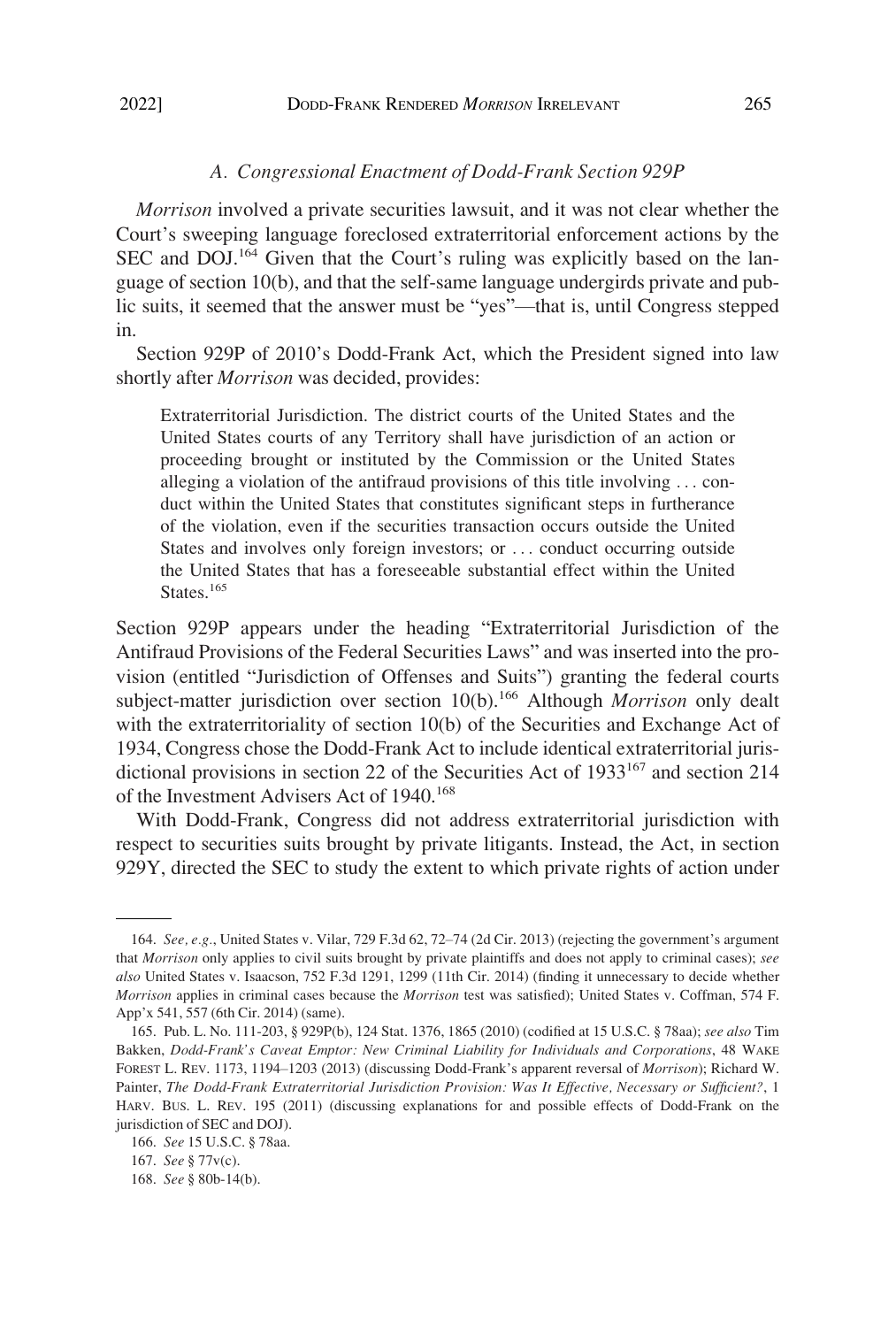# *A. Congressional Enactment of Dodd-Frank Section 929P*

<span id="page-34-0"></span>*Morrison* involved a private securities lawsuit, and it was not clear whether the Court's sweeping language foreclosed extraterritorial enforcement actions by the SEC and DOJ.164 Given that the Court's ruling was explicitly based on the language of section 10(b), and that the self-same language undergirds private and public suits, it seemed that the answer must be "yes"—that is, until Congress stepped in.

Section 929P of 2010's Dodd-Frank Act, which the President signed into law shortly after *Morrison* was decided, provides:

Extraterritorial Jurisdiction. The district courts of the United States and the United States courts of any Territory shall have jurisdiction of an action or proceeding brought or instituted by the Commission or the United States alleging a violation of the antifraud provisions of this title involving . . . conduct within the United States that constitutes significant steps in furtherance of the violation, even if the securities transaction occurs outside the United States and involves only foreign investors; or . . . conduct occurring outside the United States that has a foreseeable substantial effect within the United States.<sup>165</sup>

Section 929P appears under the heading "Extraterritorial Jurisdiction of the Antifraud Provisions of the Federal Securities Laws" and was inserted into the provision (entitled "Jurisdiction of Offenses and Suits") granting the federal courts subject-matter jurisdiction over section 10(b).<sup>166</sup> Although *Morrison* only dealt with the extraterritoriality of section 10(b) of the Securities and Exchange Act of 1934, Congress chose the Dodd-Frank Act to include identical extraterritorial jurisdictional provisions in section 22 of the Securities Act of  $1933^{167}$  and section 214 of the Investment Advisers Act of 1940.<sup>168</sup>

With Dodd-Frank, Congress did not address extraterritorial jurisdiction with respect to securities suits brought by private litigants. Instead, the Act, in section 929Y, directed the SEC to study the extent to which private rights of action under

<sup>164.</sup> *See, e.g.*, United States v. Vilar, 729 F.3d 62, 72–74 (2d Cir. 2013) (rejecting the government's argument that *Morrison* only applies to civil suits brought by private plaintiffs and does not apply to criminal cases); *see also* United States v. Isaacson, 752 F.3d 1291, 1299 (11th Cir. 2014) (finding it unnecessary to decide whether *Morrison* applies in criminal cases because the *Morrison* test was satisfied); United States v. Coffman, 574 F. App'x 541, 557 (6th Cir. 2014) (same).

<sup>165.</sup> Pub. L. No. 111-203, § 929P(b), 124 Stat. 1376, 1865 (2010) (codified at 15 U.S.C. § 78aa); *see also* Tim Bakken, *Dodd-Frank's Caveat Emptor: New Criminal Liability for Individuals and Corporations*, 48 WAKE FOREST L. REV. 1173, 1194–1203 (2013) (discussing Dodd-Frank's apparent reversal of *Morrison*); Richard W. Painter, *The Dodd-Frank Extraterritorial Jurisdiction Provision: Was It Effective, Necessary or Sufficient?*, 1 HARV. BUS. L. REV. 195 (2011) (discussing explanations for and possible effects of Dodd-Frank on the jurisdiction of SEC and DOJ).

<sup>166.</sup> *See* 15 U.S.C. § 78aa.

<sup>167.</sup> *See* § 77v(c).

<sup>168.</sup> *See* § 80b-14(b).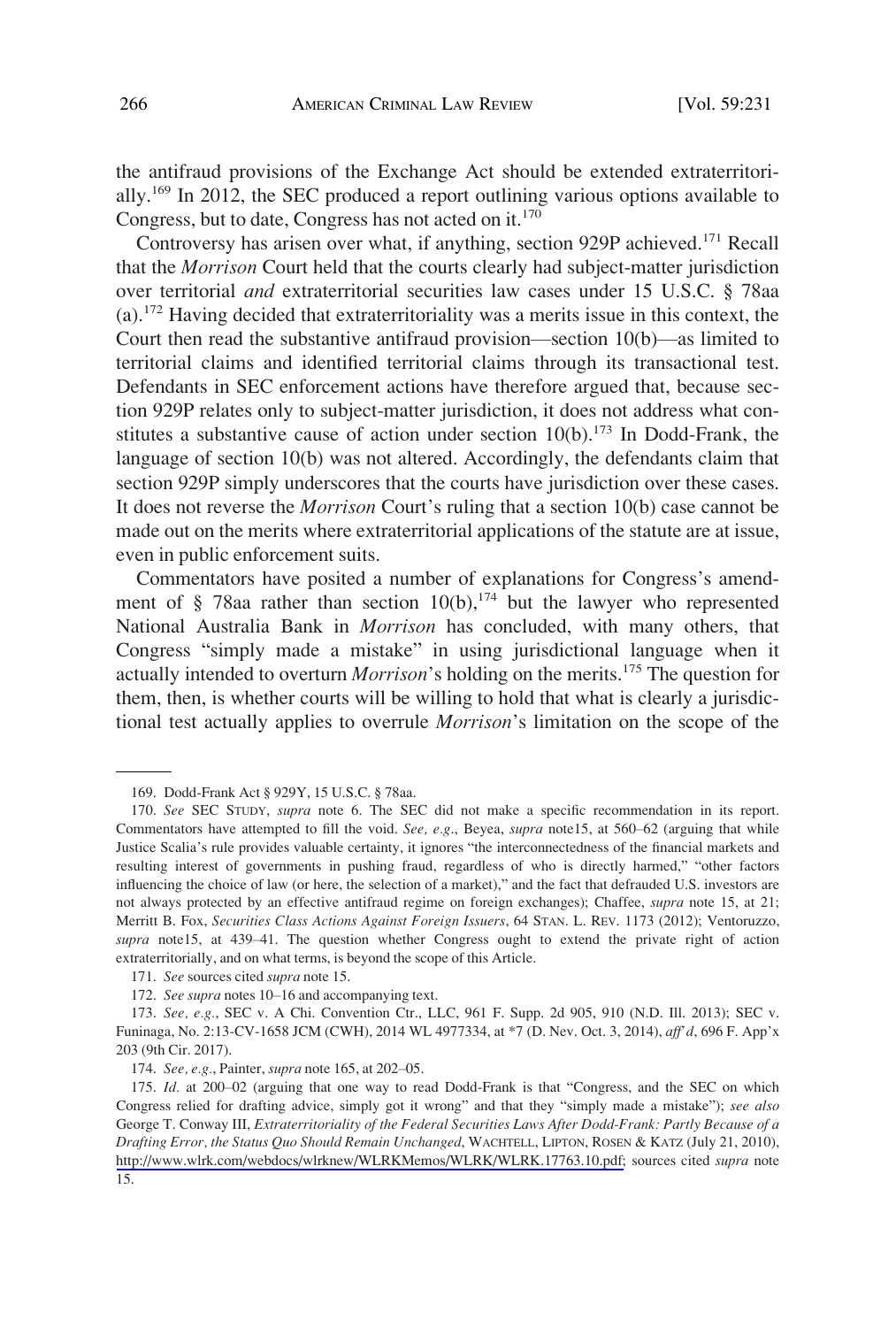the antifraud provisions of the Exchange Act should be extended extraterritorially.169 In 2012, the SEC produced a report outlining various options available to Congress, but to date, Congress has not acted on it. $170$ 

Controversy has arisen over what, if anything, section 929P achieved.<sup>171</sup> Recall that the *Morrison* Court held that the courts clearly had subject-matter jurisdiction over territorial *and* extraterritorial securities law cases under 15 U.S.C. § 78aa (a).172 Having decided that extraterritoriality was a merits issue in this context, the Court then read the substantive antifraud provision—section 10(b)—as limited to territorial claims and identified territorial claims through its transactional test. Defendants in SEC enforcement actions have therefore argued that, because section 929P relates only to subject-matter jurisdiction, it does not address what constitutes a substantive cause of action under section  $10(b)$ .<sup>173</sup> In Dodd-Frank, the language of section 10(b) was not altered. Accordingly, the defendants claim that section 929P simply underscores that the courts have jurisdiction over these cases. It does not reverse the *Morrison* Court's ruling that a section 10(b) case cannot be made out on the merits where extraterritorial applications of the statute are at issue, even in public enforcement suits.

Commentators have posited a number of explanations for Congress's amendment of § 78aa rather than section  $10(b)$ ,  $174$  but the lawyer who represented National Australia Bank in *Morrison* has concluded, with many others, that Congress "simply made a mistake" in using jurisdictional language when it actually intended to overturn *Morrison*'s holding on the merits.<sup>175</sup> The question for them, then, is whether courts will be willing to hold that what is clearly a jurisdictional test actually applies to overrule *Morrison*'s limitation on the scope of the

<sup>169.</sup> Dodd-Frank Act § 929Y, 15 U.S.C. § 78aa.

<sup>170.</sup> *See* SEC STUDY, *supra* note 6. The SEC did not make a specific recommendation in its report. Commentators have attempted to fill the void. *See, e.g*., Beyea, *supra* note15, at 560–62 (arguing that while Justice Scalia's rule provides valuable certainty, it ignores "the interconnectedness of the financial markets and resulting interest of governments in pushing fraud, regardless of who is directly harmed," "other factors influencing the choice of law (or here, the selection of a market)," and the fact that defrauded U.S. investors are not always protected by an effective antifraud regime on foreign exchanges); Chaffee, *supra* note 15, at 21; Merritt B. Fox, *Securities Class Actions Against Foreign Issuers*, 64 STAN. L. REV. 1173 (2012); Ventoruzzo, *supra* note15, at 439–41. The question whether Congress ought to extend the private right of action extraterritorially, and on what terms, is beyond the scope of this Article.

<sup>171.</sup> *See* sources cited *supra* note 15.

<sup>172.</sup> *See supra* notes 10–16 and accompanying text.

<sup>173.</sup> *See, e.g.*, SEC v. A Chi. Convention Ctr., LLC, 961 F. Supp. 2d 905, 910 (N.D. Ill. 2013); SEC v. Funinaga, No. 2:13-CV-1658 JCM (CWH), 2014 WL 4977334, at \*7 (D. Nev. Oct. 3, 2014), *aff'd*, 696 F. App'x 203 (9th Cir. 2017).

<sup>174.</sup> *See, e.g.*, Painter, *supra* note 165, at 202–05.

<sup>175.</sup> Id. at 200-02 (arguing that one way to read Dodd-Frank is that "Congress, and the SEC on which Congress relied for drafting advice, simply got it wrong" and that they "simply made a mistake"); *see also*  George T. Conway III, *Extraterritoriality of the Federal Securities Laws After Dodd-Frank: Partly Because of a Drafting Error, the Status Quo Should Remain Unchanged*, WACHTELL, LIPTON, ROSEN & KATZ (July 21, 2010), [http://www.wlrk.com/webdocs/wlrknew/WLRKMemos/WLRK/WLRK.17763.10.pdf;](http://www.wlrk.com/webdocs/wlrknew/WLRKMemos/WLRK/WLRK.17763.10.pdf) sources cited *supra* note 15.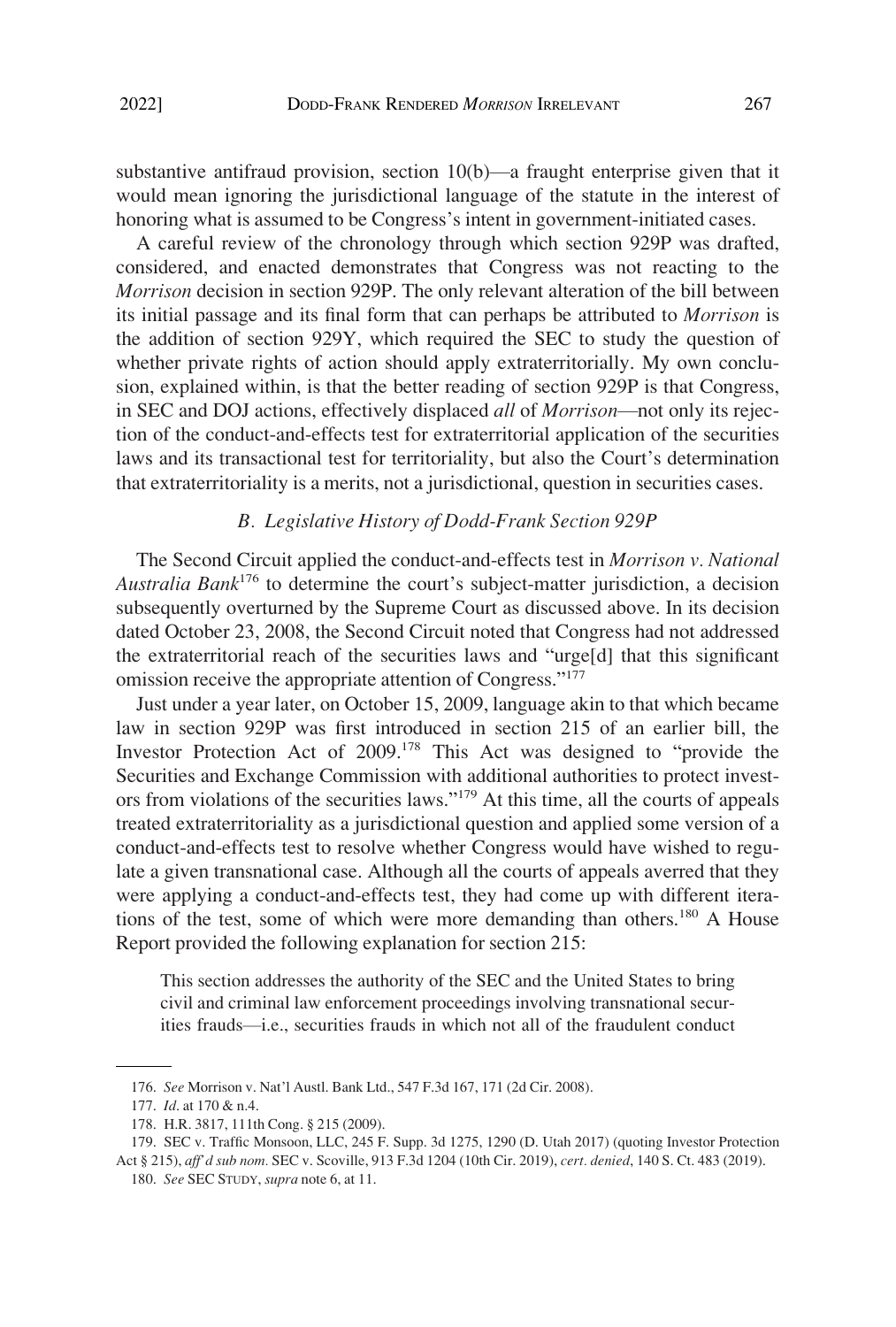<span id="page-36-0"></span>substantive antifraud provision, section 10(b)—a fraught enterprise given that it would mean ignoring the jurisdictional language of the statute in the interest of honoring what is assumed to be Congress's intent in government-initiated cases.

A careful review of the chronology through which section 929P was drafted, considered, and enacted demonstrates that Congress was not reacting to the *Morrison* decision in section 929P. The only relevant alteration of the bill between its initial passage and its final form that can perhaps be attributed to *Morrison* is the addition of section 929Y, which required the SEC to study the question of whether private rights of action should apply extraterritorially. My own conclusion, explained within, is that the better reading of section 929P is that Congress, in SEC and DOJ actions, effectively displaced *all* of *Morrison*—not only its rejection of the conduct-and-effects test for extraterritorial application of the securities laws and its transactional test for territoriality, but also the Court's determination that extraterritoriality is a merits, not a jurisdictional, question in securities cases.

#### *B. Legislative History of Dodd-Frank Section 929P*

The Second Circuit applied the conduct-and-effects test in *Morrison v. National Australia Bank*176 to determine the court's subject-matter jurisdiction, a decision subsequently overturned by the Supreme Court as discussed above. In its decision dated October 23, 2008, the Second Circuit noted that Congress had not addressed the extraterritorial reach of the securities laws and "urge[d] that this significant omission receive the appropriate attention of Congress."<sup>177</sup>

Just under a year later, on October 15, 2009, language akin to that which became law in section 929P was first introduced in section 215 of an earlier bill, the Investor Protection Act of 2009.178 This Act was designed to "provide the Securities and Exchange Commission with additional authorities to protect investors from violations of the securities laws."<sup>179</sup> At this time, all the courts of appeals treated extraterritoriality as a jurisdictional question and applied some version of a conduct-and-effects test to resolve whether Congress would have wished to regulate a given transnational case. Although all the courts of appeals averred that they were applying a conduct-and-effects test, they had come up with different iterations of the test, some of which were more demanding than others.<sup>180</sup> A House Report provided the following explanation for section 215:

This section addresses the authority of the SEC and the United States to bring civil and criminal law enforcement proceedings involving transnational securities frauds—i.e., securities frauds in which not all of the fraudulent conduct

<sup>176.</sup> *See* Morrison v. Nat'l Austl. Bank Ltd., 547 F.3d 167, 171 (2d Cir. 2008).

<sup>177.</sup> *Id*. at 170 & n.4.

<sup>178.</sup> H.R. 3817, 111th Cong. § 215 (2009).

<sup>179.</sup> SEC v. Traffic Monsoon, LLC, 245 F. Supp. 3d 1275, 1290 (D. Utah 2017) (quoting Investor Protection Act § 215), *aff'd sub nom.* SEC v. Scoville, 913 F.3d 1204 (10th Cir. 2019), *cert. denied*, 140 S. Ct. 483 (2019).

<sup>180.</sup> *See* SEC STUDY, *supra* note 6, at 11.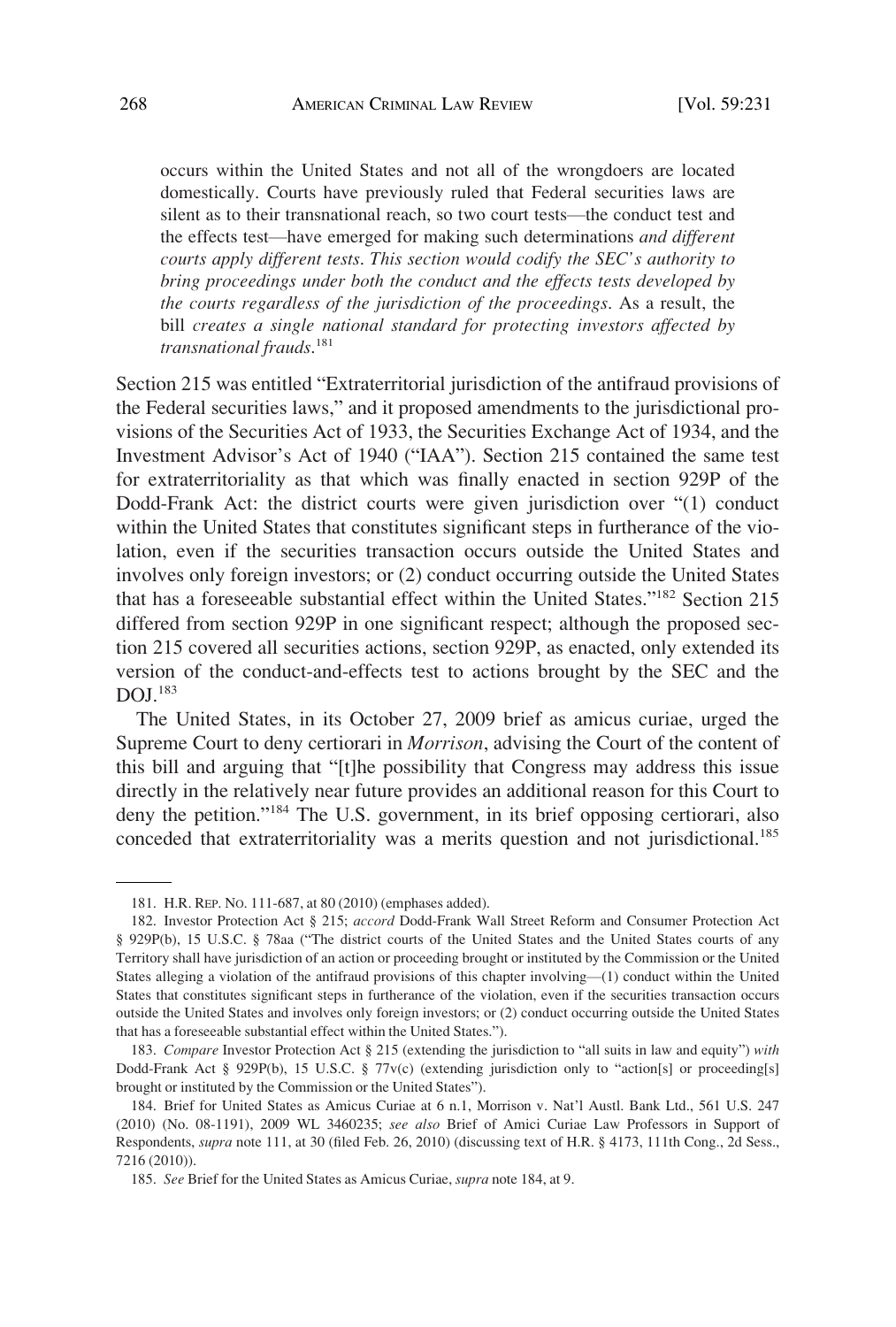occurs within the United States and not all of the wrongdoers are located domestically. Courts have previously ruled that Federal securities laws are silent as to their transnational reach, so two court tests—the conduct test and the effects test—have emerged for making such determinations *and different courts apply different tests*. *This section would codify the SEC's authority to bring proceedings under both the conduct and the effects tests developed by the courts regardless of the jurisdiction of the proceedings*. As a result, the bill *creates a single national standard for protecting investors affected by transnational frauds*. 181

Section 215 was entitled "Extraterritorial jurisdiction of the antifraud provisions of the Federal securities laws," and it proposed amendments to the jurisdictional provisions of the Securities Act of 1933, the Securities Exchange Act of 1934, and the Investment Advisor's Act of 1940 ("IAA"). Section 215 contained the same test for extraterritoriality as that which was finally enacted in section 929P of the Dodd-Frank Act: the district courts were given jurisdiction over "(1) conduct within the United States that constitutes significant steps in furtherance of the violation, even if the securities transaction occurs outside the United States and involves only foreign investors; or (2) conduct occurring outside the United States that has a foreseeable substantial effect within the United States."182 Section 215 differed from section 929P in one significant respect; although the proposed section 215 covered all securities actions, section 929P, as enacted, only extended its version of the conduct-and-effects test to actions brought by the SEC and the  $DOL$ <sup>183</sup>

The United States, in its October 27, 2009 brief as amicus curiae, urged the Supreme Court to deny certiorari in *Morrison*, advising the Court of the content of this bill and arguing that "[t]he possibility that Congress may address this issue directly in the relatively near future provides an additional reason for this Court to deny the petition."184 The U.S. government, in its brief opposing certiorari, also conceded that extraterritoriality was a merits question and not jurisdictional.<sup>185</sup>

<sup>181.</sup> H.R. REP. NO. 111-687, at 80 (2010) (emphases added).

<sup>182.</sup> Investor Protection Act § 215; *accord* Dodd-Frank Wall Street Reform and Consumer Protection Act § 929P(b), 15 U.S.C. § 78aa ("The district courts of the United States and the United States courts of any Territory shall have jurisdiction of an action or proceeding brought or instituted by the Commission or the United States alleging a violation of the antifraud provisions of this chapter involving—(1) conduct within the United States that constitutes significant steps in furtherance of the violation, even if the securities transaction occurs outside the United States and involves only foreign investors; or (2) conduct occurring outside the United States that has a foreseeable substantial effect within the United States.").

<sup>183.</sup> *Compare* Investor Protection Act § 215 (extending the jurisdiction to "all suits in law and equity") *with*  Dodd-Frank Act § 929P(b), 15 U.S.C. § 77v(c) (extending jurisdiction only to "action[s] or proceeding[s] brought or instituted by the Commission or the United States").

<sup>184.</sup> Brief for United States as Amicus Curiae at 6 n.1, Morrison v. Nat'l Austl. Bank Ltd., 561 U.S. 247 (2010) (No. 08-1191), 2009 WL 3460235; *see also* Brief of Amici Curiae Law Professors in Support of Respondents, *supra* note 111, at 30 (filed Feb. 26, 2010) (discussing text of H.R. § 4173, 111th Cong., 2d Sess., 7216 (2010)).

<sup>185.</sup> *See* Brief for the United States as Amicus Curiae, *supra* note 184, at 9.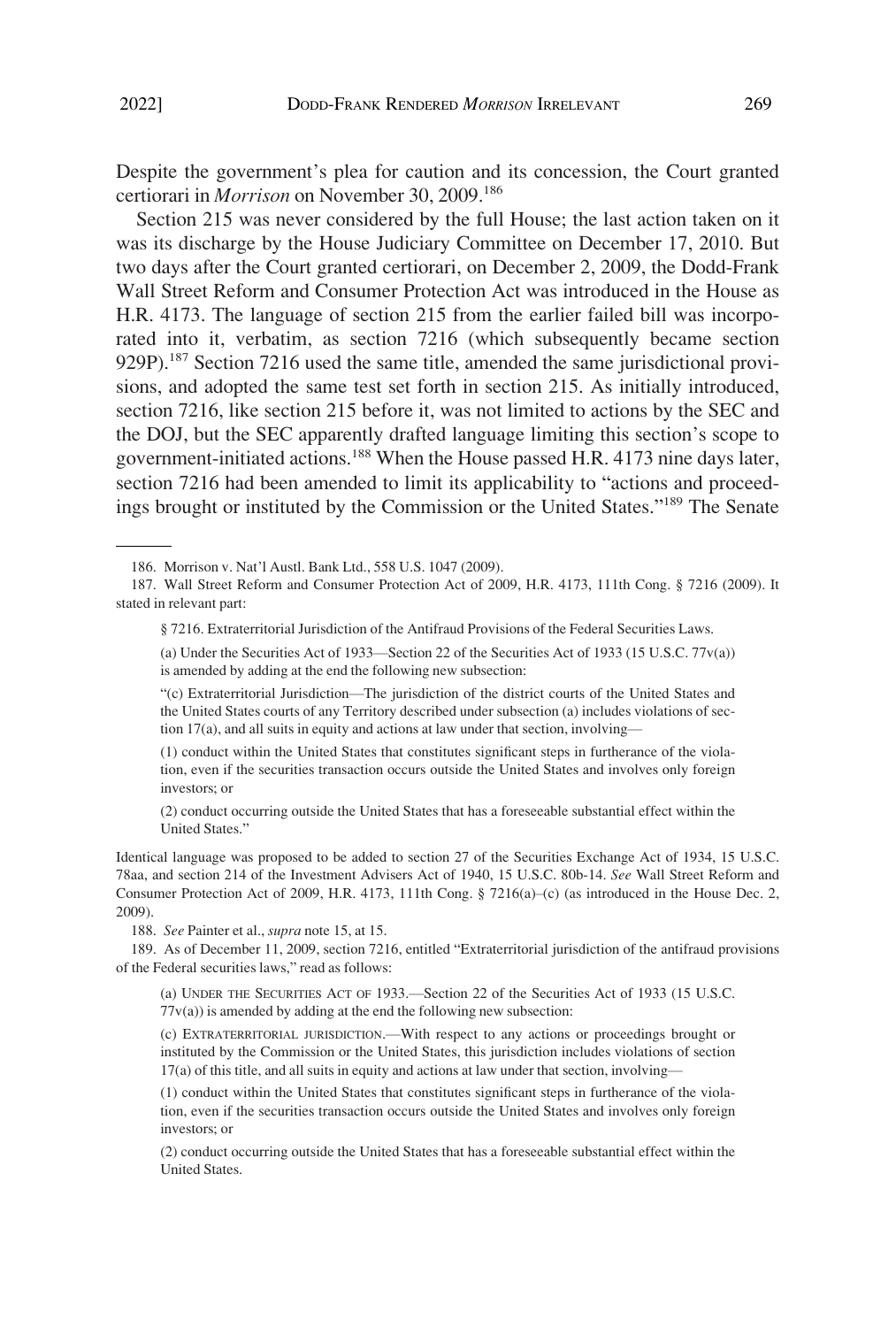Despite the government's plea for caution and its concession, the Court granted certiorari in *Morrison* on November 30, 2009.186

Section 215 was never considered by the full House; the last action taken on it was its discharge by the House Judiciary Committee on December 17, 2010. But two days after the Court granted certiorari, on December 2, 2009, the Dodd-Frank Wall Street Reform and Consumer Protection Act was introduced in the House as H.R. 4173. The language of section 215 from the earlier failed bill was incorporated into it, verbatim, as section 7216 (which subsequently became section 929P).<sup>187</sup> Section 7216 used the same title, amended the same jurisdictional provisions, and adopted the same test set forth in section 215. As initially introduced, section 7216, like section 215 before it, was not limited to actions by the SEC and the DOJ, but the SEC apparently drafted language limiting this section's scope to government-initiated actions.<sup>188</sup> When the House passed H.R. 4173 nine days later, section 7216 had been amended to limit its applicability to "actions and proceedings brought or instituted by the Commission or the United States."189 The Senate

(1) conduct within the United States that constitutes significant steps in furtherance of the violation, even if the securities transaction occurs outside the United States and involves only foreign investors; or

(2) conduct occurring outside the United States that has a foreseeable substantial effect within the United States."

Identical language was proposed to be added to section 27 of the Securities Exchange Act of 1934, 15 U.S.C. 78aa, and section 214 of the Investment Advisers Act of 1940, 15 U.S.C. 80b-14. *See* Wall Street Reform and Consumer Protection Act of 2009, H.R. 4173, 111th Cong. § 7216(a)–(c) (as introduced in the House Dec. 2, 2009).

188. *See* Painter et al., *supra* note 15, at 15.

189. As of December 11, 2009, section 7216, entitled "Extraterritorial jurisdiction of the antifraud provisions of the Federal securities laws," read as follows:

(a) UNDER THE SECURITIES ACT OF 1933.—Section 22 of the Securities Act of 1933 (15 U.S.C.  $77v(a)$ ) is amended by adding at the end the following new subsection:

(c) EXTRATERRITORIAL JURISDICTION.—With respect to any actions or proceedings brought or instituted by the Commission or the United States, this jurisdiction includes violations of section 17(a) of this title, and all suits in equity and actions at law under that section, involving—

(1) conduct within the United States that constitutes significant steps in furtherance of the violation, even if the securities transaction occurs outside the United States and involves only foreign investors; or

(2) conduct occurring outside the United States that has a foreseeable substantial effect within the United States.

<sup>186.</sup> Morrison v. Nat'l Austl. Bank Ltd., 558 U.S. 1047 (2009).

<sup>187.</sup> Wall Street Reform and Consumer Protection Act of 2009, H.R. 4173, 111th Cong. § 7216 (2009). It stated in relevant part:

<sup>§ 7216.</sup> Extraterritorial Jurisdiction of the Antifraud Provisions of the Federal Securities Laws.

<sup>(</sup>a) Under the Securities Act of 1933—Section 22 of the Securities Act of 1933 (15 U.S.C. 77v(a)) is amended by adding at the end the following new subsection:

<sup>&</sup>quot;(c) Extraterritorial Jurisdiction—The jurisdiction of the district courts of the United States and the United States courts of any Territory described under subsection (a) includes violations of section 17(a), and all suits in equity and actions at law under that section, involving—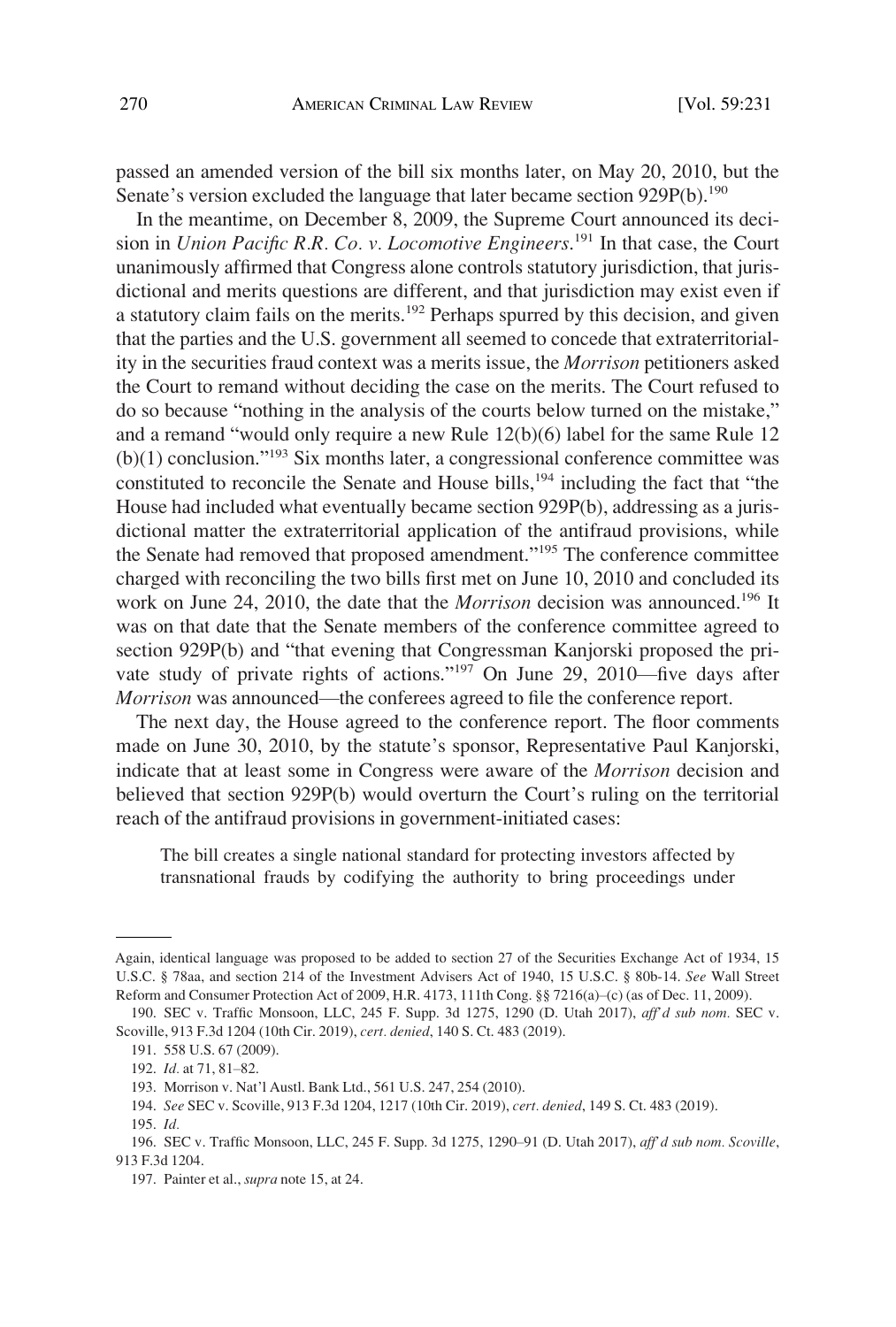passed an amended version of the bill six months later, on May 20, 2010, but the Senate's version excluded the language that later became section 929P(b).<sup>190</sup>

In the meantime, on December 8, 2009, the Supreme Court announced its decision in *Union Pacific R.R. Co. v. Locomotive Engineers*. 191 In that case, the Court unanimously affirmed that Congress alone controls statutory jurisdiction, that jurisdictional and merits questions are different, and that jurisdiction may exist even if a statutory claim fails on the merits.<sup>192</sup> Perhaps spurred by this decision, and given that the parties and the U.S. government all seemed to concede that extraterritoriality in the securities fraud context was a merits issue, the *Morrison* petitioners asked the Court to remand without deciding the case on the merits. The Court refused to do so because "nothing in the analysis of the courts below turned on the mistake," and a remand "would only require a new Rule 12(b)(6) label for the same Rule 12  $(b)(1)$  conclusion."<sup>193</sup> Six months later, a congressional conference committee was constituted to reconcile the Senate and House bills,<sup>194</sup> including the fact that "the House had included what eventually became section 929P(b), addressing as a jurisdictional matter the extraterritorial application of the antifraud provisions, while the Senate had removed that proposed amendment."195 The conference committee charged with reconciling the two bills first met on June 10, 2010 and concluded its work on June 24, 2010, the date that the *Morrison* decision was announced.<sup>196</sup> It was on that date that the Senate members of the conference committee agreed to section 929P(b) and "that evening that Congressman Kanjorski proposed the private study of private rights of actions."197 On June 29, 2010—five days after *Morrison* was announced—the conferees agreed to file the conference report.

The next day, the House agreed to the conference report. The floor comments made on June 30, 2010, by the statute's sponsor, Representative Paul Kanjorski, indicate that at least some in Congress were aware of the *Morrison* decision and believed that section 929P(b) would overturn the Court's ruling on the territorial reach of the antifraud provisions in government-initiated cases:

The bill creates a single national standard for protecting investors affected by transnational frauds by codifying the authority to bring proceedings under

Again, identical language was proposed to be added to section 27 of the Securities Exchange Act of 1934, 15 U.S.C. § 78aa, and section 214 of the Investment Advisers Act of 1940, 15 U.S.C. § 80b-14. *See* Wall Street Reform and Consumer Protection Act of 2009, H.R. 4173, 111th Cong. §§ 7216(a)–(c) (as of Dec. 11, 2009).

<sup>190.</sup> SEC v. Traffic Monsoon, LLC, 245 F. Supp. 3d 1275, 1290 (D. Utah 2017), *aff'd sub nom.* SEC v. Scoville, 913 F.3d 1204 (10th Cir. 2019), *cert. denied*, 140 S. Ct. 483 (2019).

<sup>191. 558</sup> U.S. 67 (2009).

<sup>192.</sup> *Id.* at 71, 81–82.

<sup>193.</sup> Morrison v. Nat'l Austl. Bank Ltd., 561 U.S. 247, 254 (2010).

<sup>194.</sup> *See* SEC v. Scoville, 913 F.3d 1204, 1217 (10th Cir. 2019), *cert. denied*, 149 S. Ct. 483 (2019).

<sup>195.</sup> *Id.* 

<sup>196.</sup> SEC v. Traffic Monsoon, LLC, 245 F. Supp. 3d 1275, 1290–91 (D. Utah 2017), *aff'd sub nom. Scoville*, 913 F.3d 1204.

<sup>197.</sup> Painter et al., *supra* note 15, at 24.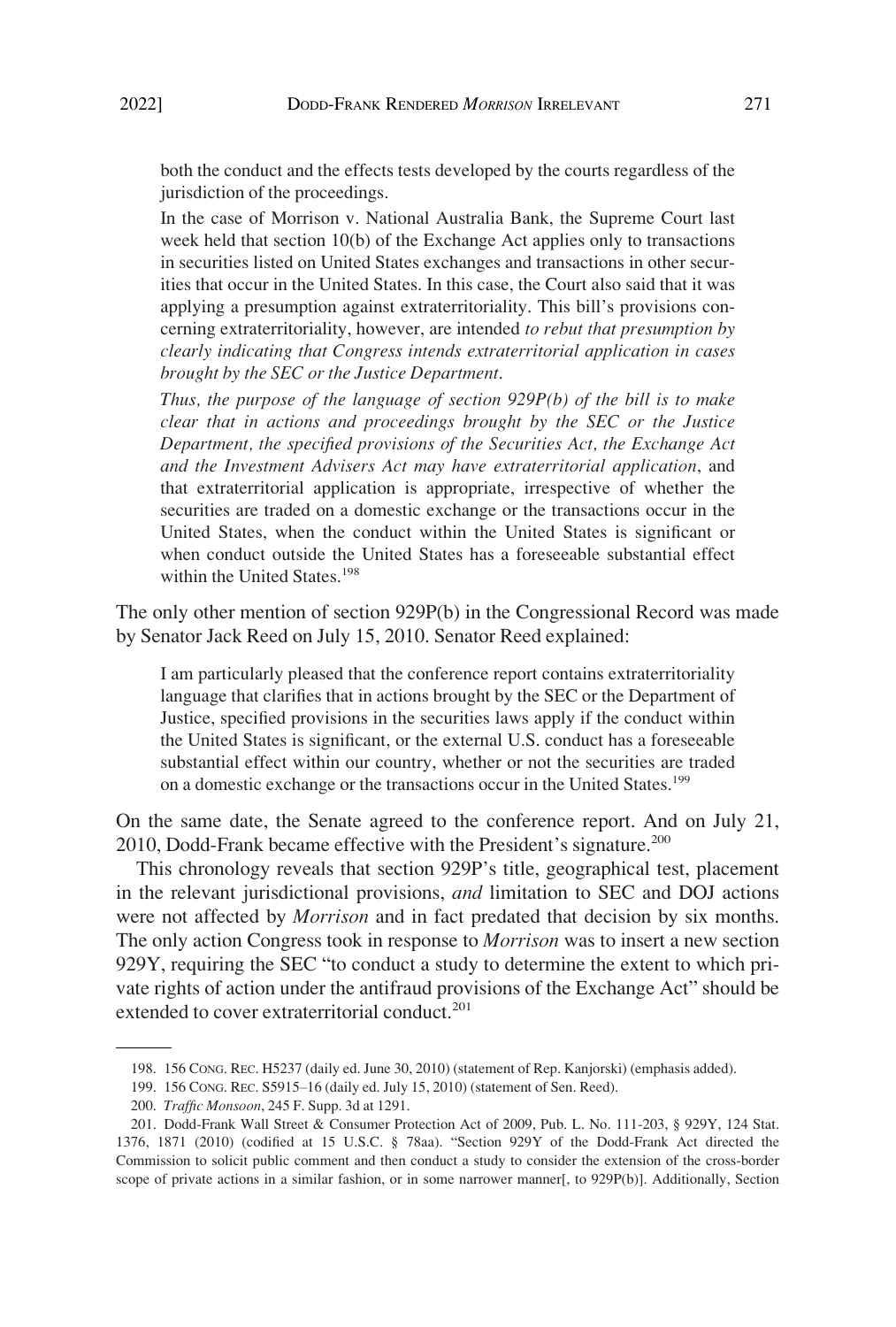both the conduct and the effects tests developed by the courts regardless of the jurisdiction of the proceedings.

In the case of Morrison v. National Australia Bank, the Supreme Court last week held that section 10(b) of the Exchange Act applies only to transactions in securities listed on United States exchanges and transactions in other securities that occur in the United States. In this case, the Court also said that it was applying a presumption against extraterritoriality. This bill's provisions concerning extraterritoriality, however, are intended *to rebut that presumption by clearly indicating that Congress intends extraterritorial application in cases brought by the SEC or the Justice Department*.

*Thus, the purpose of the language of section 929P(b) of the bill is to make clear that in actions and proceedings brought by the SEC or the Justice Department, the specified provisions of the Securities Act, the Exchange Act and the Investment Advisers Act may have extraterritorial application*, and that extraterritorial application is appropriate, irrespective of whether the securities are traded on a domestic exchange or the transactions occur in the United States, when the conduct within the United States is significant or when conduct outside the United States has a foreseeable substantial effect within the United States.<sup>198</sup>

The only other mention of section 929P(b) in the Congressional Record was made by Senator Jack Reed on July 15, 2010. Senator Reed explained:

I am particularly pleased that the conference report contains extraterritoriality language that clarifies that in actions brought by the SEC or the Department of Justice, specified provisions in the securities laws apply if the conduct within the United States is significant, or the external U.S. conduct has a foreseeable substantial effect within our country, whether or not the securities are traded on a domestic exchange or the transactions occur in the United States.<sup>199</sup>

On the same date, the Senate agreed to the conference report. And on July 21, 2010, Dodd-Frank became effective with the President's signature.<sup>200</sup>

This chronology reveals that section 929P's title, geographical test, placement in the relevant jurisdictional provisions, *and* limitation to SEC and DOJ actions were not affected by *Morrison* and in fact predated that decision by six months. The only action Congress took in response to *Morrison* was to insert a new section 929Y, requiring the SEC "to conduct a study to determine the extent to which private rights of action under the antifraud provisions of the Exchange Act" should be extended to cover extraterritorial conduct. $201$ 

<sup>198. 156</sup> CONG. REC. H5237 (daily ed. June 30, 2010) (statement of Rep. Kanjorski) (emphasis added).

<sup>199. 156</sup> CONG. REC. S5915–16 (daily ed. July 15, 2010) (statement of Sen. Reed).

<sup>200.</sup> *Traffic Monsoon*, 245 F. Supp. 3d at 1291.

<sup>201.</sup> Dodd-Frank Wall Street & Consumer Protection Act of 2009, Pub. L. No. 111-203, § 929Y, 124 Stat. 1376, 1871 (2010) (codified at 15 U.S.C. § 78aa). "Section 929Y of the Dodd-Frank Act directed the Commission to solicit public comment and then conduct a study to consider the extension of the cross-border scope of private actions in a similar fashion, or in some narrower manner[, to 929P(b)]. Additionally, Section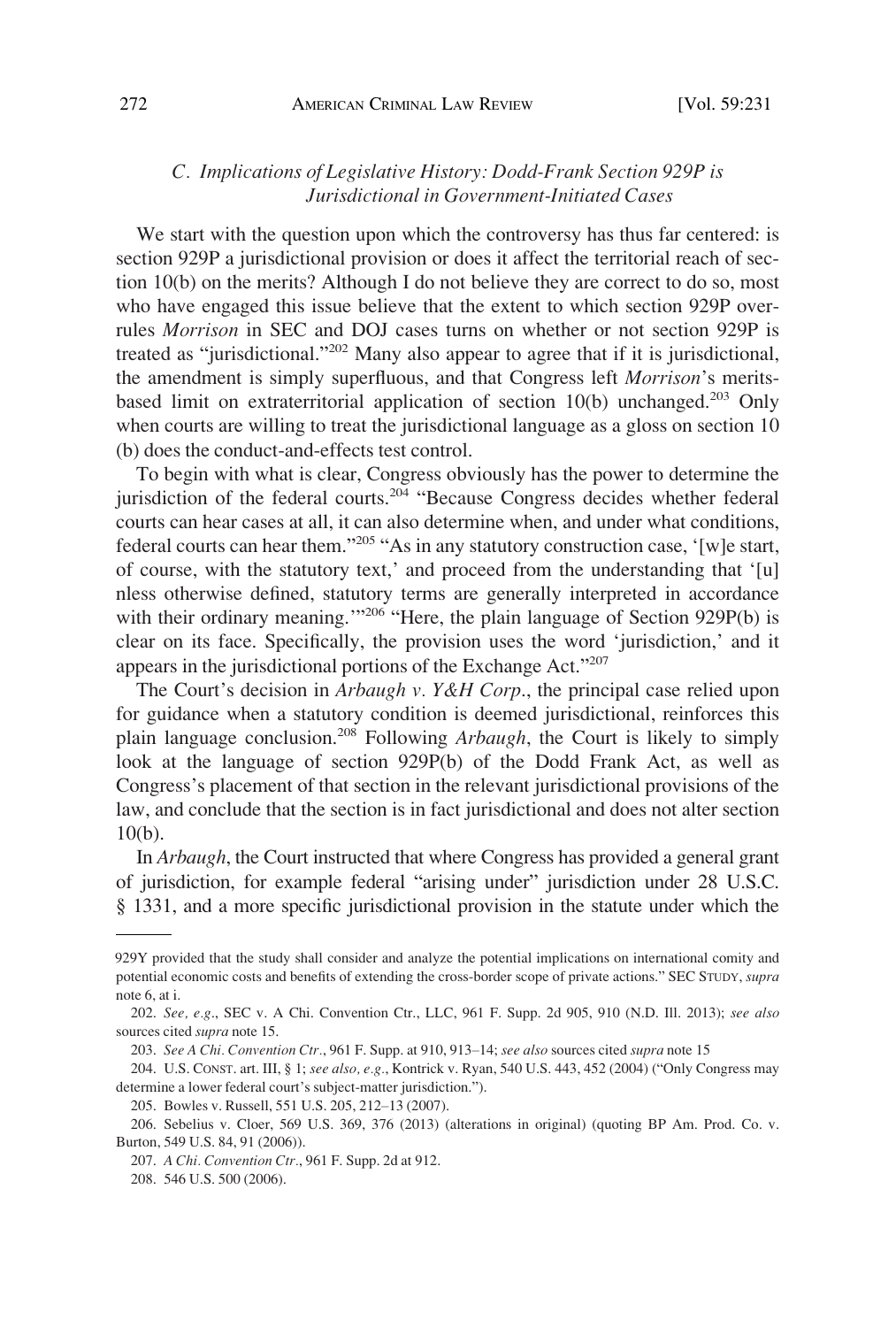## <span id="page-41-0"></span>*C. Implications of Legislative History: Dodd-Frank Section 929P is Jurisdictional in Government-Initiated Cases*

We start with the question upon which the controversy has thus far centered: is section 929P a jurisdictional provision or does it affect the territorial reach of section 10(b) on the merits? Although I do not believe they are correct to do so, most who have engaged this issue believe that the extent to which section 929P overrules *Morrison* in SEC and DOJ cases turns on whether or not section 929P is treated as "jurisdictional."202 Many also appear to agree that if it is jurisdictional, the amendment is simply superfluous, and that Congress left *Morrison*'s meritsbased limit on extraterritorial application of section  $10(b)$  unchanged.<sup>203</sup> Only when courts are willing to treat the jurisdictional language as a gloss on section 10 (b) does the conduct-and-effects test control.

To begin with what is clear, Congress obviously has the power to determine the jurisdiction of the federal courts.<sup>204</sup> "Because Congress decides whether federal courts can hear cases at all, it can also determine when, and under what conditions, federal courts can hear them."<sup>205</sup> "As in any statutory construction case, '[w]e start, of course, with the statutory text,' and proceed from the understanding that '[u] nless otherwise defined, statutory terms are generally interpreted in accordance with their ordinary meaning."<sup>206</sup> "Here, the plain language of Section 929P(b) is clear on its face. Specifically, the provision uses the word 'jurisdiction,' and it appears in the jurisdictional portions of the Exchange Act."<sup>207</sup>

The Court's decision in *Arbaugh v. Y&H Corp*., the principal case relied upon for guidance when a statutory condition is deemed jurisdictional, reinforces this plain language conclusion.208 Following *Arbaugh*, the Court is likely to simply look at the language of section 929P(b) of the Dodd Frank Act, as well as Congress's placement of that section in the relevant jurisdictional provisions of the law, and conclude that the section is in fact jurisdictional and does not alter section 10(b).

In *Arbaugh*, the Court instructed that where Congress has provided a general grant of jurisdiction, for example federal "arising under" jurisdiction under 28 U.S.C. § 1331, and a more specific jurisdictional provision in the statute under which the

<sup>929</sup>Y provided that the study shall consider and analyze the potential implications on international comity and potential economic costs and benefits of extending the cross-border scope of private actions." SEC STUDY, *supra*  note 6, at i.

<sup>202.</sup> *See, e.g*., SEC v. A Chi. Convention Ctr., LLC, 961 F. Supp. 2d 905, 910 (N.D. Ill. 2013); *see also*  sources cited *supra* note 15.

<sup>203.</sup> *See A Chi. Convention Ctr.*, 961 F. Supp. at 910, 913–14; *see also* sources cited *supra* note 15

<sup>204.</sup> U.S. CONST. art. III, § 1; *see also, e.g.*, Kontrick v. Ryan, 540 U.S. 443, 452 (2004) ("Only Congress may determine a lower federal court's subject-matter jurisdiction.").

<sup>205.</sup> Bowles v. Russell, 551 U.S. 205, 212–13 (2007).

<sup>206.</sup> Sebelius v. Cloer, 569 U.S. 369, 376 (2013) (alterations in original) (quoting BP Am. Prod. Co. v. Burton, 549 U.S. 84, 91 (2006)).

<sup>207.</sup> *A Chi. Convention Ctr.*, 961 F. Supp. 2d at 912.

<sup>208. 546</sup> U.S. 500 (2006).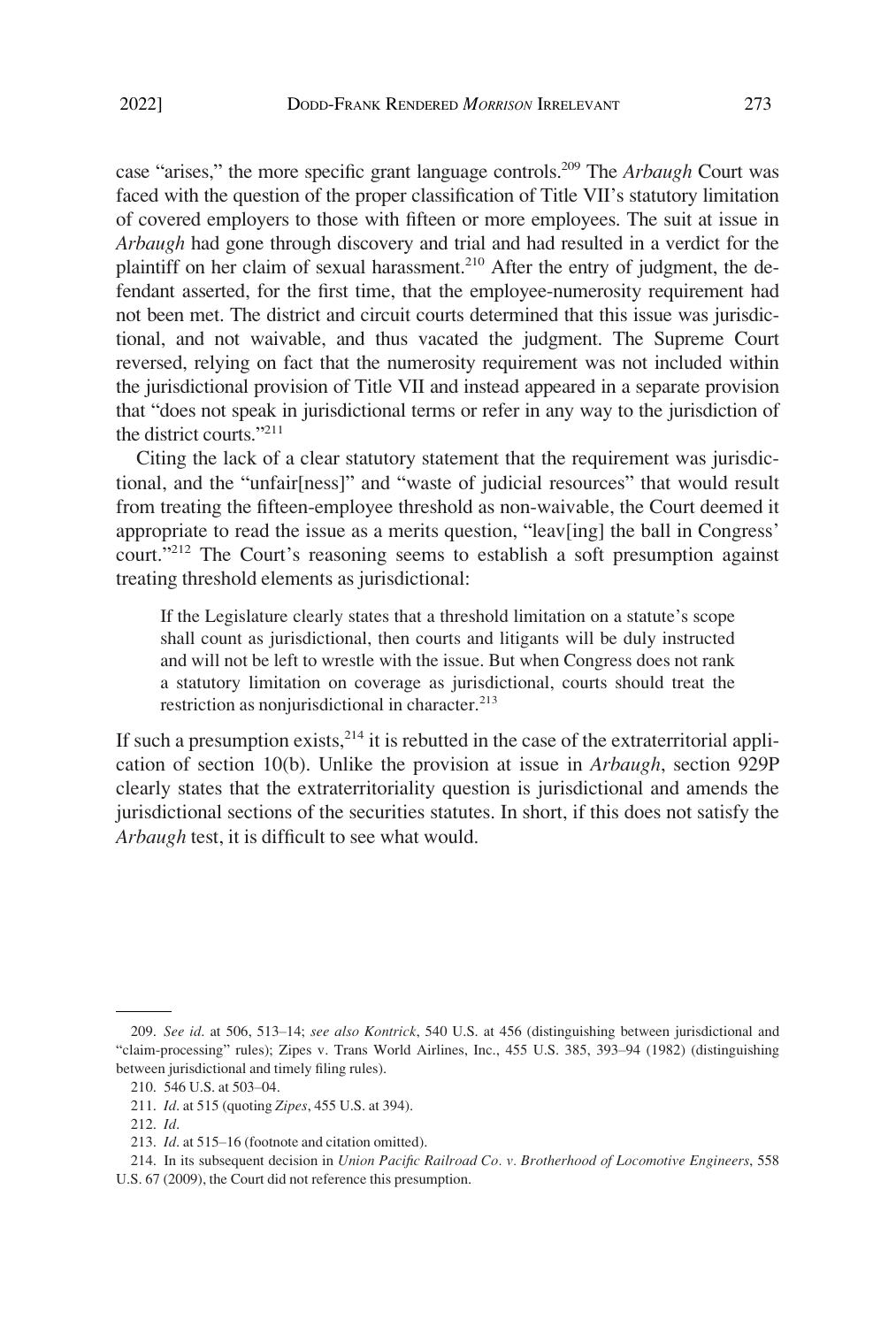case "arises," the more specific grant language controls.209 The *Arbaugh* Court was faced with the question of the proper classification of Title VII's statutory limitation of covered employers to those with fifteen or more employees. The suit at issue in *Arbaugh* had gone through discovery and trial and had resulted in a verdict for the plaintiff on her claim of sexual harassment.<sup>210</sup> After the entry of judgment, the defendant asserted, for the first time, that the employee-numerosity requirement had not been met. The district and circuit courts determined that this issue was jurisdictional, and not waivable, and thus vacated the judgment. The Supreme Court reversed, relying on fact that the numerosity requirement was not included within the jurisdictional provision of Title VII and instead appeared in a separate provision that "does not speak in jurisdictional terms or refer in any way to the jurisdiction of the district courts. $"211"$ 

Citing the lack of a clear statutory statement that the requirement was jurisdictional, and the "unfair[ness]" and "waste of judicial resources" that would result from treating the fifteen-employee threshold as non-waivable, the Court deemed it appropriate to read the issue as a merits question, "leav[ing] the ball in Congress' court."212 The Court's reasoning seems to establish a soft presumption against treating threshold elements as jurisdictional:

If the Legislature clearly states that a threshold limitation on a statute's scope shall count as jurisdictional, then courts and litigants will be duly instructed and will not be left to wrestle with the issue. But when Congress does not rank a statutory limitation on coverage as jurisdictional, courts should treat the restriction as nonjurisdictional in character.<sup>213</sup>

If such a presumption exists,  $2^{14}$  it is rebutted in the case of the extraterritorial application of section 10(b). Unlike the provision at issue in *Arbaugh*, section 929P clearly states that the extraterritoriality question is jurisdictional and amends the jurisdictional sections of the securities statutes. In short, if this does not satisfy the *Arbaugh* test, it is difficult to see what would.

<sup>209.</sup> *See id*. at 506, 513–14; *see also Kontrick*, 540 U.S. at 456 (distinguishing between jurisdictional and "claim-processing" rules); Zipes v. Trans World Airlines, Inc., 455 U.S. 385, 393–94 (1982) (distinguishing between jurisdictional and timely filing rules).

<sup>210. 546</sup> U.S. at 503–04.

<sup>211.</sup> *Id*. at 515 (quoting *Zipes*, 455 U.S. at 394).

<sup>212.</sup> *Id*.

<sup>213.</sup> *Id*. at 515–16 (footnote and citation omitted).

<sup>214.</sup> In its subsequent decision in *Union Pacific Railroad Co. v. Brotherhood of Locomotive Engineers*, 558 U.S. 67 (2009), the Court did not reference this presumption.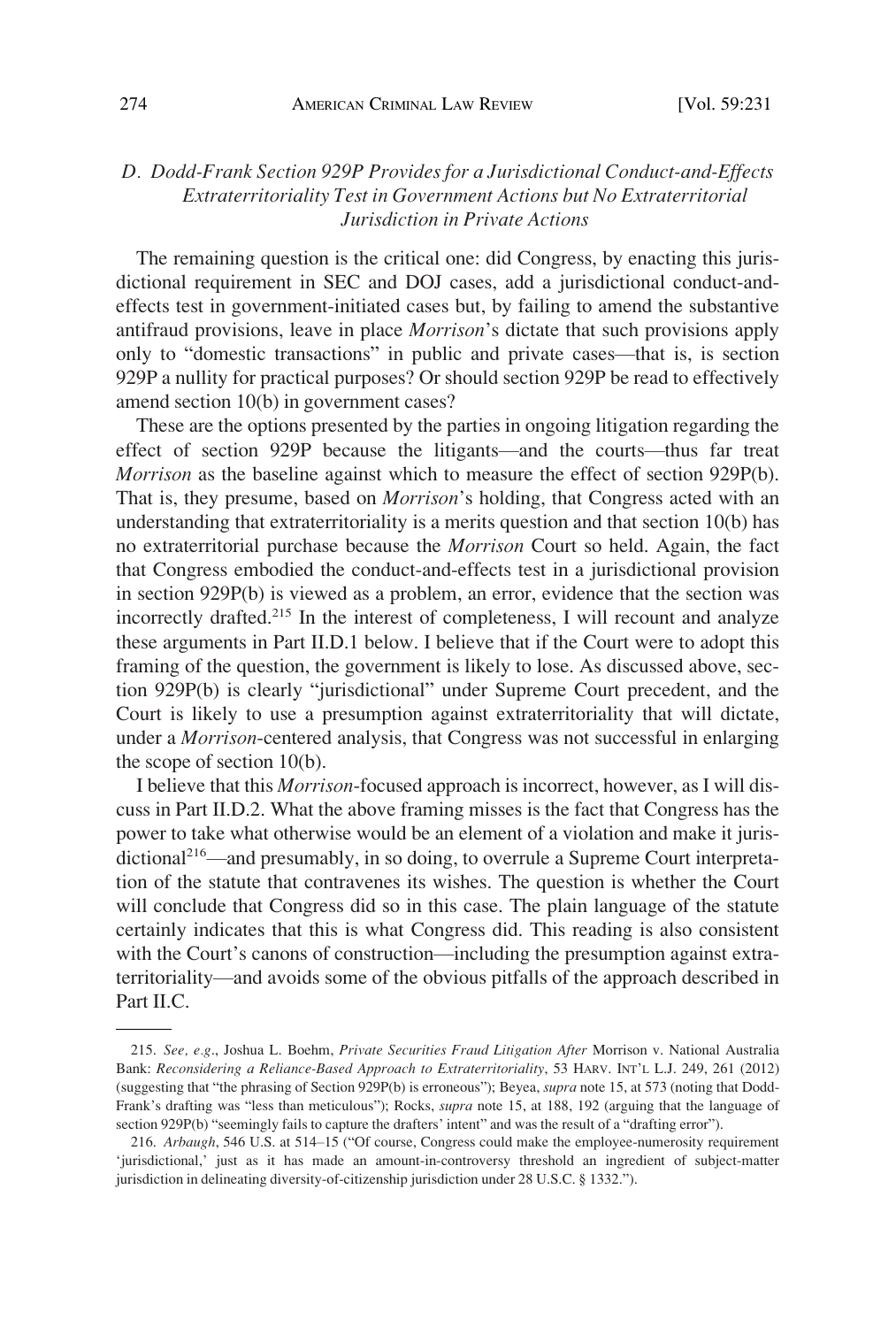# <span id="page-43-0"></span>*D. Dodd-Frank Section 929P Provides for a Jurisdictional Conduct-and-Effects Extraterritoriality Test in Government Actions but No Extraterritorial Jurisdiction in Private Actions*

The remaining question is the critical one: did Congress, by enacting this jurisdictional requirement in SEC and DOJ cases, add a jurisdictional conduct-andeffects test in government-initiated cases but, by failing to amend the substantive antifraud provisions, leave in place *Morrison*'s dictate that such provisions apply only to "domestic transactions" in public and private cases—that is, is section 929P a nullity for practical purposes? Or should section 929P be read to effectively amend section 10(b) in government cases?

These are the options presented by the parties in ongoing litigation regarding the effect of section 929P because the litigants—and the courts—thus far treat *Morrison* as the baseline against which to measure the effect of section 929P(b). That is, they presume, based on *Morrison*'s holding, that Congress acted with an understanding that extraterritoriality is a merits question and that section 10(b) has no extraterritorial purchase because the *Morrison* Court so held. Again, the fact that Congress embodied the conduct-and-effects test in a jurisdictional provision in section 929P(b) is viewed as a problem, an error, evidence that the section was incorrectly drafted.<sup>215</sup> In the interest of completeness, I will recount and analyze these arguments in Part II.D.1 below. I believe that if the Court were to adopt this framing of the question, the government is likely to lose. As discussed above, section 929P(b) is clearly "jurisdictional" under Supreme Court precedent, and the Court is likely to use a presumption against extraterritoriality that will dictate, under a *Morrison*-centered analysis, that Congress was not successful in enlarging the scope of section 10(b).

I believe that this *Morrison*-focused approach is incorrect, however, as I will discuss in Part II.D.2. What the above framing misses is the fact that Congress has the power to take what otherwise would be an element of a violation and make it jurisdictional<sup>216</sup>—and presumably, in so doing, to overrule a Supreme Court interpretation of the statute that contravenes its wishes. The question is whether the Court will conclude that Congress did so in this case. The plain language of the statute certainly indicates that this is what Congress did. This reading is also consistent with the Court's canons of construction—including the presumption against extraterritoriality—and avoids some of the obvious pitfalls of the approach described in Part II.C.

<sup>215.</sup> *See, e.g*., Joshua L. Boehm, *Private Securities Fraud Litigation After* Morrison v. National Australia Bank: *Reconsidering a Reliance-Based Approach to Extraterritoriality*, 53 HARV. INT'L L.J. 249, 261 (2012) (suggesting that "the phrasing of Section 929P(b) is erroneous"); Beyea, *supra* note 15, at 573 (noting that Dodd-Frank's drafting was "less than meticulous"); Rocks, *supra* note 15, at 188, 192 (arguing that the language of section 929P(b) "seemingly fails to capture the drafters' intent" and was the result of a "drafting error").

<sup>216.</sup> *Arbaugh*, 546 U.S. at 514–15 ("Of course, Congress could make the employee-numerosity requirement 'jurisdictional,' just as it has made an amount-in-controversy threshold an ingredient of subject-matter jurisdiction in delineating diversity-of-citizenship jurisdiction under 28 U.S.C. § 1332.").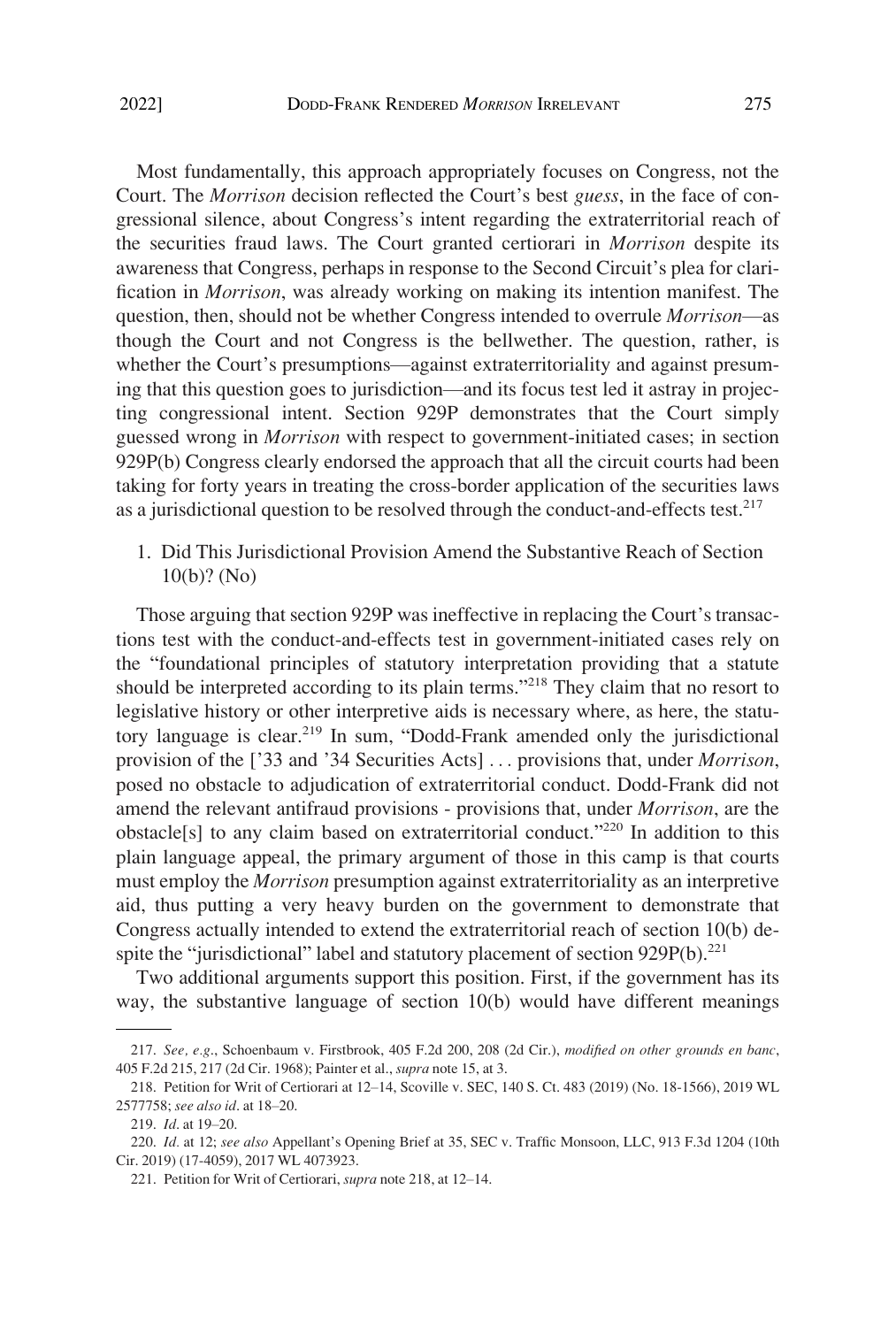<span id="page-44-0"></span>

Most fundamentally, this approach appropriately focuses on Congress, not the Court. The *Morrison* decision reflected the Court's best *guess*, in the face of congressional silence, about Congress's intent regarding the extraterritorial reach of the securities fraud laws. The Court granted certiorari in *Morrison* despite its awareness that Congress, perhaps in response to the Second Circuit's plea for clarification in *Morrison*, was already working on making its intention manifest. The question, then, should not be whether Congress intended to overrule *Morrison*—as though the Court and not Congress is the bellwether. The question, rather, is whether the Court's presumptions—against extraterritoriality and against presuming that this question goes to jurisdiction—and its focus test led it astray in projecting congressional intent. Section 929P demonstrates that the Court simply guessed wrong in *Morrison* with respect to government-initiated cases; in section 929P(b) Congress clearly endorsed the approach that all the circuit courts had been taking for forty years in treating the cross-border application of the securities laws as a jurisdictional question to be resolved through the conduct-and-effects test.<sup>217</sup>

1. Did This Jurisdictional Provision Amend the Substantive Reach of Section 10(b)? (No)

Those arguing that section 929P was ineffective in replacing the Court's transactions test with the conduct-and-effects test in government-initiated cases rely on the "foundational principles of statutory interpretation providing that a statute should be interpreted according to its plain terms."218 They claim that no resort to legislative history or other interpretive aids is necessary where, as here, the statutory language is clear.<sup>219</sup> In sum, "Dodd-Frank amended only the jurisdictional provision of the ['33 and '34 Securities Acts] . . . provisions that, under *Morrison*, posed no obstacle to adjudication of extraterritorial conduct. Dodd-Frank did not amend the relevant antifraud provisions - provisions that, under *Morrison*, are the obstacle[s] to any claim based on extraterritorial conduct."220 In addition to this plain language appeal, the primary argument of those in this camp is that courts must employ the *Morrison* presumption against extraterritoriality as an interpretive aid, thus putting a very heavy burden on the government to demonstrate that Congress actually intended to extend the extraterritorial reach of section 10(b) despite the "jurisdictional" label and statutory placement of section  $929P(b)$ <sup>221</sup>

Two additional arguments support this position. First, if the government has its way, the substantive language of section 10(b) would have different meanings

<sup>217.</sup> *See, e.g*., Schoenbaum v. Firstbrook, 405 F.2d 200, 208 (2d Cir.), *modified on other grounds en banc*, 405 F.2d 215, 217 (2d Cir. 1968); Painter et al., *supra* note 15, at 3.

<sup>218.</sup> Petition for Writ of Certiorari at 12–14, Scoville v. SEC, 140 S. Ct. 483 (2019) (No. 18-1566), 2019 WL 2577758; *see also id*. at 18–20.

<sup>219.</sup> *Id*. at 19–20.

<sup>220.</sup> *Id.* at 12; *see also* Appellant's Opening Brief at 35, SEC v. Traffic Monsoon, LLC, 913 F.3d 1204 (10th Cir. 2019) (17-4059), 2017 WL 4073923.

<sup>221.</sup> Petition for Writ of Certiorari, *supra* note 218, at 12–14.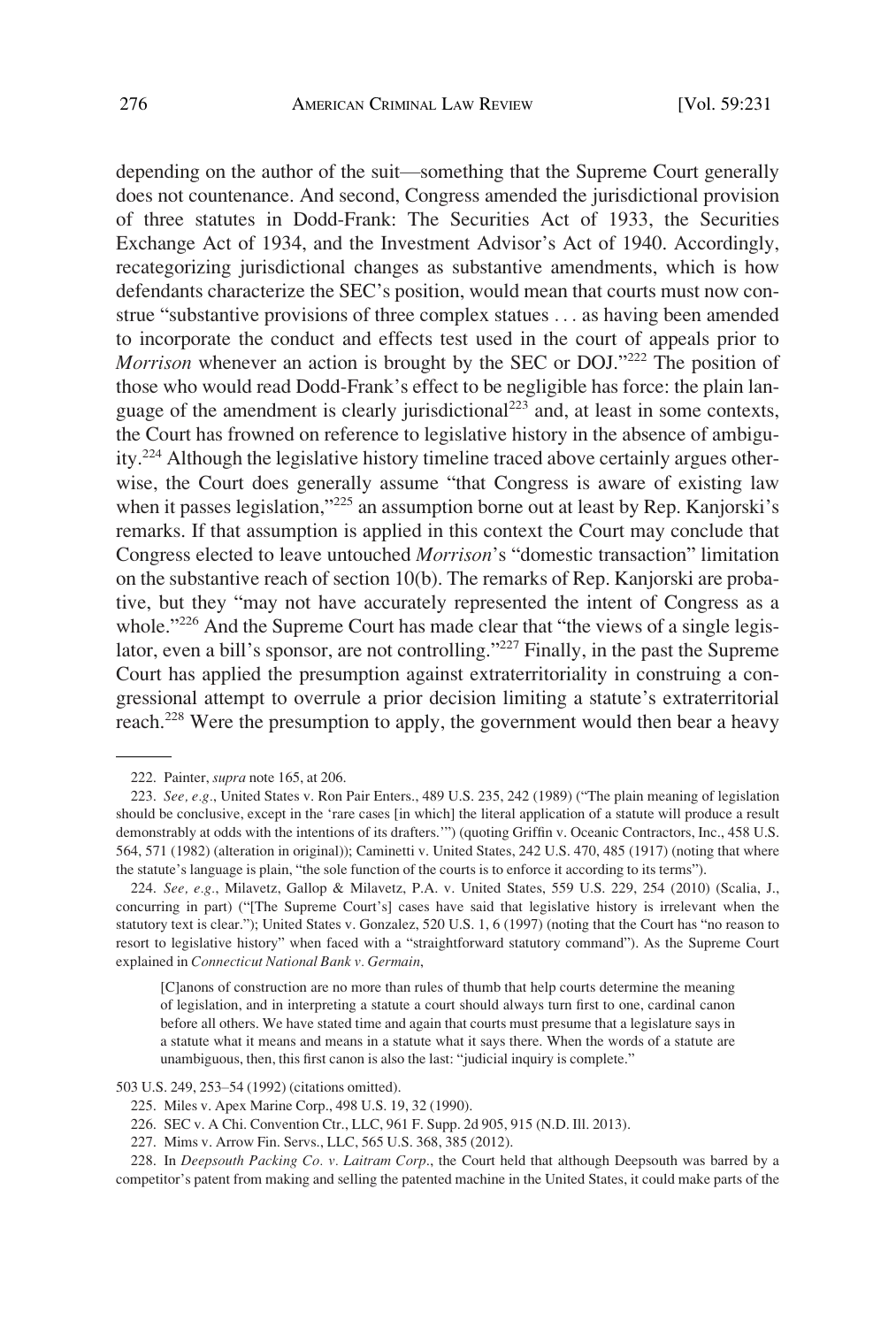depending on the author of the suit—something that the Supreme Court generally does not countenance. And second, Congress amended the jurisdictional provision of three statutes in Dodd-Frank: The Securities Act of 1933, the Securities Exchange Act of 1934, and the Investment Advisor's Act of 1940. Accordingly, recategorizing jurisdictional changes as substantive amendments, which is how defendants characterize the SEC's position, would mean that courts must now construe "substantive provisions of three complex statues . . . as having been amended to incorporate the conduct and effects test used in the court of appeals prior to *Morrison* whenever an action is brought by the SEC or DOJ."<sup>222</sup> The position of those who would read Dodd-Frank's effect to be negligible has force: the plain language of the amendment is clearly jurisdictional<sup>223</sup> and, at least in some contexts, the Court has frowned on reference to legislative history in the absence of ambiguity.224 Although the legislative history timeline traced above certainly argues otherwise, the Court does generally assume "that Congress is aware of existing law when it passes legislation,<sup>225</sup> an assumption borne out at least by Rep. Kanjorski's remarks. If that assumption is applied in this context the Court may conclude that Congress elected to leave untouched *Morrison*'s "domestic transaction" limitation on the substantive reach of section  $10(b)$ . The remarks of Rep. Kanjorski are probative, but they "may not have accurately represented the intent of Congress as a whole."<sup>226</sup> And the Supreme Court has made clear that "the views of a single legislator, even a bill's sponsor, are not controlling."<sup>227</sup> Finally, in the past the Supreme Court has applied the presumption against extraterritoriality in construing a congressional attempt to overrule a prior decision limiting a statute's extraterritorial reach.<sup>228</sup> Were the presumption to apply, the government would then bear a heavy

224. *See, e.g.*, Milavetz, Gallop & Milavetz, P.A. v. United States, 559 U.S. 229, 254 (2010) (Scalia, J., concurring in part) ("[The Supreme Court's] cases have said that legislative history is irrelevant when the statutory text is clear."); United States v. Gonzalez, 520 U.S. 1, 6 (1997) (noting that the Court has "no reason to resort to legislative history" when faced with a "straightforward statutory command"). As the Supreme Court explained in *Connecticut National Bank v. Germain*,

[C]anons of construction are no more than rules of thumb that help courts determine the meaning of legislation, and in interpreting a statute a court should always turn first to one, cardinal canon before all others. We have stated time and again that courts must presume that a legislature says in a statute what it means and means in a statute what it says there. When the words of a statute are unambiguous, then, this first canon is also the last: "judicial inquiry is complete."

<sup>222.</sup> Painter, *supra* note 165, at 206.

<sup>223.</sup> *See, e.g.*, United States v. Ron Pair Enters., 489 U.S. 235, 242 (1989) ("The plain meaning of legislation should be conclusive, except in the 'rare cases [in which] the literal application of a statute will produce a result demonstrably at odds with the intentions of its drafters.'") (quoting Griffin v. Oceanic Contractors, Inc., 458 U.S. 564, 571 (1982) (alteration in original)); Caminetti v. United States, 242 U.S. 470, 485 (1917) (noting that where the statute's language is plain, "the sole function of the courts is to enforce it according to its terms").

<sup>503</sup> U.S. 249, 253–54 (1992) (citations omitted).

<sup>225.</sup> Miles v. Apex Marine Corp., 498 U.S. 19, 32 (1990).

<sup>226.</sup> SEC v. A Chi. Convention Ctr., LLC, 961 F. Supp. 2d 905, 915 (N.D. Ill. 2013).

<sup>227.</sup> Mims v. Arrow Fin. Servs., LLC, 565 U.S. 368, 385 (2012).

<sup>228.</sup> In *Deepsouth Packing Co. v. Laitram Corp*., the Court held that although Deepsouth was barred by a competitor's patent from making and selling the patented machine in the United States, it could make parts of the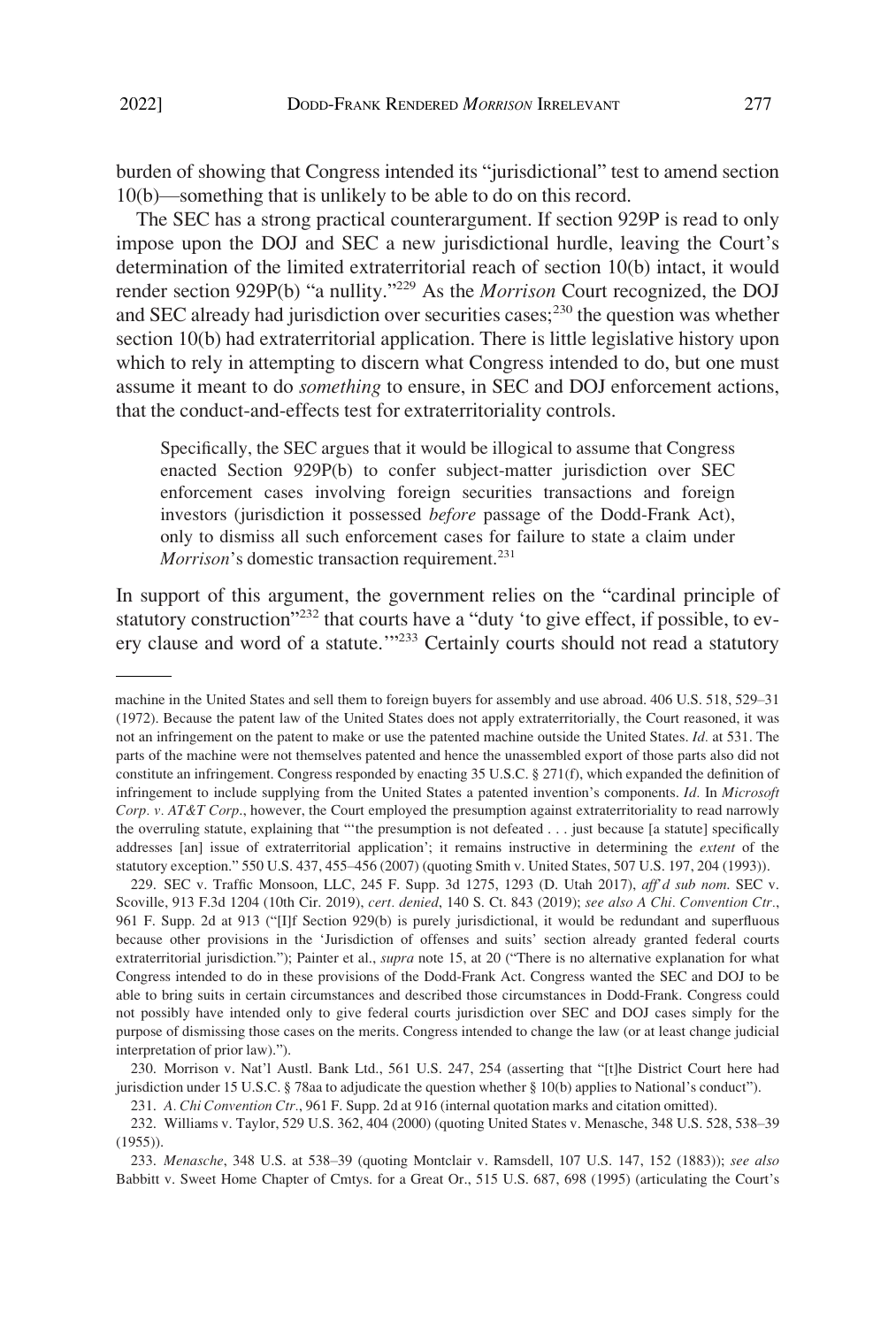burden of showing that Congress intended its "jurisdictional" test to amend section 10(b)—something that is unlikely to be able to do on this record.

The SEC has a strong practical counterargument. If section 929P is read to only impose upon the DOJ and SEC a new jurisdictional hurdle, leaving the Court's determination of the limited extraterritorial reach of section 10(b) intact, it would render section 929P(b) "a nullity."229 As the *Morrison* Court recognized, the DOJ and SEC already had jurisdiction over securities cases; $^{230}$  the question was whether section 10(b) had extraterritorial application. There is little legislative history upon which to rely in attempting to discern what Congress intended to do, but one must assume it meant to do *something* to ensure, in SEC and DOJ enforcement actions, that the conduct-and-effects test for extraterritoriality controls.

Specifically, the SEC argues that it would be illogical to assume that Congress enacted Section 929P(b) to confer subject-matter jurisdiction over SEC enforcement cases involving foreign securities transactions and foreign investors (jurisdiction it possessed *before* passage of the Dodd-Frank Act), only to dismiss all such enforcement cases for failure to state a claim under *Morrison*'s domestic transaction requirement.<sup>231</sup>

In support of this argument, the government relies on the "cardinal principle of statutory construction"<sup>232</sup> that courts have a "duty 'to give effect, if possible, to every clause and word of a statute.<sup>"233</sup> Certainly courts should not read a statutory

machine in the United States and sell them to foreign buyers for assembly and use abroad. 406 U.S. 518, 529–31 (1972). Because the patent law of the United States does not apply extraterritorially, the Court reasoned, it was not an infringement on the patent to make or use the patented machine outside the United States. *Id.* at 531. The parts of the machine were not themselves patented and hence the unassembled export of those parts also did not constitute an infringement. Congress responded by enacting 35 U.S.C. § 271(f), which expanded the definition of infringement to include supplying from the United States a patented invention's components. *Id.* In *Microsoft Corp. v. AT&T Corp*., however, the Court employed the presumption against extraterritoriality to read narrowly the overruling statute, explaining that "'the presumption is not defeated . . . just because [a statute] specifically addresses [an] issue of extraterritorial application'; it remains instructive in determining the *extent* of the statutory exception." 550 U.S. 437, 455–456 (2007) (quoting Smith v. United States, 507 U.S. 197, 204 (1993)).

<sup>229.</sup> SEC v. Traffic Monsoon, LLC, 245 F. Supp. 3d 1275, 1293 (D. Utah 2017), *aff'd sub nom*. SEC v. Scoville, 913 F.3d 1204 (10th Cir. 2019), *cert. denied*, 140 S. Ct. 843 (2019); *see also A Chi. Convention Ctr.*, 961 F. Supp. 2d at 913 ("[I]f Section 929(b) is purely jurisdictional, it would be redundant and superfluous because other provisions in the 'Jurisdiction of offenses and suits' section already granted federal courts extraterritorial jurisdiction."); Painter et al., *supra* note 15, at 20 ("There is no alternative explanation for what Congress intended to do in these provisions of the Dodd-Frank Act. Congress wanted the SEC and DOJ to be able to bring suits in certain circumstances and described those circumstances in Dodd-Frank. Congress could not possibly have intended only to give federal courts jurisdiction over SEC and DOJ cases simply for the purpose of dismissing those cases on the merits. Congress intended to change the law (or at least change judicial interpretation of prior law).").

<sup>230.</sup> Morrison v. Nat'l Austl. Bank Ltd., 561 U.S. 247, 254 (asserting that "[t]he District Court here had jurisdiction under 15 U.S.C. § 78aa to adjudicate the question whether § 10(b) applies to National's conduct").

<sup>231.</sup> *A. Chi Convention Ctr.*, 961 F. Supp. 2d at 916 (internal quotation marks and citation omitted).

<sup>232.</sup> Williams v. Taylor, 529 U.S. 362, 404 (2000) (quoting United States v. Menasche, 348 U.S. 528, 538–39 (1955)).

<sup>233.</sup> *Menasche*, 348 U.S. at 538–39 (quoting Montclair v. Ramsdell, 107 U.S. 147, 152 (1883)); *see also*  Babbitt v. Sweet Home Chapter of Cmtys. for a Great Or., 515 U.S. 687, 698 (1995) (articulating the Court's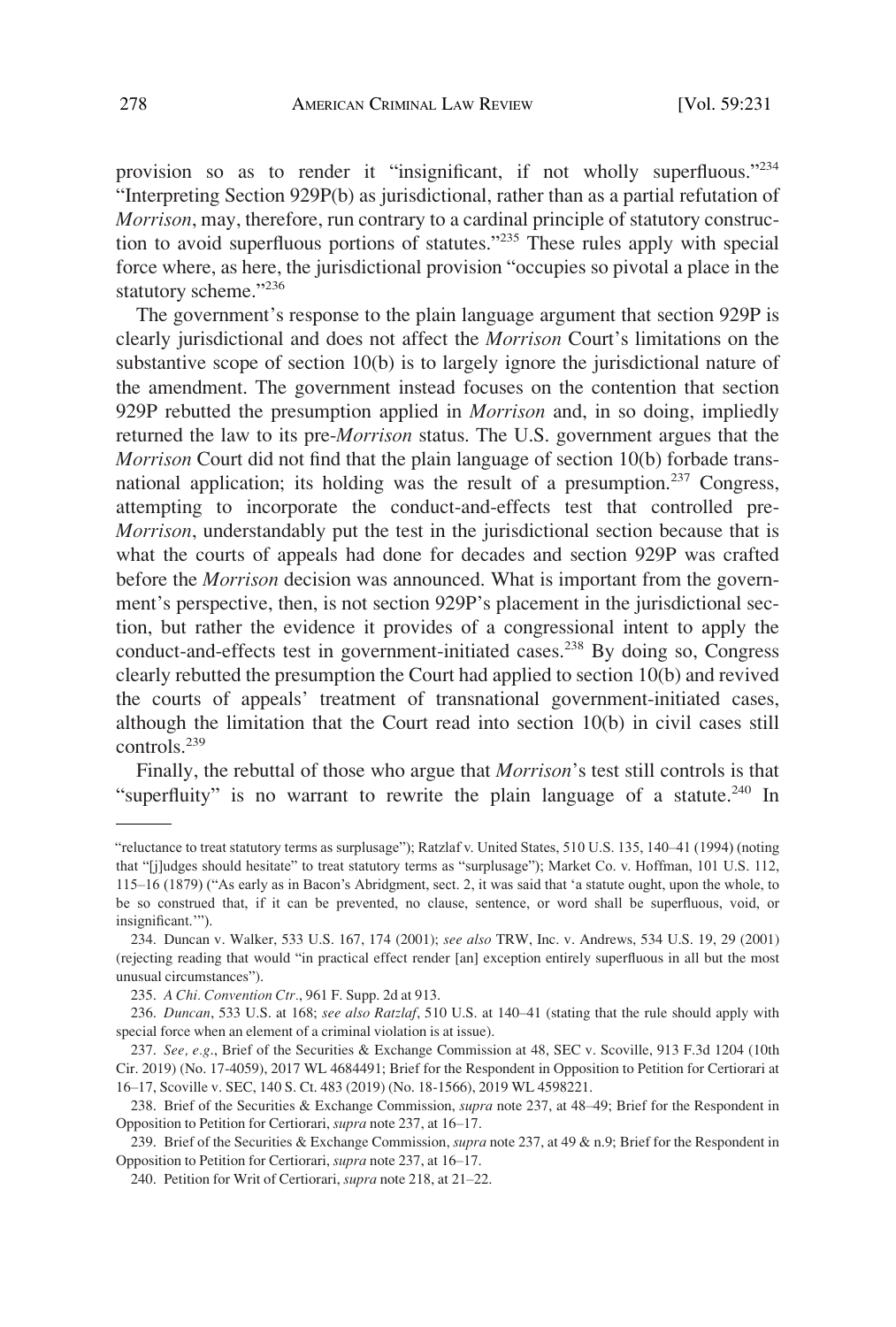provision so as to render it "insignificant, if not wholly superfluous."<sup>234</sup> "Interpreting Section 929P(b) as jurisdictional, rather than as a partial refutation of *Morrison*, may, therefore, run contrary to a cardinal principle of statutory construction to avoid superfluous portions of statutes."235 These rules apply with special force where, as here, the jurisdictional provision "occupies so pivotal a place in the statutory scheme."236

The government's response to the plain language argument that section 929P is clearly jurisdictional and does not affect the *Morrison* Court's limitations on the substantive scope of section 10(b) is to largely ignore the jurisdictional nature of the amendment. The government instead focuses on the contention that section 929P rebutted the presumption applied in *Morrison* and, in so doing, impliedly returned the law to its pre-*Morrison* status. The U.S. government argues that the *Morrison* Court did not find that the plain language of section 10(b) forbade transnational application; its holding was the result of a presumption.<sup>237</sup> Congress, attempting to incorporate the conduct-and-effects test that controlled pre-*Morrison*, understandably put the test in the jurisdictional section because that is what the courts of appeals had done for decades and section 929P was crafted before the *Morrison* decision was announced. What is important from the government's perspective, then, is not section 929P's placement in the jurisdictional section, but rather the evidence it provides of a congressional intent to apply the conduct-and-effects test in government-initiated cases.<sup>238</sup> By doing so, Congress clearly rebutted the presumption the Court had applied to section 10(b) and revived the courts of appeals' treatment of transnational government-initiated cases, although the limitation that the Court read into section 10(b) in civil cases still controls.239

Finally, the rebuttal of those who argue that *Morrison*'s test still controls is that "superfluity" is no warrant to rewrite the plain language of a statute.<sup>240</sup> In

<sup>&</sup>quot;reluctance to treat statutory terms as surplusage"); Ratzlaf v. United States, 510 U.S. 135, 140–41 (1994) (noting that "[j]udges should hesitate" to treat statutory terms as "surplusage"); Market Co. v. Hoffman, 101 U.S. 112, 115–16 (1879) ("As early as in Bacon's Abridgment, sect. 2, it was said that 'a statute ought, upon the whole, to be so construed that, if it can be prevented, no clause, sentence, or word shall be superfluous, void, or insignificant.'").

<sup>234.</sup> Duncan v. Walker, 533 U.S. 167, 174 (2001); *see also* TRW, Inc. v. Andrews, 534 U.S. 19, 29 (2001) (rejecting reading that would "in practical effect render [an] exception entirely superfluous in all but the most unusual circumstances").

<sup>235.</sup> *A Chi. Convention Ctr.*, 961 F. Supp. 2d at 913.

<sup>236.</sup> *Duncan*, 533 U.S. at 168; *see also Ratzlaf*, 510 U.S. at 140–41 (stating that the rule should apply with special force when an element of a criminal violation is at issue).

<sup>237.</sup> *See, e.g*., Brief of the Securities & Exchange Commission at 48, SEC v. Scoville, 913 F.3d 1204 (10th Cir. 2019) (No. 17-4059), 2017 WL 4684491; Brief for the Respondent in Opposition to Petition for Certiorari at 16–17, Scoville v. SEC, 140 S. Ct. 483 (2019) (No. 18-1566), 2019 WL 4598221.

<sup>238.</sup> Brief of the Securities & Exchange Commission, *supra* note 237, at 48–49; Brief for the Respondent in Opposition to Petition for Certiorari, *supra* note 237, at 16–17.

<sup>239.</sup> Brief of the Securities & Exchange Commission, *supra* note 237, at 49 & n.9; Brief for the Respondent in Opposition to Petition for Certiorari, *supra* note 237, at 16–17.

<sup>240.</sup> Petition for Writ of Certiorari, *supra* note 218, at 21–22.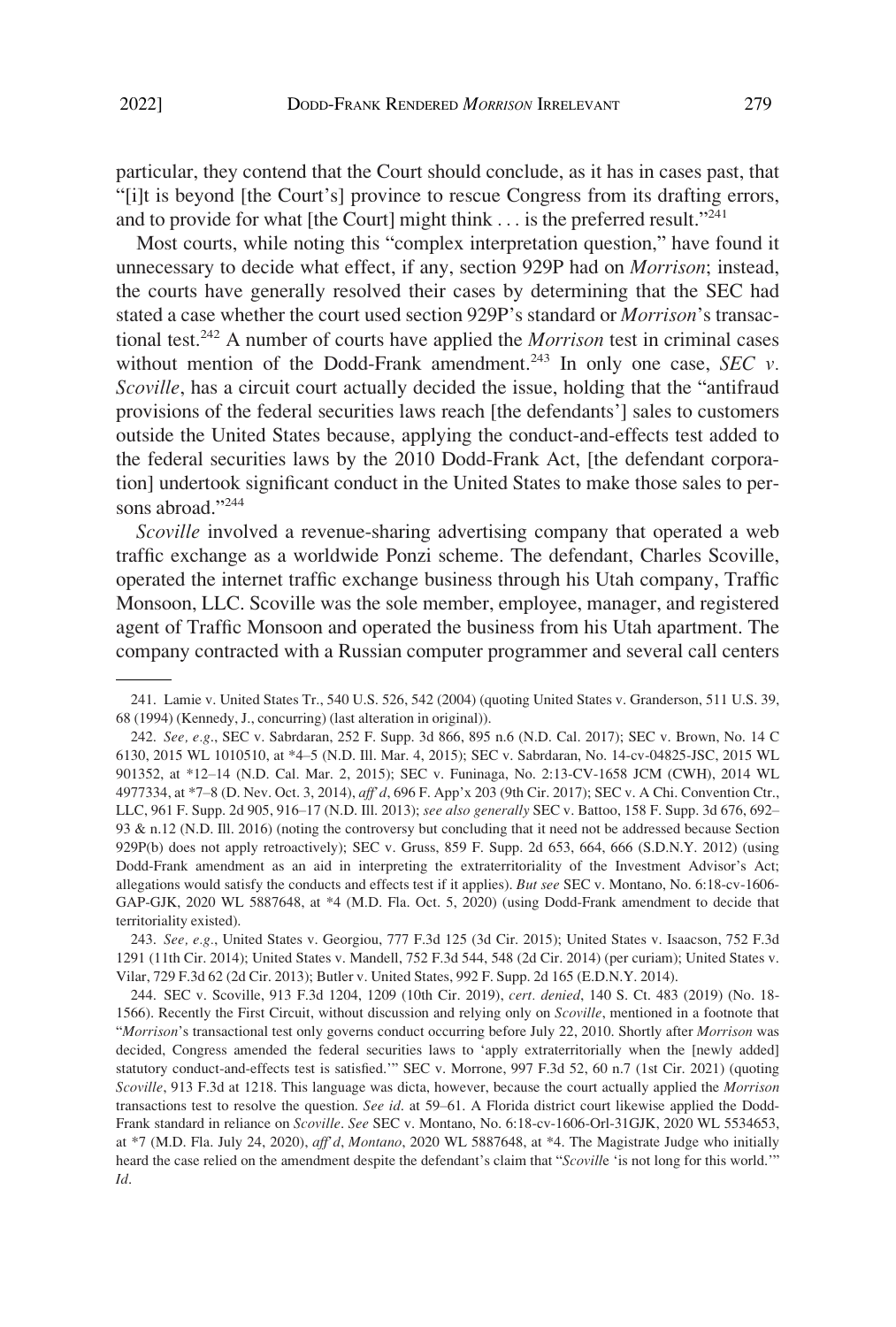particular, they contend that the Court should conclude, as it has in cases past, that "[i]t is beyond [the Court's] province to rescue Congress from its drafting errors, and to provide for what [the Court] might think  $\ldots$  is the preferred result."<sup>241</sup>

Most courts, while noting this "complex interpretation question," have found it unnecessary to decide what effect, if any, section 929P had on *Morrison*; instead, the courts have generally resolved their cases by determining that the SEC had stated a case whether the court used section 929P's standard or *Morrison*'s transactional test.242 A number of courts have applied the *Morrison* test in criminal cases without mention of the Dodd-Frank amendment.<sup>243</sup> In only one case, *SEC v. Scoville*, has a circuit court actually decided the issue, holding that the "antifraud provisions of the federal securities laws reach [the defendants'] sales to customers outside the United States because, applying the conduct-and-effects test added to the federal securities laws by the 2010 Dodd-Frank Act, [the defendant corporation] undertook significant conduct in the United States to make those sales to persons abroad."<sup>244</sup>

*Scoville* involved a revenue-sharing advertising company that operated a web traffic exchange as a worldwide Ponzi scheme. The defendant, Charles Scoville, operated the internet traffic exchange business through his Utah company, Traffic Monsoon, LLC. Scoville was the sole member, employee, manager, and registered agent of Traffic Monsoon and operated the business from his Utah apartment. The company contracted with a Russian computer programmer and several call centers

<sup>241.</sup> Lamie v. United States Tr., 540 U.S. 526, 542 (2004) (quoting United States v. Granderson, 511 U.S. 39, 68 (1994) (Kennedy, J., concurring) (last alteration in original)).

<sup>242.</sup> *See, e.g*., SEC v. Sabrdaran, 252 F. Supp. 3d 866, 895 n.6 (N.D. Cal. 2017); SEC v. Brown, No. 14 C 6130, 2015 WL 1010510, at \*4–5 (N.D. Ill. Mar. 4, 2015); SEC v. Sabrdaran, No. 14-cv-04825-JSC, 2015 WL 901352, at \*12–14 (N.D. Cal. Mar. 2, 2015); SEC v. Funinaga, No. 2:13-CV-1658 JCM (CWH), 2014 WL 4977334, at \*7–8 (D. Nev. Oct. 3, 2014), *aff'd*, 696 F. App'x 203 (9th Cir. 2017); SEC v. A Chi. Convention Ctr., LLC, 961 F. Supp. 2d 905, 916–17 (N.D. Ill. 2013); *see also generally* SEC v. Battoo, 158 F. Supp. 3d 676, 692– 93 & n.12 (N.D. Ill. 2016) (noting the controversy but concluding that it need not be addressed because Section 929P(b) does not apply retroactively); SEC v. Gruss, 859 F. Supp. 2d 653, 664, 666 (S.D.N.Y. 2012) (using Dodd-Frank amendment as an aid in interpreting the extraterritoriality of the Investment Advisor's Act; allegations would satisfy the conducts and effects test if it applies). *But see* SEC v. Montano, No. 6:18-cv-1606- GAP-GJK, 2020 WL 5887648, at \*4 (M.D. Fla. Oct. 5, 2020) (using Dodd-Frank amendment to decide that territoriality existed).

<sup>243.</sup> *See, e.g.*, United States v. Georgiou, 777 F.3d 125 (3d Cir. 2015); United States v. Isaacson, 752 F.3d 1291 (11th Cir. 2014); United States v. Mandell, 752 F.3d 544, 548 (2d Cir. 2014) (per curiam); United States v. Vilar, 729 F.3d 62 (2d Cir. 2013); Butler v. United States, 992 F. Supp. 2d 165 (E.D.N.Y. 2014).

<sup>244.</sup> SEC v. Scoville, 913 F.3d 1204, 1209 (10th Cir. 2019), *cert. denied*, 140 S. Ct. 483 (2019) (No. 18- 1566). Recently the First Circuit, without discussion and relying only on *Scoville*, mentioned in a footnote that "*Morrison*'s transactional test only governs conduct occurring before July 22, 2010. Shortly after *Morrison* was decided, Congress amended the federal securities laws to 'apply extraterritorially when the [newly added] statutory conduct-and-effects test is satisfied.'" SEC v. Morrone, 997 F.3d 52, 60 n.7 (1st Cir. 2021) (quoting *Scoville*, 913 F.3d at 1218. This language was dicta, however, because the court actually applied the *Morrison*  transactions test to resolve the question. *See id*. at 59–61. A Florida district court likewise applied the Dodd-Frank standard in reliance on *Scoville*. *See* SEC v. Montano, No. 6:18-cv-1606-Orl-31GJK, 2020 WL 5534653, at \*7 (M.D. Fla. July 24, 2020), *aff'd*, *Montano*, 2020 WL 5887648, at \*4. The Magistrate Judge who initially heard the case relied on the amendment despite the defendant's claim that "*Scovill*e 'is not long for this world.'" *Id*.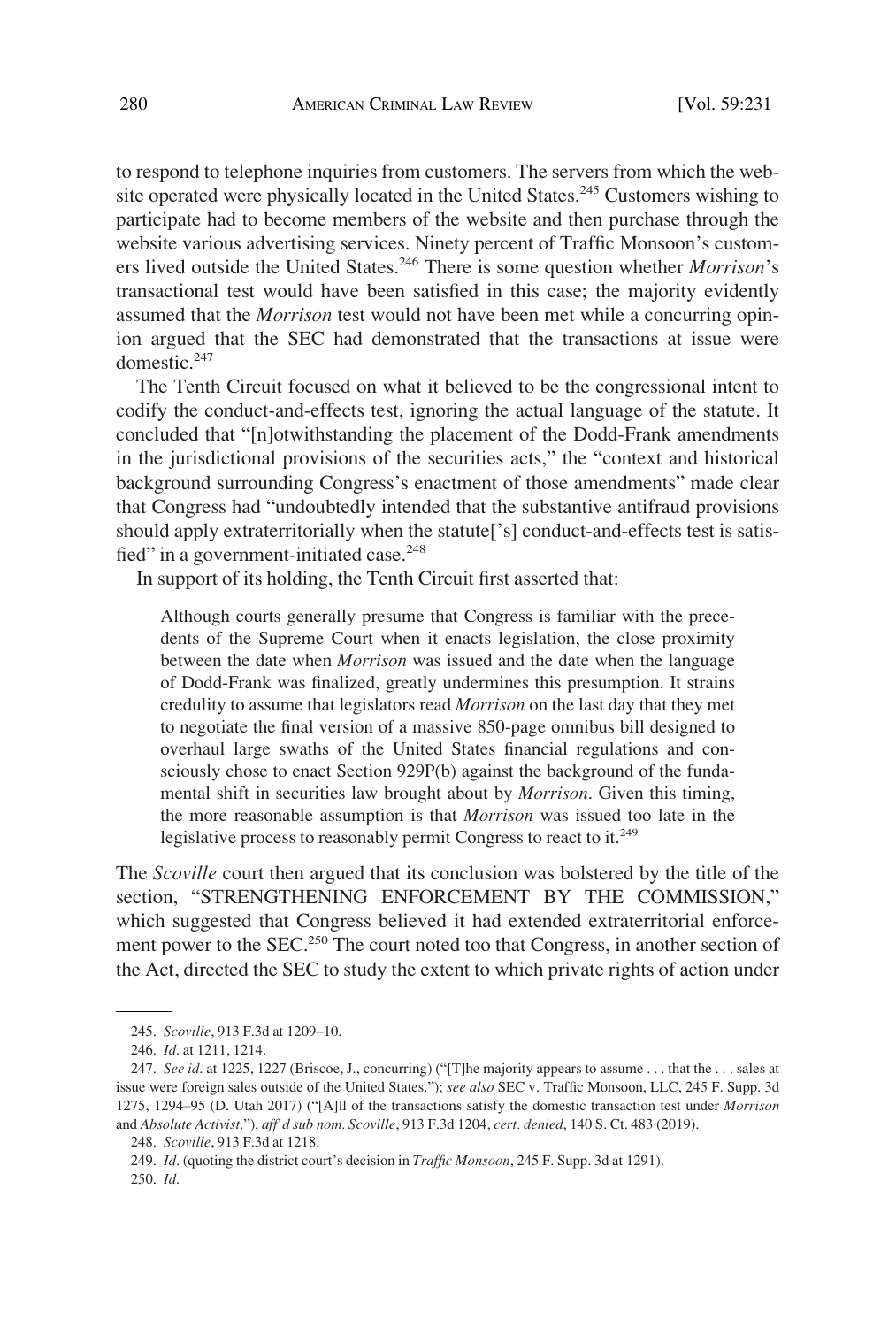to respond to telephone inquiries from customers. The servers from which the website operated were physically located in the United States.<sup>245</sup> Customers wishing to participate had to become members of the website and then purchase through the website various advertising services. Ninety percent of Traffic Monsoon's customers lived outside the United States.<sup>246</sup> There is some question whether *Morrison*'s transactional test would have been satisfied in this case; the majority evidently assumed that the *Morrison* test would not have been met while a concurring opinion argued that the SEC had demonstrated that the transactions at issue were domestic.247

The Tenth Circuit focused on what it believed to be the congressional intent to codify the conduct-and-effects test, ignoring the actual language of the statute. It concluded that "[n]otwithstanding the placement of the Dodd-Frank amendments in the jurisdictional provisions of the securities acts," the "context and historical background surrounding Congress's enactment of those amendments" made clear that Congress had "undoubtedly intended that the substantive antifraud provisions should apply extraterritorially when the statute['s] conduct-and-effects test is satisfied" in a government-initiated case.<sup>248</sup>

In support of its holding, the Tenth Circuit first asserted that:

Although courts generally presume that Congress is familiar with the precedents of the Supreme Court when it enacts legislation, the close proximity between the date when *Morrison* was issued and the date when the language of Dodd-Frank was finalized, greatly undermines this presumption. It strains credulity to assume that legislators read *Morrison* on the last day that they met to negotiate the final version of a massive 850-page omnibus bill designed to overhaul large swaths of the United States financial regulations and consciously chose to enact Section 929P(b) against the background of the fundamental shift in securities law brought about by *Morrison*. Given this timing, the more reasonable assumption is that *Morrison* was issued too late in the legislative process to reasonably permit Congress to react to it.<sup>249</sup>

The *Scoville* court then argued that its conclusion was bolstered by the title of the section, "STRENGTHENING ENFORCEMENT BY THE COMMISSION," which suggested that Congress believed it had extended extraterritorial enforcement power to the SEC.<sup>250</sup> The court noted too that Congress, in another section of the Act, directed the SEC to study the extent to which private rights of action under

249. *Id*. (quoting the district court's decision in *Traffic Monsoon*, 245 F. Supp. 3d at 1291). 250. *Id*.

<sup>245.</sup> *Scoville*, 913 F.3d at 1209–10.

<sup>246.</sup> *Id*. at 1211, 1214.

<sup>247.</sup> *See id*. at 1225, 1227 (Briscoe, J., concurring) ("[T]he majority appears to assume . . . that the . . . sales at issue were foreign sales outside of the United States."); *see also* SEC v. Traffic Monsoon, LLC, 245 F. Supp. 3d 1275, 1294–95 (D. Utah 2017) ("[A]ll of the transactions satisfy the domestic transaction test under *Morrison*  and *Absolute Activist*."), *aff'd sub nom. Scoville*, 913 F.3d 1204, *cert. denied*, 140 S. Ct. 483 (2019).

<sup>248.</sup> *Scoville*, 913 F.3d at 1218.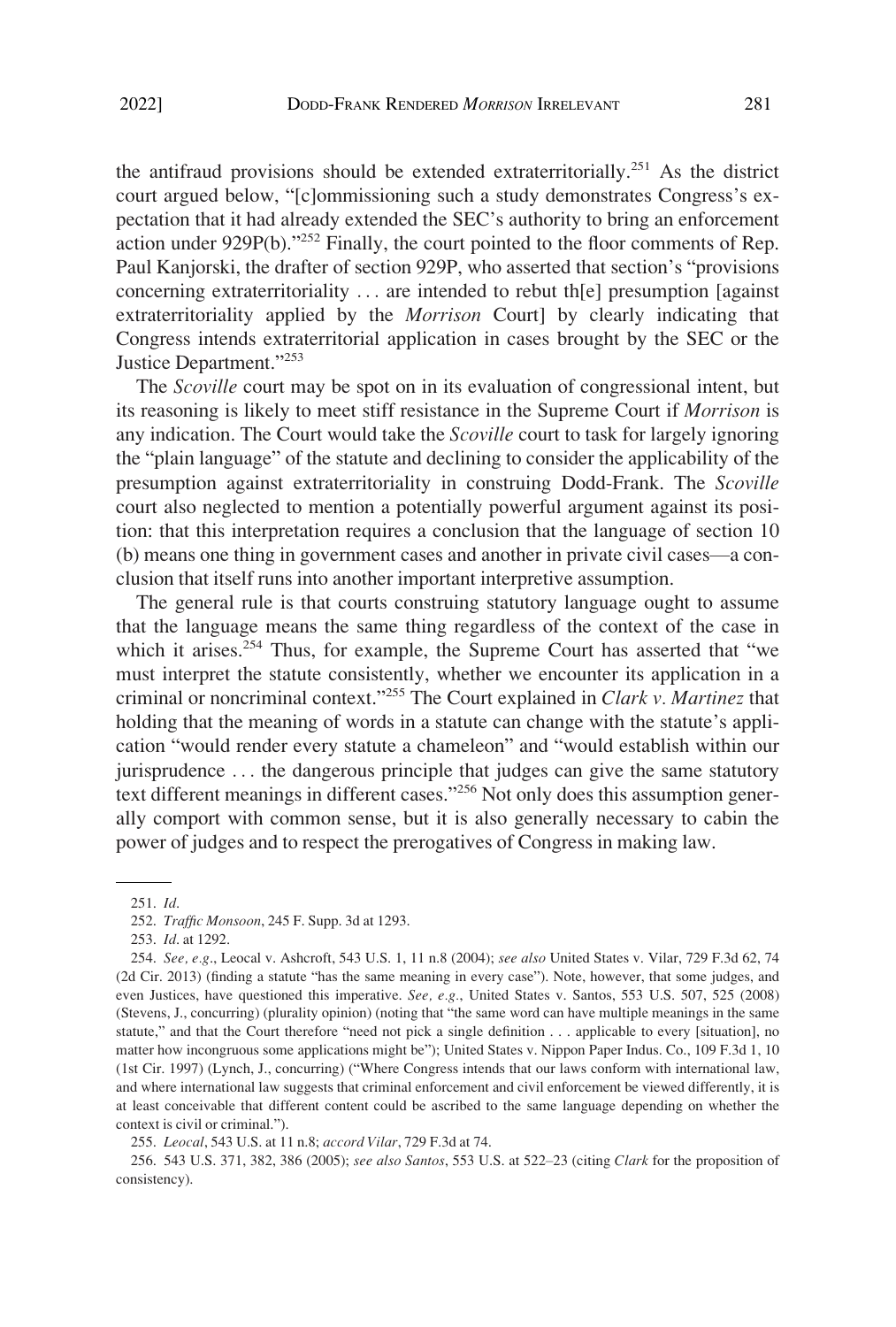the antifraud provisions should be extended extraterritorially.251 As the district court argued below, "[c]ommissioning such a study demonstrates Congress's expectation that it had already extended the SEC's authority to bring an enforcement action under 929P(b)."252 Finally, the court pointed to the floor comments of Rep. Paul Kanjorski, the drafter of section 929P, who asserted that section's "provisions concerning extraterritoriality . . . are intended to rebut th[e] presumption [against extraterritoriality applied by the *Morrison* Court] by clearly indicating that Congress intends extraterritorial application in cases brought by the SEC or the Justice Department."<sup>253</sup>

The *Scoville* court may be spot on in its evaluation of congressional intent, but its reasoning is likely to meet stiff resistance in the Supreme Court if *Morrison* is any indication. The Court would take the *Scoville* court to task for largely ignoring the "plain language" of the statute and declining to consider the applicability of the presumption against extraterritoriality in construing Dodd-Frank. The *Scoville*  court also neglected to mention a potentially powerful argument against its position: that this interpretation requires a conclusion that the language of section 10 (b) means one thing in government cases and another in private civil cases—a conclusion that itself runs into another important interpretive assumption.

The general rule is that courts construing statutory language ought to assume that the language means the same thing regardless of the context of the case in which it arises.<sup>254</sup> Thus, for example, the Supreme Court has asserted that "we must interpret the statute consistently, whether we encounter its application in a criminal or noncriminal context."255 The Court explained in *Clark v. Martinez* that holding that the meaning of words in a statute can change with the statute's application "would render every statute a chameleon" and "would establish within our jurisprudence . . . the dangerous principle that judges can give the same statutory text different meanings in different cases."256 Not only does this assumption generally comport with common sense, but it is also generally necessary to cabin the power of judges and to respect the prerogatives of Congress in making law.

<sup>251.</sup> *Id*.

<sup>252.</sup> *Traffic Monsoon*, 245 F. Supp. 3d at 1293.

<sup>253.</sup> *Id*. at 1292.

<sup>254.</sup> *See, e.g*., Leocal v. Ashcroft, 543 U.S. 1, 11 n.8 (2004); *see also* United States v. Vilar, 729 F.3d 62, 74 (2d Cir. 2013) (finding a statute "has the same meaning in every case"). Note, however, that some judges, and even Justices, have questioned this imperative. *See, e.g.*, United States v. Santos, 553 U.S. 507, 525 (2008) (Stevens, J., concurring) (plurality opinion) (noting that "the same word can have multiple meanings in the same statute," and that the Court therefore "need not pick a single definition . . . applicable to every [situation], no matter how incongruous some applications might be"); United States v. Nippon Paper Indus. Co., 109 F.3d 1, 10 (1st Cir. 1997) (Lynch, J., concurring) ("Where Congress intends that our laws conform with international law, and where international law suggests that criminal enforcement and civil enforcement be viewed differently, it is at least conceivable that different content could be ascribed to the same language depending on whether the context is civil or criminal.").

<sup>255.</sup> *Leocal*, 543 U.S. at 11 n.8; *accord Vilar*, 729 F.3d at 74.

<sup>256. 543</sup> U.S. 371, 382, 386 (2005); *see also Santos*, 553 U.S. at 522–23 (citing *Clark* for the proposition of consistency).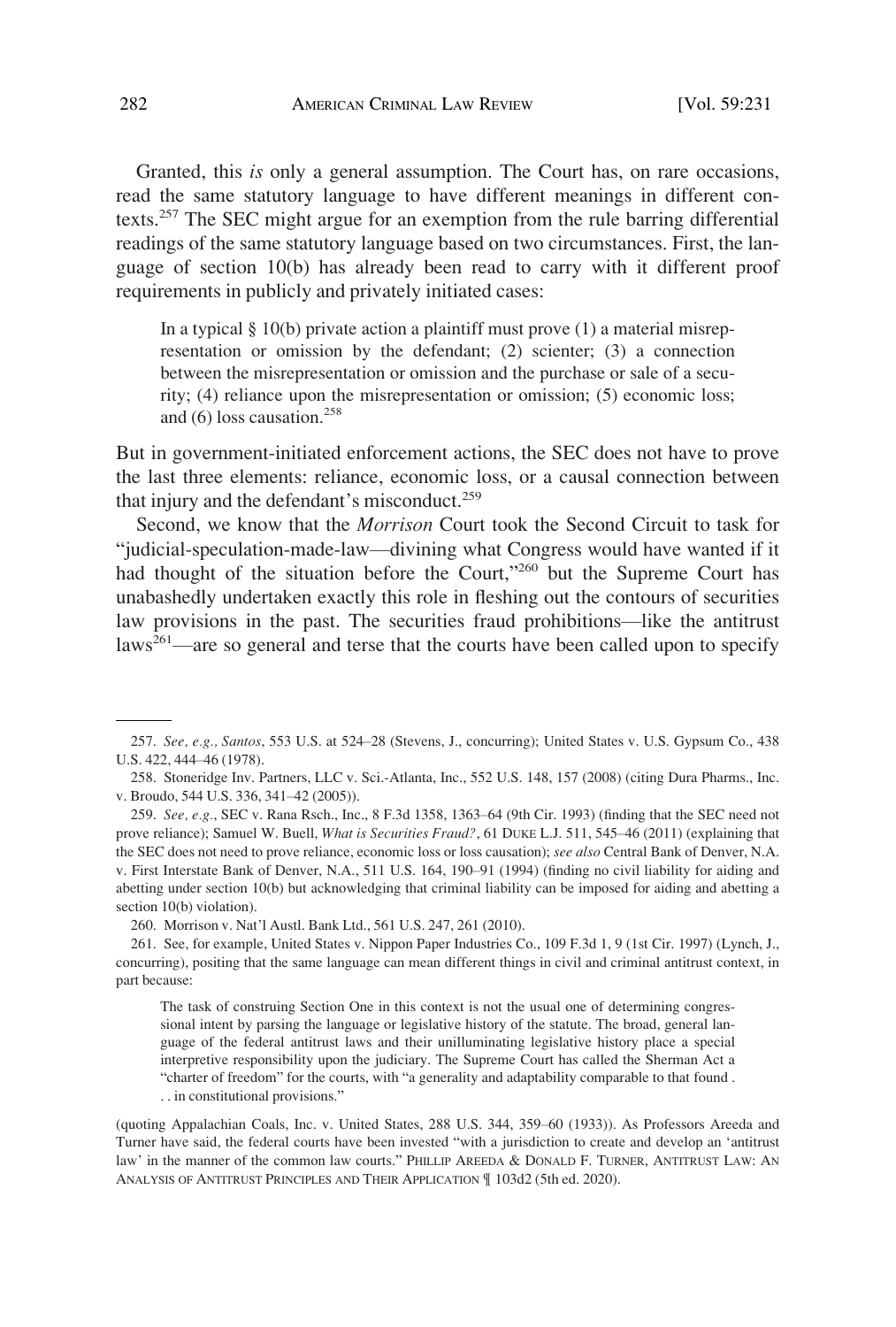Granted, this *is* only a general assumption. The Court has, on rare occasions, read the same statutory language to have different meanings in different contexts.257 The SEC might argue for an exemption from the rule barring differential readings of the same statutory language based on two circumstances. First, the language of section 10(b) has already been read to carry with it different proof requirements in publicly and privately initiated cases:

In a typical  $\S$  10(b) private action a plaintiff must prove (1) a material misrepresentation or omission by the defendant; (2) scienter; (3) a connection between the misrepresentation or omission and the purchase or sale of a security; (4) reliance upon the misrepresentation or omission; (5) economic loss; and  $(6)$  loss causation.<sup>258</sup>

But in government-initiated enforcement actions, the SEC does not have to prove the last three elements: reliance, economic loss, or a causal connection between that injury and the defendant's misconduct.<sup>259</sup>

Second, we know that the *Morrison* Court took the Second Circuit to task for "judicial-speculation-made-law—divining what Congress would have wanted if it had thought of the situation before the Court,"<sup>260</sup> but the Supreme Court has unabashedly undertaken exactly this role in fleshing out the contours of securities law provisions in the past. The securities fraud prohibitions—like the antitrust laws<sup>261</sup>—are so general and terse that the courts have been called upon to specify

<sup>257.</sup> *See, e.g., Santos*, 553 U.S. at 524–28 (Stevens, J., concurring); United States v. U.S. Gypsum Co., 438 U.S. 422, 444–46 (1978).

<sup>258.</sup> Stoneridge Inv. Partners, LLC v. Sci.-Atlanta, Inc., 552 U.S. 148, 157 (2008) (citing Dura Pharms., Inc. v. Broudo, 544 U.S. 336, 341–42 (2005)).

<sup>259.</sup> *See, e.g.*, SEC v. Rana Rsch., Inc., 8 F.3d 1358, 1363–64 (9th Cir. 1993) (finding that the SEC need not prove reliance); Samuel W. Buell, *What is Securities Fraud?*, 61 DUKE L.J. 511, 545–46 (2011) (explaining that the SEC does not need to prove reliance, economic loss or loss causation); *see also* Central Bank of Denver, N.A. v. First Interstate Bank of Denver, N.A., 511 U.S. 164, 190–91 (1994) (finding no civil liability for aiding and abetting under section 10(b) but acknowledging that criminal liability can be imposed for aiding and abetting a section 10(b) violation).

<sup>260.</sup> Morrison v. Nat'l Austl. Bank Ltd., 561 U.S. 247, 261 (2010).

<sup>261.</sup> See, for example, United States v. Nippon Paper Industries Co., 109 F.3d 1, 9 (1st Cir. 1997) (Lynch, J., concurring), positing that the same language can mean different things in civil and criminal antitrust context, in part because:

The task of construing Section One in this context is not the usual one of determining congressional intent by parsing the language or legislative history of the statute. The broad, general language of the federal antitrust laws and their unilluminating legislative history place a special interpretive responsibility upon the judiciary. The Supreme Court has called the Sherman Act a "charter of freedom" for the courts, with "a generality and adaptability comparable to that found . . . in constitutional provisions."

<sup>(</sup>quoting Appalachian Coals, Inc. v. United States, 288 U.S. 344, 359–60 (1933)). As Professors Areeda and Turner have said, the federal courts have been invested "with a jurisdiction to create and develop an 'antitrust law' in the manner of the common law courts." PHILLIP AREEDA & DONALD F. TURNER, ANTITRUST LAW: AN ANALYSIS OF ANTITRUST PRINCIPLES AND THEIR APPLICATION ¶ 103d2 (5th ed. 2020).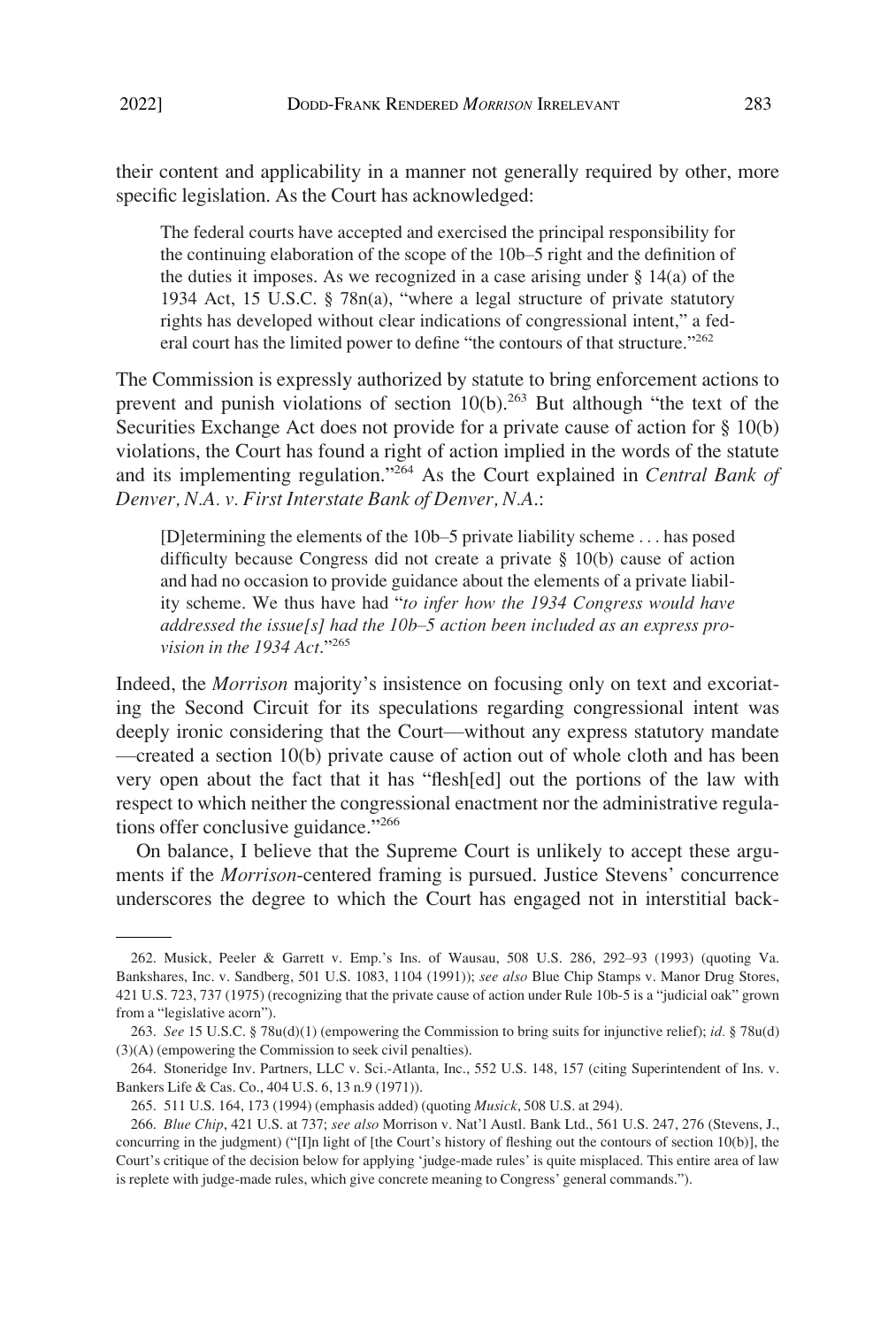The federal courts have accepted and exercised the principal responsibility for the continuing elaboration of the scope of the 10b–5 right and the definition of the duties it imposes. As we recognized in a case arising under  $\S 14(a)$  of the 1934 Act, 15 U.S.C. § 78n(a), "where a legal structure of private statutory rights has developed without clear indications of congressional intent," a federal court has the limited power to define "the contours of that structure."<sup>262</sup>

The Commission is expressly authorized by statute to bring enforcement actions to prevent and punish violations of section  $10(b)$ <sup>263</sup> But although "the text of the Securities Exchange Act does not provide for a private cause of action for § 10(b) violations, the Court has found a right of action implied in the words of the statute and its implementing regulation."264 As the Court explained in *Central Bank of Denver, N.A. v. First Interstate Bank of Denver, N.A*.:

[D]etermining the elements of the 10b–5 private liability scheme . . . has posed difficulty because Congress did not create a private § 10(b) cause of action and had no occasion to provide guidance about the elements of a private liability scheme. We thus have had "*to infer how the 1934 Congress would have addressed the issue[s] had the 10b*–*5 action been included as an express provision in the 1934 Act*."<sup>265</sup>

Indeed, the *Morrison* majority's insistence on focusing only on text and excoriating the Second Circuit for its speculations regarding congressional intent was deeply ironic considering that the Court—without any express statutory mandate —created a section 10(b) private cause of action out of whole cloth and has been very open about the fact that it has "flesh[ed] out the portions of the law with respect to which neither the congressional enactment nor the administrative regulations offer conclusive guidance."266

On balance, I believe that the Supreme Court is unlikely to accept these arguments if the *Morrison*-centered framing is pursued. Justice Stevens' concurrence underscores the degree to which the Court has engaged not in interstitial back-

<sup>262.</sup> Musick, Peeler & Garrett v. Emp.'s Ins. of Wausau, 508 U.S. 286, 292–93 (1993) (quoting Va. Bankshares, Inc. v. Sandberg, 501 U.S. 1083, 1104 (1991)); *see also* Blue Chip Stamps v. Manor Drug Stores, 421 U.S. 723, 737 (1975) (recognizing that the private cause of action under Rule 10b-5 is a "judicial oak" grown from a "legislative acorn").

<sup>263.</sup> *See* 15 U.S.C. § 78u(d)(1) (empowering the Commission to bring suits for injunctive relief); *id.* § 78u(d) (3)(A) (empowering the Commission to seek civil penalties).

<sup>264.</sup> Stoneridge Inv. Partners, LLC v. Sci.-Atlanta, Inc., 552 U.S. 148, 157 (citing Superintendent of Ins. v. Bankers Life & Cas. Co., 404 U.S. 6, 13 n.9 (1971)).

<sup>265. 511</sup> U.S. 164, 173 (1994) (emphasis added) (quoting *Musick*, 508 U.S. at 294).

<sup>266.</sup> *Blue Chip*, 421 U.S. at 737; *see also* Morrison v. Nat'l Austl. Bank Ltd., 561 U.S. 247, 276 (Stevens, J., concurring in the judgment) ("[I]n light of [the Court's history of fleshing out the contours of section 10(b)], the Court's critique of the decision below for applying 'judge-made rules' is quite misplaced. This entire area of law is replete with judge-made rules, which give concrete meaning to Congress' general commands.").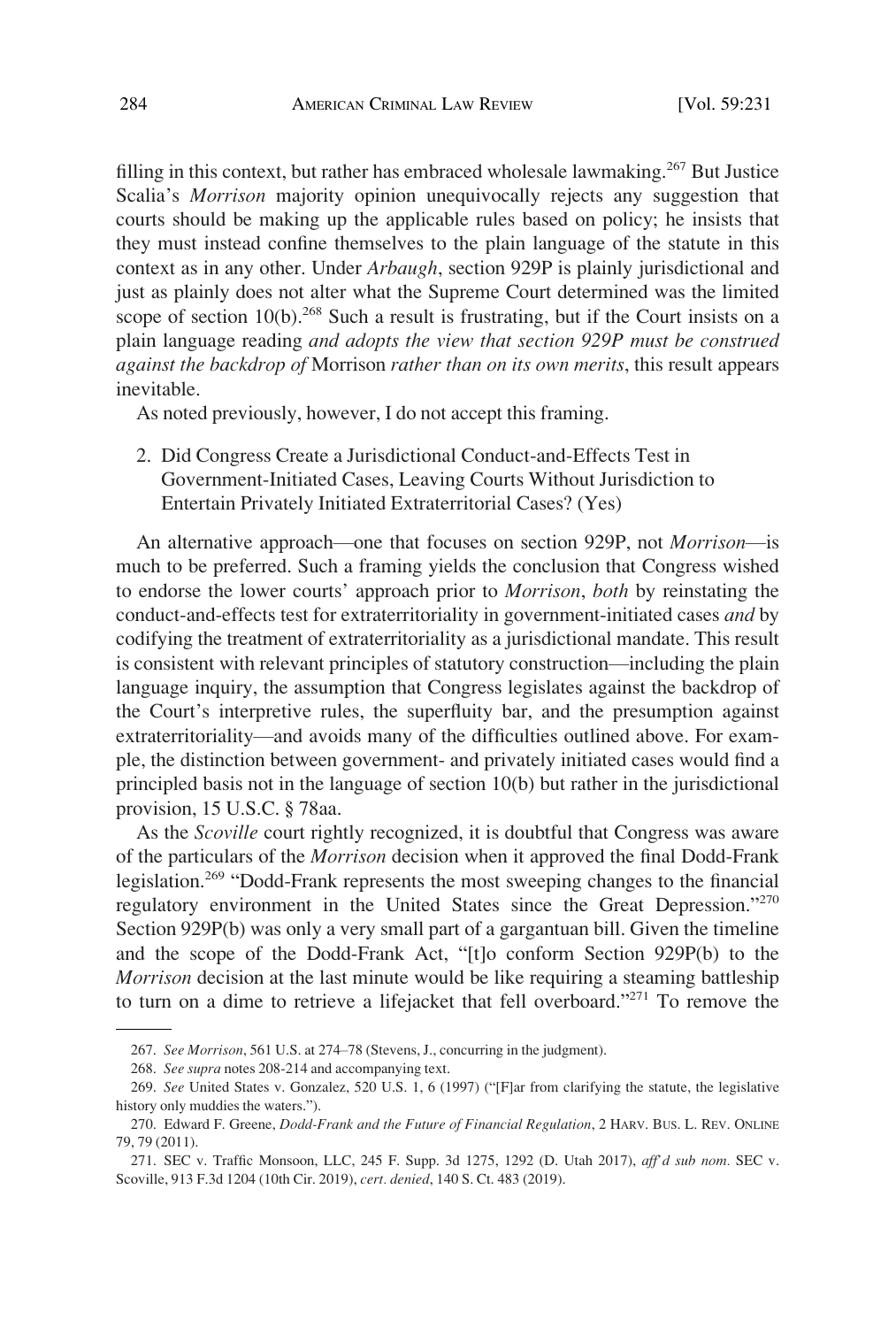<span id="page-53-0"></span>filling in this context, but rather has embraced wholesale lawmaking.<sup>267</sup> But Justice Scalia's *Morrison* majority opinion unequivocally rejects any suggestion that courts should be making up the applicable rules based on policy; he insists that they must instead confine themselves to the plain language of the statute in this context as in any other. Under *Arbaugh*, section 929P is plainly jurisdictional and just as plainly does not alter what the Supreme Court determined was the limited scope of section 10(b).<sup>268</sup> Such a result is frustrating, but if the Court insists on a plain language reading *and adopts the view that section 929P must be construed against the backdrop of* Morrison *rather than on its own merits*, this result appears inevitable.

As noted previously, however, I do not accept this framing.

2. Did Congress Create a Jurisdictional Conduct-and-Effects Test in Government-Initiated Cases, Leaving Courts Without Jurisdiction to Entertain Privately Initiated Extraterritorial Cases? (Yes)

An alternative approach—one that focuses on section 929P, not *Morrison*—is much to be preferred. Such a framing yields the conclusion that Congress wished to endorse the lower courts' approach prior to *Morrison*, *both* by reinstating the conduct-and-effects test for extraterritoriality in government-initiated cases *and* by codifying the treatment of extraterritoriality as a jurisdictional mandate. This result is consistent with relevant principles of statutory construction—including the plain language inquiry, the assumption that Congress legislates against the backdrop of the Court's interpretive rules, the superfluity bar, and the presumption against extraterritoriality—and avoids many of the difficulties outlined above. For example, the distinction between government- and privately initiated cases would find a principled basis not in the language of section 10(b) but rather in the jurisdictional provision, 15 U.S.C. § 78aa.

As the *Scoville* court rightly recognized, it is doubtful that Congress was aware of the particulars of the *Morrison* decision when it approved the final Dodd-Frank legislation.<sup>269</sup> "Dodd-Frank represents the most sweeping changes to the financial regulatory environment in the United States since the Great Depression."<sup>270</sup> Section 929P(b) was only a very small part of a gargantuan bill. Given the timeline and the scope of the Dodd-Frank Act, "[t]o conform Section 929P(b) to the *Morrison* decision at the last minute would be like requiring a steaming battleship to turn on a dime to retrieve a lifejacket that fell overboard."<sup>271</sup> To remove the

<sup>267.</sup> *See Morrison*, 561 U.S. at 274–78 (Stevens, J., concurring in the judgment).

<sup>268.</sup> *See supra* notes 208-214 and accompanying text.

<sup>269.</sup> *See* United States v. Gonzalez, 520 U.S. 1, 6 (1997) ("[F]ar from clarifying the statute, the legislative history only muddies the waters.").

<sup>270.</sup> Edward F. Greene, *Dodd-Frank and the Future of Financial Regulation*, 2 HARV. BUS. L. REV. ONLINE 79, 79 (2011).

<sup>271.</sup> SEC v. Traffic Monsoon, LLC, 245 F. Supp. 3d 1275, 1292 (D. Utah 2017), *aff'd sub nom.* SEC v. Scoville, 913 F.3d 1204 (10th Cir. 2019), *cert. denied*, 140 S. Ct. 483 (2019).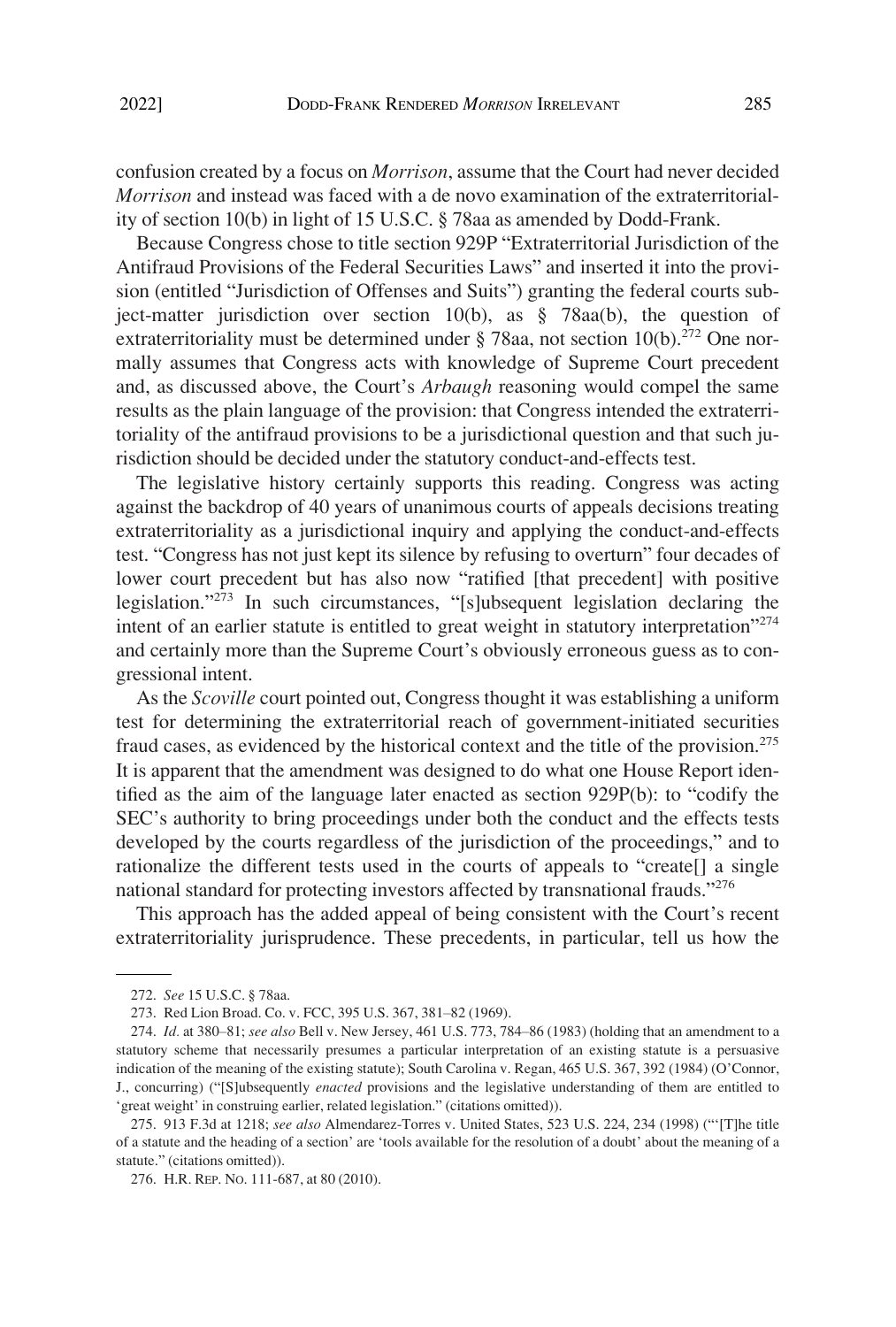confusion created by a focus on *Morrison*, assume that the Court had never decided *Morrison* and instead was faced with a de novo examination of the extraterritoriality of section 10(b) in light of 15 U.S.C. § 78aa as amended by Dodd-Frank.

Because Congress chose to title section 929P "Extraterritorial Jurisdiction of the Antifraud Provisions of the Federal Securities Laws" and inserted it into the provision (entitled "Jurisdiction of Offenses and Suits") granting the federal courts subject-matter jurisdiction over section 10(b), as § 78aa(b), the question of extraterritoriality must be determined under  $\S$  78aa, not section 10(b).<sup>272</sup> One normally assumes that Congress acts with knowledge of Supreme Court precedent and, as discussed above, the Court's *Arbaugh* reasoning would compel the same results as the plain language of the provision: that Congress intended the extraterritoriality of the antifraud provisions to be a jurisdictional question and that such jurisdiction should be decided under the statutory conduct-and-effects test.

The legislative history certainly supports this reading. Congress was acting against the backdrop of 40 years of unanimous courts of appeals decisions treating extraterritoriality as a jurisdictional inquiry and applying the conduct-and-effects test. "Congress has not just kept its silence by refusing to overturn" four decades of lower court precedent but has also now "ratified [that precedent] with positive legislation."273 In such circumstances, "[s]ubsequent legislation declaring the intent of an earlier statute is entitled to great weight in statutory interpretation"<sup>274</sup> and certainly more than the Supreme Court's obviously erroneous guess as to congressional intent.

As the *Scoville* court pointed out, Congress thought it was establishing a uniform test for determining the extraterritorial reach of government-initiated securities fraud cases, as evidenced by the historical context and the title of the provision.<sup>275</sup> It is apparent that the amendment was designed to do what one House Report identified as the aim of the language later enacted as section 929P(b): to "codify the SEC's authority to bring proceedings under both the conduct and the effects tests developed by the courts regardless of the jurisdiction of the proceedings," and to rationalize the different tests used in the courts of appeals to "create[] a single national standard for protecting investors affected by transnational frauds."<sup>276</sup>

This approach has the added appeal of being consistent with the Court's recent extraterritoriality jurisprudence. These precedents, in particular, tell us how the

<sup>272.</sup> *See* 15 U.S.C. § 78aa.

<sup>273.</sup> Red Lion Broad. Co. v. FCC, 395 U.S. 367, 381–82 (1969).

<sup>274.</sup> *Id.* at 380–81; *see also* Bell v. New Jersey, 461 U.S. 773, 784–86 (1983) (holding that an amendment to a statutory scheme that necessarily presumes a particular interpretation of an existing statute is a persuasive indication of the meaning of the existing statute); South Carolina v. Regan, 465 U.S. 367, 392 (1984) (O'Connor, J., concurring) ("[S]ubsequently *enacted* provisions and the legislative understanding of them are entitled to 'great weight' in construing earlier, related legislation." (citations omitted)).

<sup>275. 913</sup> F.3d at 1218; *see also* Almendarez-Torres v. United States, 523 U.S. 224, 234 (1998) ("'[T]he title of a statute and the heading of a section' are 'tools available for the resolution of a doubt' about the meaning of a statute." (citations omitted)).

<sup>276.</sup> H.R. REP. NO. 111-687, at 80 (2010).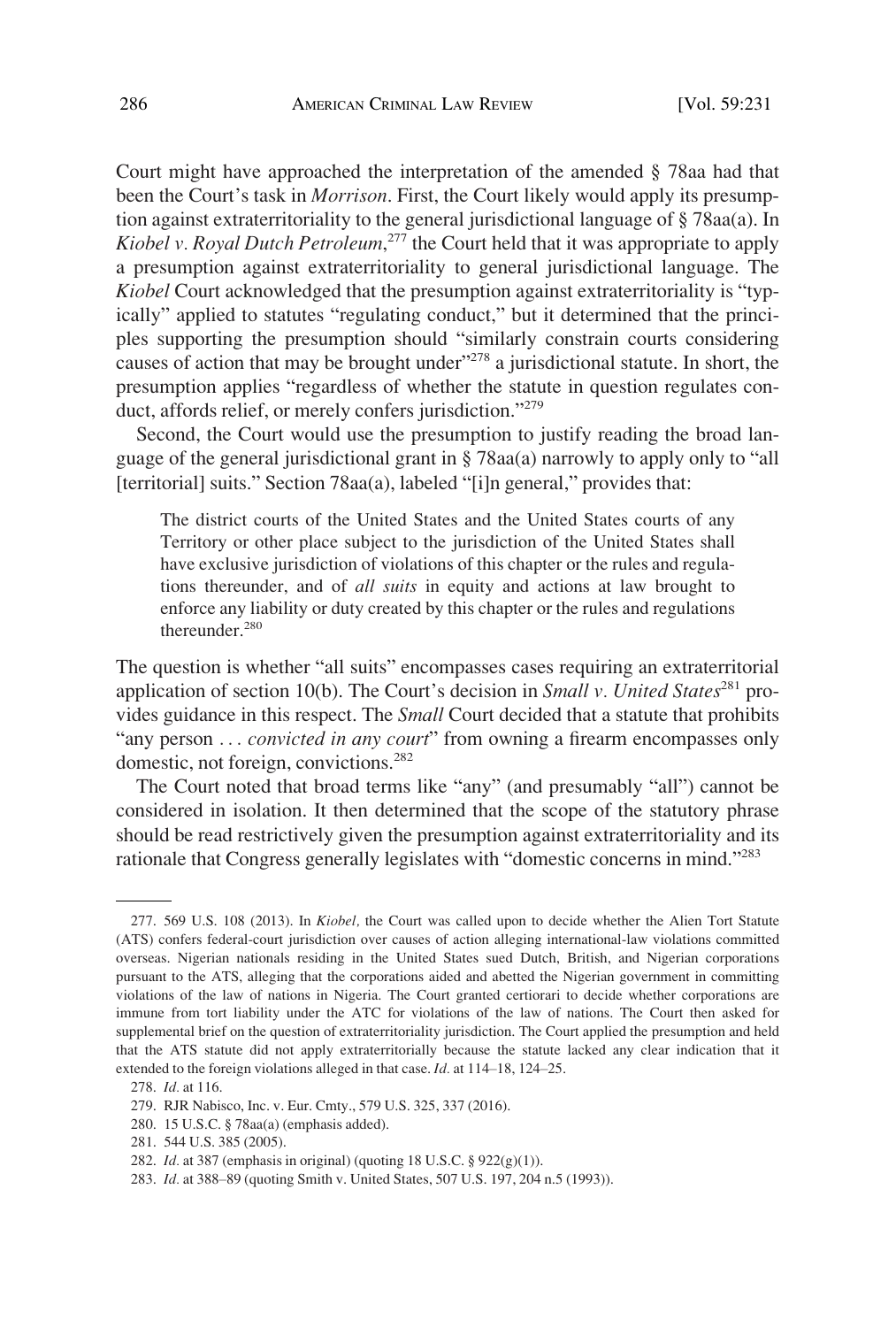Court might have approached the interpretation of the amended § 78aa had that been the Court's task in *Morrison*. First, the Court likely would apply its presumption against extraterritoriality to the general jurisdictional language of § 78aa(a). In *Kiobel v. Royal Dutch Petroleum*, 277 the Court held that it was appropriate to apply a presumption against extraterritoriality to general jurisdictional language. The *Kiobel* Court acknowledged that the presumption against extraterritoriality is "typically" applied to statutes "regulating conduct," but it determined that the principles supporting the presumption should "similarly constrain courts considering causes of action that may be brought under $v^{278}$  a jurisdictional statute. In short, the presumption applies "regardless of whether the statute in question regulates conduct, affords relief, or merely confers jurisdiction."<sup>279</sup>

Second, the Court would use the presumption to justify reading the broad language of the general jurisdictional grant in § 78aa(a) narrowly to apply only to "all [territorial] suits." Section 78aa(a), labeled "[i]n general," provides that:

The district courts of the United States and the United States courts of any Territory or other place subject to the jurisdiction of the United States shall have exclusive jurisdiction of violations of this chapter or the rules and regulations thereunder, and of *all suits* in equity and actions at law brought to enforce any liability or duty created by this chapter or the rules and regulations thereunder.<sup>280</sup>

The question is whether "all suits" encompasses cases requiring an extraterritorial application of section 10(b). The Court's decision in *Small v. United States*<sup>281</sup> provides guidance in this respect. The *Small* Court decided that a statute that prohibits "any person ... *convicted in any court*" from owning a firearm encompasses only domestic, not foreign, convictions.<sup>282</sup>

The Court noted that broad terms like "any" (and presumably "all") cannot be considered in isolation. It then determined that the scope of the statutory phrase should be read restrictively given the presumption against extraterritoriality and its rationale that Congress generally legislates with "domestic concerns in mind."<sup>283</sup>

<sup>277. 569</sup> U.S. 108 (2013). In *Kiobel,* the Court was called upon to decide whether the Alien Tort Statute (ATS) confers federal-court jurisdiction over causes of action alleging international-law violations committed overseas. Nigerian nationals residing in the United States sued Dutch, British, and Nigerian corporations pursuant to the ATS, alleging that the corporations aided and abetted the Nigerian government in committing violations of the law of nations in Nigeria. The Court granted certiorari to decide whether corporations are immune from tort liability under the ATC for violations of the law of nations. The Court then asked for supplemental brief on the question of extraterritoriality jurisdiction. The Court applied the presumption and held that the ATS statute did not apply extraterritorially because the statute lacked any clear indication that it extended to the foreign violations alleged in that case. *Id.* at 114–18, 124–25.

<sup>278.</sup> *Id.* at 116.

<sup>279.</sup> RJR Nabisco, Inc. v. Eur. Cmty., 579 U.S. 325, 337 (2016).

<sup>280. 15</sup> U.S.C. § 78aa(a) (emphasis added).

<sup>281. 544</sup> U.S. 385 (2005).

<sup>282.</sup> *Id.* at 387 (emphasis in original) (quoting 18 U.S.C. § 922(g)(1)).

<sup>283.</sup> *Id.* at 388–89 (quoting Smith v. United States, 507 U.S. 197, 204 n.5 (1993)).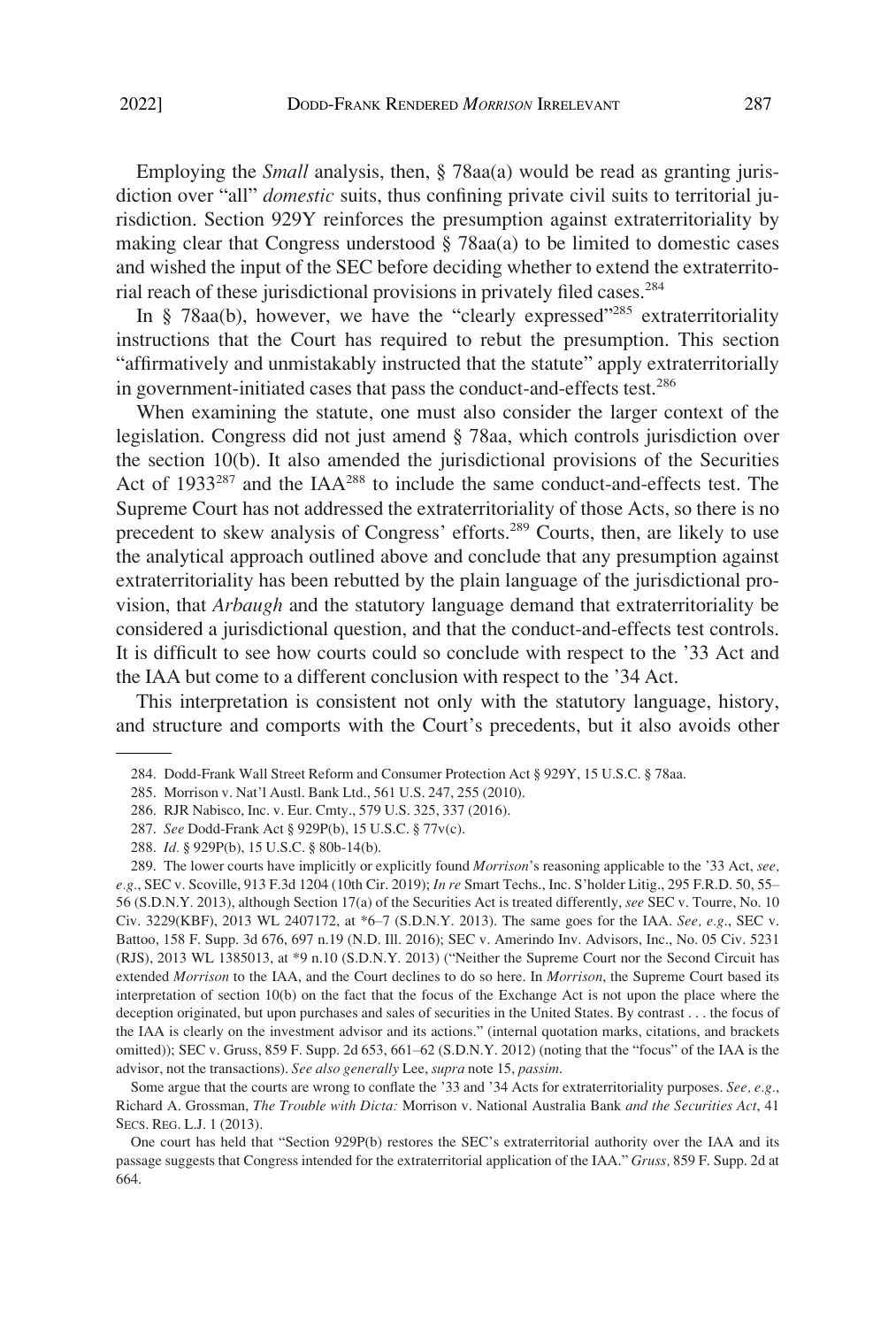Employing the *Small* analysis, then, § 78aa(a) would be read as granting jurisdiction over "all" *domestic* suits, thus confining private civil suits to territorial jurisdiction. Section 929Y reinforces the presumption against extraterritoriality by making clear that Congress understood  $\S$  78aa(a) to be limited to domestic cases and wished the input of the SEC before deciding whether to extend the extraterritorial reach of these jurisdictional provisions in privately filed cases.284

In § 78aa(b), however, we have the "clearly expressed"<sup>285</sup> extraterritoriality instructions that the Court has required to rebut the presumption. This section "affirmatively and unmistakably instructed that the statute" apply extraterritorially in government-initiated cases that pass the conduct-and-effects test.<sup>286</sup>

When examining the statute, one must also consider the larger context of the legislation. Congress did not just amend § 78aa, which controls jurisdiction over the section 10(b). It also amended the jurisdictional provisions of the Securities Act of  $1933^{287}$  and the IAA<sup>288</sup> to include the same conduct-and-effects test. The Supreme Court has not addressed the extraterritoriality of those Acts, so there is no precedent to skew analysis of Congress' efforts.<sup>289</sup> Courts, then, are likely to use the analytical approach outlined above and conclude that any presumption against extraterritoriality has been rebutted by the plain language of the jurisdictional provision, that *Arbaugh* and the statutory language demand that extraterritoriality be considered a jurisdictional question, and that the conduct-and-effects test controls. It is difficult to see how courts could so conclude with respect to the '33 Act and the IAA but come to a different conclusion with respect to the '34 Act.

This interpretation is consistent not only with the statutory language, history, and structure and comports with the Court's precedents, but it also avoids other

Some argue that the courts are wrong to conflate the '33 and '34 Acts for extraterritoriality purposes. *See, e.g.*, Richard A. Grossman, *The Trouble with Dicta:* Morrison v. National Australia Bank *and the Securities Act*, 41 SECS. REG. L.J. 1 (2013).

One court has held that "Section 929P(b) restores the SEC's extraterritorial authority over the IAA and its passage suggests that Congress intended for the extraterritorial application of the IAA." *Gruss,* 859 F. Supp. 2d at 664.

<sup>284.</sup> Dodd-Frank Wall Street Reform and Consumer Protection Act § 929Y, 15 U.S.C. § 78aa.

<sup>285.</sup> Morrison v. Nat'l Austl. Bank Ltd., 561 U.S. 247, 255 (2010).

<sup>286.</sup> RJR Nabisco, Inc. v. Eur. Cmty., 579 U.S. 325, 337 (2016).

<sup>287.</sup> *See* Dodd-Frank Act § 929P(b), 15 U.S.C. § 77v(c).

<sup>288.</sup> *Id.* § 929P(b), 15 U.S.C. § 80b-14(b).

<sup>289.</sup> The lower courts have implicitly or explicitly found *Morrison*'s reasoning applicable to the '33 Act, *see, e.g.*, SEC v. Scoville, 913 F.3d 1204 (10th Cir. 2019); *In re* Smart Techs., Inc. S'holder Litig., 295 F.R.D. 50, 55– 56 (S.D.N.Y. 2013), although Section 17(a) of the Securities Act is treated differently, *see* SEC v. Tourre, No. 10 Civ. 3229(KBF), 2013 WL 2407172, at \*6–7 (S.D.N.Y. 2013). The same goes for the IAA. *See, e.g*., SEC v. Battoo, 158 F. Supp. 3d 676, 697 n.19 (N.D. Ill. 2016); SEC v. Amerindo Inv. Advisors, Inc., No. 05 Civ. 5231 (RJS), 2013 WL 1385013, at \*9 n.10 (S.D.N.Y. 2013) ("Neither the Supreme Court nor the Second Circuit has extended *Morrison* to the IAA, and the Court declines to do so here. In *Morrison*, the Supreme Court based its interpretation of section 10(b) on the fact that the focus of the Exchange Act is not upon the place where the deception originated, but upon purchases and sales of securities in the United States. By contrast . . . the focus of the IAA is clearly on the investment advisor and its actions." (internal quotation marks, citations, and brackets omitted)); SEC v. Gruss, 859 F. Supp. 2d 653, 661–62 (S.D.N.Y. 2012) (noting that the "focus" of the IAA is the advisor, not the transactions). *See also generally* Lee, *supra* note 15, *passim*.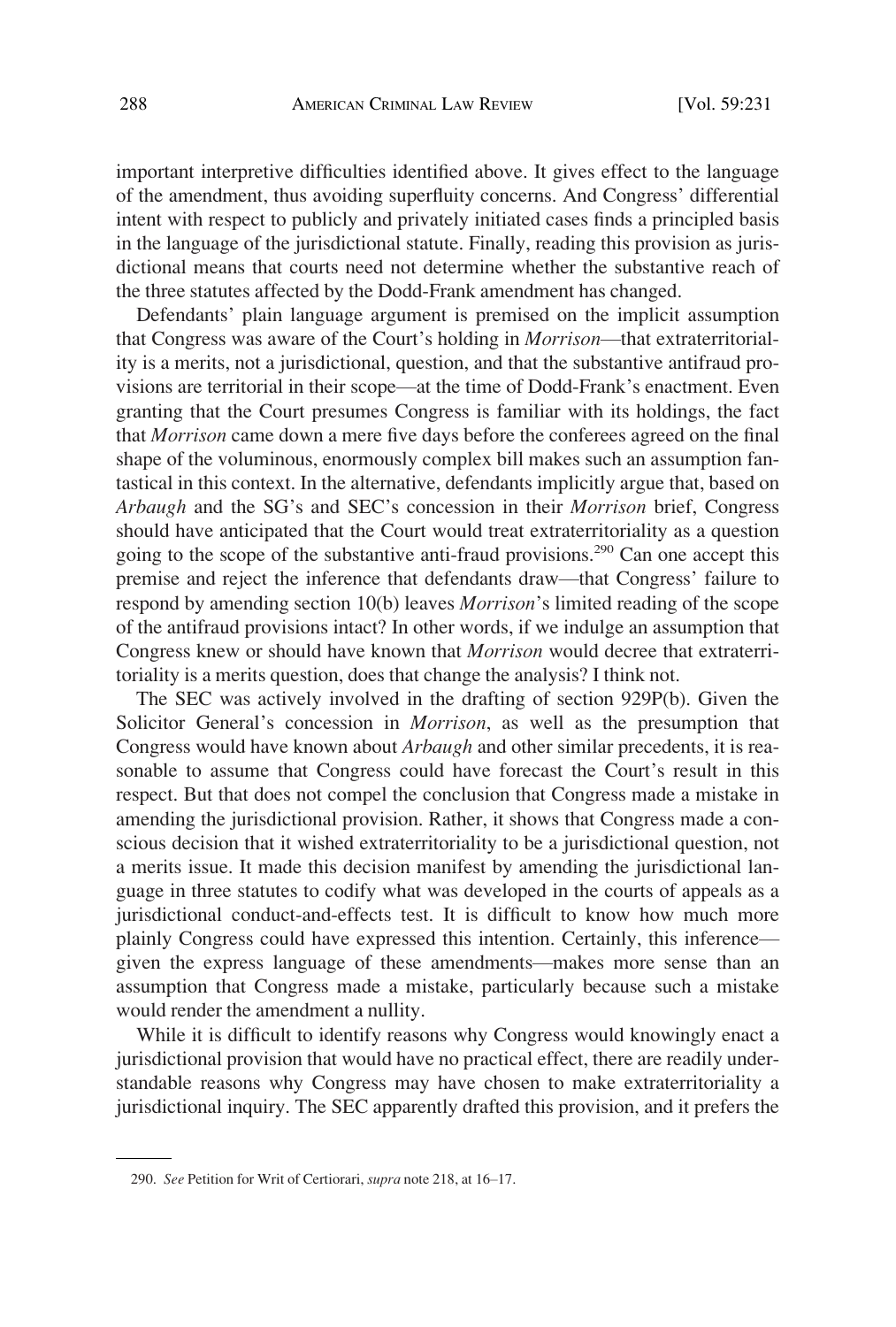important interpretive difficulties identified above. It gives effect to the language of the amendment, thus avoiding superfluity concerns. And Congress' differential intent with respect to publicly and privately initiated cases finds a principled basis in the language of the jurisdictional statute. Finally, reading this provision as jurisdictional means that courts need not determine whether the substantive reach of the three statutes affected by the Dodd-Frank amendment has changed.

Defendants' plain language argument is premised on the implicit assumption that Congress was aware of the Court's holding in *Morrison*—that extraterritoriality is a merits, not a jurisdictional, question, and that the substantive antifraud provisions are territorial in their scope—at the time of Dodd-Frank's enactment. Even granting that the Court presumes Congress is familiar with its holdings, the fact that *Morrison* came down a mere five days before the conferees agreed on the final shape of the voluminous, enormously complex bill makes such an assumption fantastical in this context. In the alternative, defendants implicitly argue that, based on *Arbaugh* and the SG's and SEC's concession in their *Morrison* brief, Congress should have anticipated that the Court would treat extraterritoriality as a question going to the scope of the substantive anti-fraud provisions.<sup>290</sup> Can one accept this premise and reject the inference that defendants draw—that Congress' failure to respond by amending section 10(b) leaves *Morrison*'s limited reading of the scope of the antifraud provisions intact? In other words, if we indulge an assumption that Congress knew or should have known that *Morrison* would decree that extraterritoriality is a merits question, does that change the analysis? I think not.

The SEC was actively involved in the drafting of section 929P(b). Given the Solicitor General's concession in *Morrison*, as well as the presumption that Congress would have known about *Arbaugh* and other similar precedents, it is reasonable to assume that Congress could have forecast the Court's result in this respect. But that does not compel the conclusion that Congress made a mistake in amending the jurisdictional provision. Rather, it shows that Congress made a conscious decision that it wished extraterritoriality to be a jurisdictional question, not a merits issue. It made this decision manifest by amending the jurisdictional language in three statutes to codify what was developed in the courts of appeals as a jurisdictional conduct-and-effects test. It is difficult to know how much more plainly Congress could have expressed this intention. Certainly, this inference given the express language of these amendments—makes more sense than an assumption that Congress made a mistake, particularly because such a mistake would render the amendment a nullity.

While it is difficult to identify reasons why Congress would knowingly enact a jurisdictional provision that would have no practical effect, there are readily understandable reasons why Congress may have chosen to make extraterritoriality a jurisdictional inquiry. The SEC apparently drafted this provision, and it prefers the

<sup>290.</sup> *See* Petition for Writ of Certiorari, *supra* note 218, at 16–17.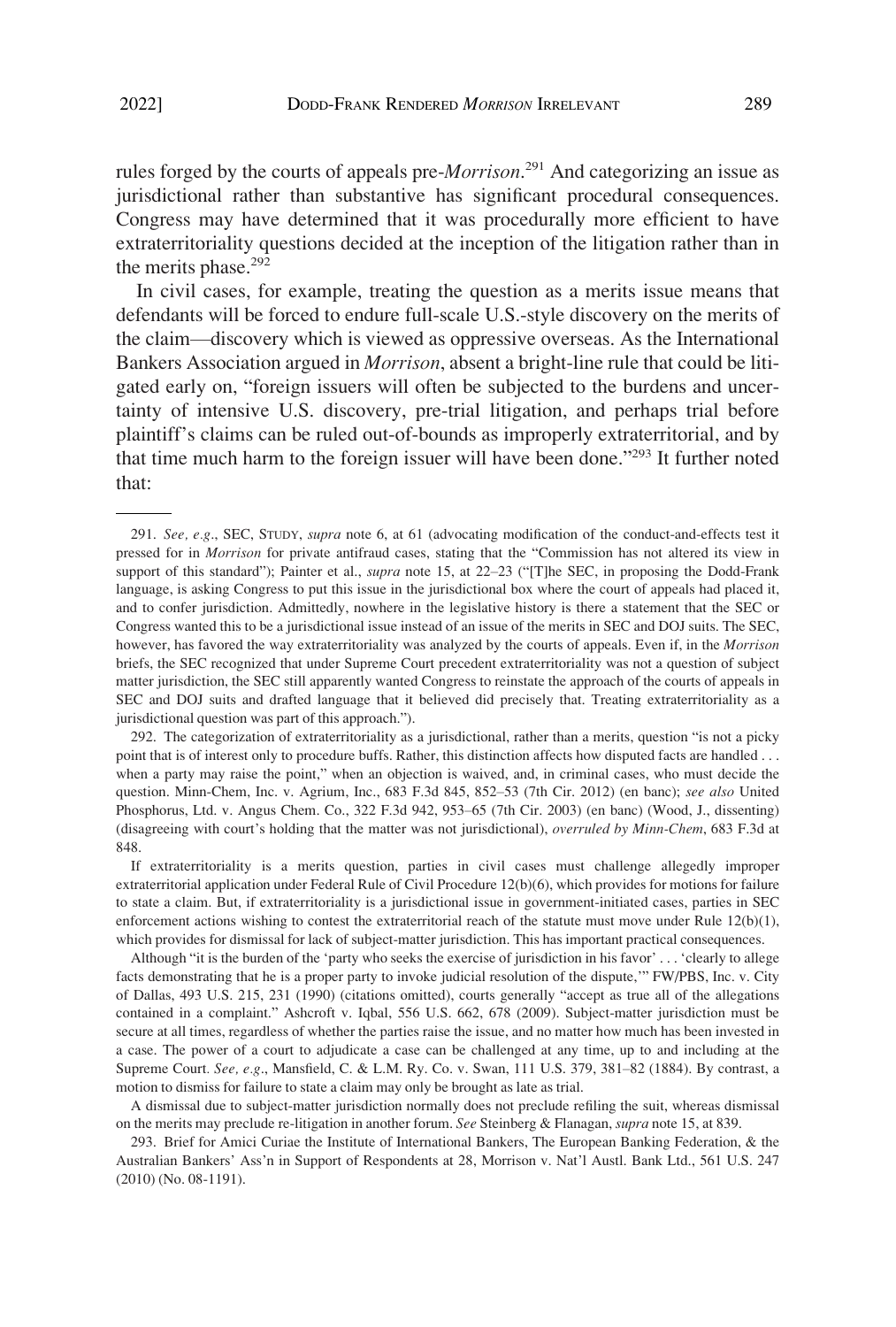rules forged by the courts of appeals pre-*Morrison*. 291 And categorizing an issue as jurisdictional rather than substantive has significant procedural consequences. Congress may have determined that it was procedurally more efficient to have extraterritoriality questions decided at the inception of the litigation rather than in the merits phase.<sup>292</sup>

In civil cases, for example, treating the question as a merits issue means that defendants will be forced to endure full-scale U.S.-style discovery on the merits of the claim—discovery which is viewed as oppressive overseas. As the International Bankers Association argued in *Morrison*, absent a bright-line rule that could be litigated early on, "foreign issuers will often be subjected to the burdens and uncertainty of intensive U.S. discovery, pre-trial litigation, and perhaps trial before plaintiff's claims can be ruled out-of-bounds as improperly extraterritorial, and by that time much harm to the foreign issuer will have been done."293 It further noted that:

292. The categorization of extraterritoriality as a jurisdictional, rather than a merits, question "is not a picky point that is of interest only to procedure buffs. Rather, this distinction affects how disputed facts are handled . . . when a party may raise the point," when an objection is waived, and, in criminal cases, who must decide the question. Minn-Chem, Inc. v. Agrium, Inc., 683 F.3d 845, 852–53 (7th Cir. 2012) (en banc); *see also* United Phosphorus, Ltd. v. Angus Chem. Co., 322 F.3d 942, 953–65 (7th Cir. 2003) (en banc) (Wood, J., dissenting) (disagreeing with court's holding that the matter was not jurisdictional), *overruled by Minn-Chem*, 683 F.3d at 848.

If extraterritoriality is a merits question, parties in civil cases must challenge allegedly improper extraterritorial application under Federal Rule of Civil Procedure 12(b)(6), which provides for motions for failure to state a claim. But, if extraterritoriality is a jurisdictional issue in government-initiated cases, parties in SEC enforcement actions wishing to contest the extraterritorial reach of the statute must move under Rule 12(b)(1), which provides for dismissal for lack of subject-matter jurisdiction. This has important practical consequences.

Although "it is the burden of the 'party who seeks the exercise of jurisdiction in his favor' . . . 'clearly to allege facts demonstrating that he is a proper party to invoke judicial resolution of the dispute,'" FW/PBS, Inc. v. City of Dallas, 493 U.S. 215, 231 (1990) (citations omitted), courts generally "accept as true all of the allegations contained in a complaint." Ashcroft v. Iqbal, 556 U.S. 662, 678 (2009). Subject-matter jurisdiction must be secure at all times, regardless of whether the parties raise the issue, and no matter how much has been invested in a case. The power of a court to adjudicate a case can be challenged at any time, up to and including at the Supreme Court*. See, e.g*., Mansfield, C. & L.M. Ry. Co. v. Swan, 111 U.S. 379, 381–82 (1884). By contrast, a motion to dismiss for failure to state a claim may only be brought as late as trial.

A dismissal due to subject-matter jurisdiction normally does not preclude refiling the suit, whereas dismissal on the merits may preclude re-litigation in another forum. *See* Steinberg & Flanagan, *supra* note 15, at 839.

293. Brief for Amici Curiae the Institute of International Bankers, The European Banking Federation, & the Australian Bankers' Ass'n in Support of Respondents at 28, Morrison v. Nat'l Austl. Bank Ltd., 561 U.S. 247 (2010) (No. 08-1191).

<sup>291.</sup> *See, e.g*., SEC, STUDY, *supra* note 6, at 61 (advocating modification of the conduct-and-effects test it pressed for in *Morrison* for private antifraud cases, stating that the "Commission has not altered its view in support of this standard"); Painter et al., *supra* note 15, at 22–23 ("[T]he SEC, in proposing the Dodd-Frank language, is asking Congress to put this issue in the jurisdictional box where the court of appeals had placed it, and to confer jurisdiction. Admittedly, nowhere in the legislative history is there a statement that the SEC or Congress wanted this to be a jurisdictional issue instead of an issue of the merits in SEC and DOJ suits. The SEC, however, has favored the way extraterritoriality was analyzed by the courts of appeals. Even if, in the *Morrison*  briefs, the SEC recognized that under Supreme Court precedent extraterritoriality was not a question of subject matter jurisdiction, the SEC still apparently wanted Congress to reinstate the approach of the courts of appeals in SEC and DOJ suits and drafted language that it believed did precisely that. Treating extraterritoriality as a jurisdictional question was part of this approach.").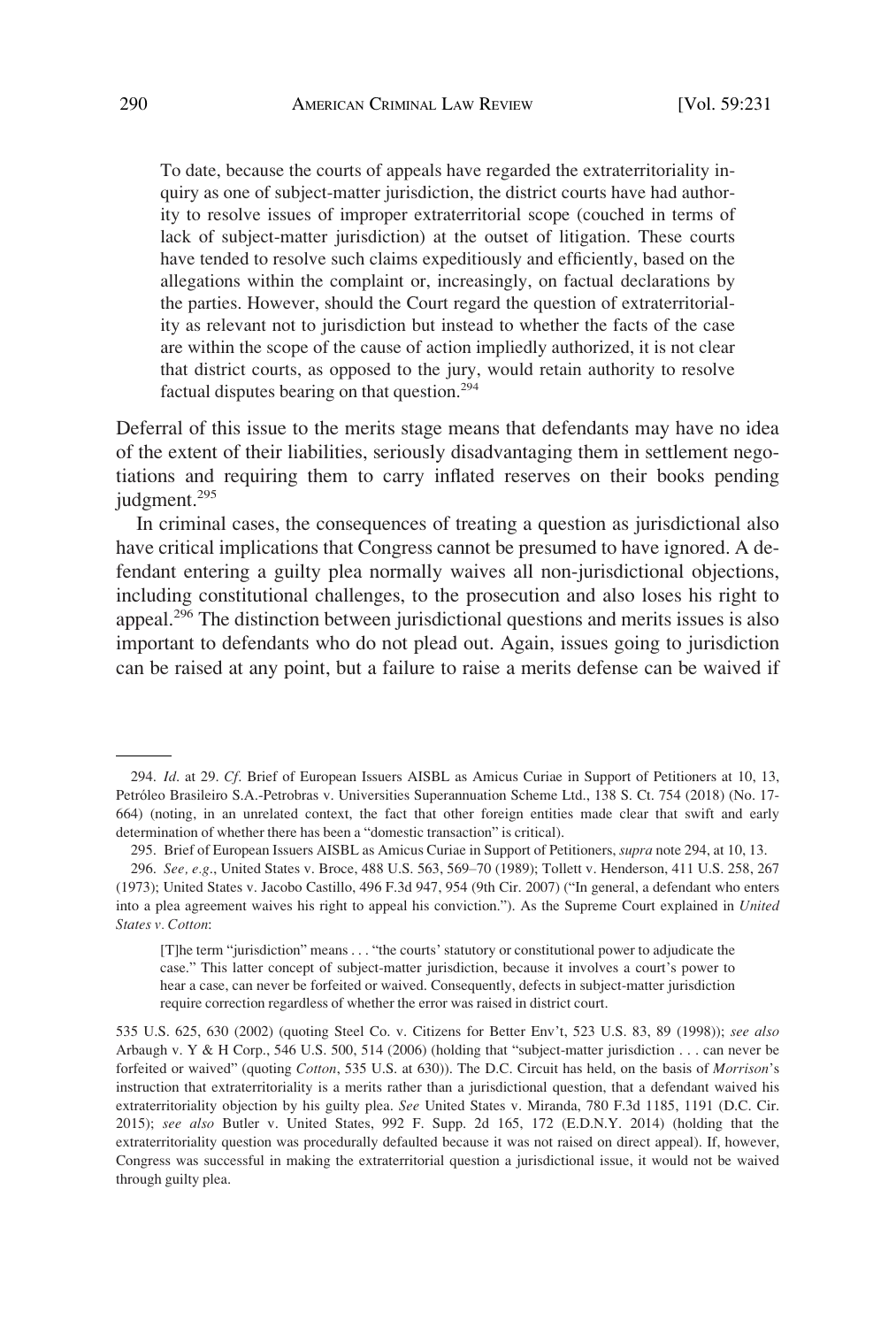To date, because the courts of appeals have regarded the extraterritoriality inquiry as one of subject-matter jurisdiction, the district courts have had authority to resolve issues of improper extraterritorial scope (couched in terms of lack of subject-matter jurisdiction) at the outset of litigation. These courts have tended to resolve such claims expeditiously and efficiently, based on the allegations within the complaint or, increasingly, on factual declarations by the parties. However, should the Court regard the question of extraterritoriality as relevant not to jurisdiction but instead to whether the facts of the case are within the scope of the cause of action impliedly authorized, it is not clear that district courts, as opposed to the jury, would retain authority to resolve factual disputes bearing on that question.<sup>294</sup>

Deferral of this issue to the merits stage means that defendants may have no idea of the extent of their liabilities, seriously disadvantaging them in settlement negotiations and requiring them to carry inflated reserves on their books pending judgment.<sup>295</sup>

In criminal cases, the consequences of treating a question as jurisdictional also have critical implications that Congress cannot be presumed to have ignored. A defendant entering a guilty plea normally waives all non-jurisdictional objections, including constitutional challenges, to the prosecution and also loses his right to appeal.296 The distinction between jurisdictional questions and merits issues is also important to defendants who do not plead out. Again, issues going to jurisdiction can be raised at any point, but a failure to raise a merits defense can be waived if

<sup>294.</sup> *Id*. at 29. *Cf*. Brief of European Issuers AISBL as Amicus Curiae in Support of Petitioners at 10, 13, Petróleo Brasileiro S.A.-Petrobras v. Universities Superannuation Scheme Ltd., 138 S. Ct. 754 (2018) (No. 17- 664) (noting, in an unrelated context, the fact that other foreign entities made clear that swift and early determination of whether there has been a "domestic transaction" is critical).

<sup>295.</sup> Brief of European Issuers AISBL as Amicus Curiae in Support of Petitioners, *supra* note 294, at 10, 13.

<sup>296.</sup> *See, e.g*., United States v. Broce, 488 U.S. 563, 569–70 (1989); Tollett v. Henderson, 411 U.S. 258, 267 (1973); United States v. Jacobo Castillo, 496 F.3d 947, 954 (9th Cir. 2007) ("In general, a defendant who enters into a plea agreement waives his right to appeal his conviction."). As the Supreme Court explained in *United States v. Cotton*:

<sup>[</sup>T]he term "jurisdiction" means . . . "the courts' statutory or constitutional power to adjudicate the case." This latter concept of subject-matter jurisdiction, because it involves a court's power to hear a case, can never be forfeited or waived. Consequently, defects in subject-matter jurisdiction require correction regardless of whether the error was raised in district court.

<sup>535</sup> U.S. 625, 630 (2002) (quoting Steel Co. v. Citizens for Better Env't, 523 U.S. 83, 89 (1998)); *see also*  Arbaugh v. Y & H Corp., 546 U.S. 500, 514 (2006) (holding that "subject-matter jurisdiction . . . can never be forfeited or waived" (quoting *Cotton*, 535 U.S. at 630)). The D.C. Circuit has held, on the basis of *Morrison*'s instruction that extraterritoriality is a merits rather than a jurisdictional question, that a defendant waived his extraterritoriality objection by his guilty plea. *See* United States v. Miranda, 780 F.3d 1185, 1191 (D.C. Cir. 2015); *see also* Butler v. United States, 992 F. Supp. 2d 165, 172 (E.D.N.Y. 2014) (holding that the extraterritoriality question was procedurally defaulted because it was not raised on direct appeal). If, however, Congress was successful in making the extraterritorial question a jurisdictional issue, it would not be waived through guilty plea.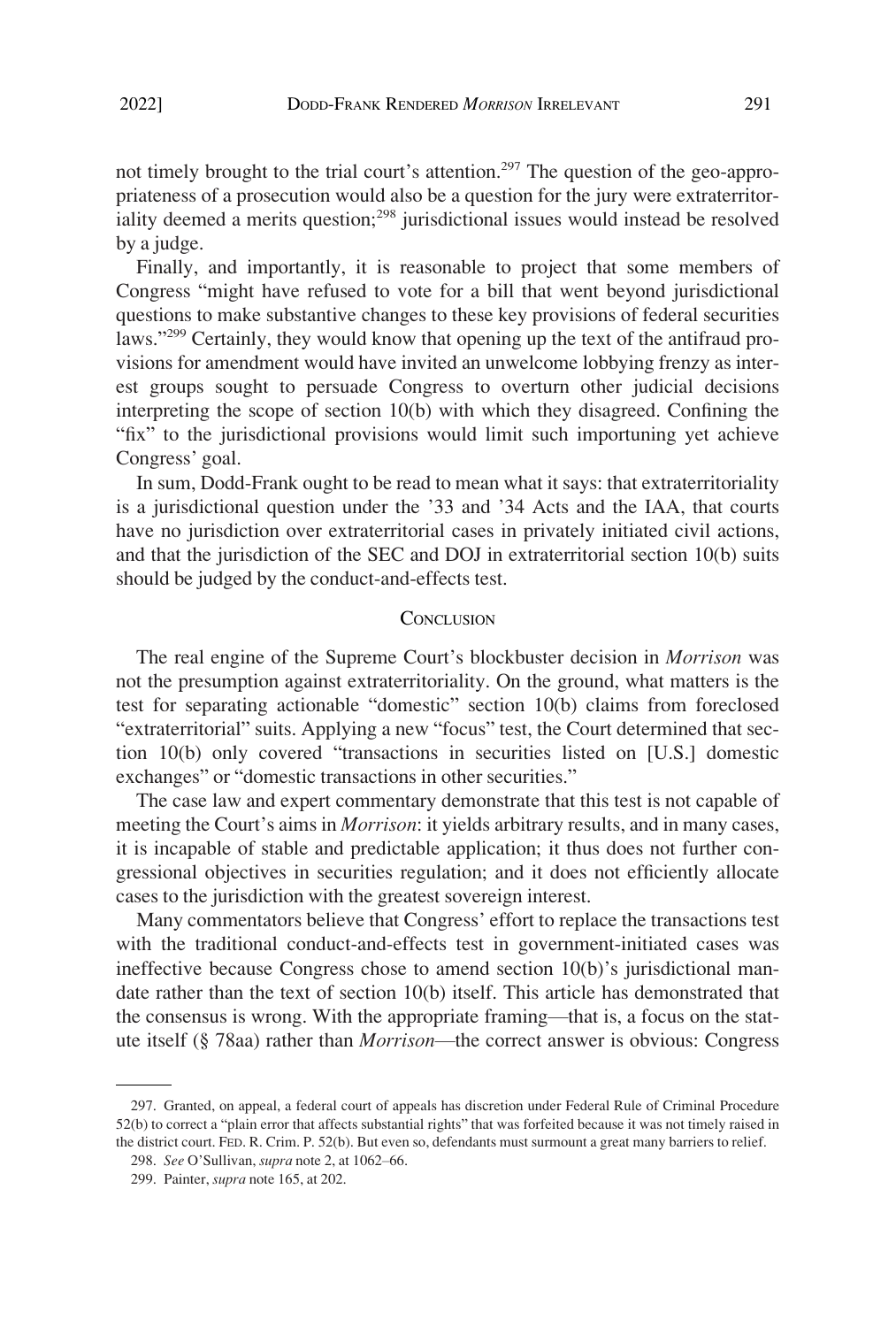<span id="page-60-0"></span>not timely brought to the trial court's attention.<sup>297</sup> The question of the geo-appropriateness of a prosecution would also be a question for the jury were extraterritoriality deemed a merits question;<sup>298</sup> jurisdictional issues would instead be resolved by a judge.

Finally, and importantly, it is reasonable to project that some members of Congress "might have refused to vote for a bill that went beyond jurisdictional questions to make substantive changes to these key provisions of federal securities laws."<sup>299</sup> Certainly, they would know that opening up the text of the antifraud provisions for amendment would have invited an unwelcome lobbying frenzy as interest groups sought to persuade Congress to overturn other judicial decisions interpreting the scope of section 10(b) with which they disagreed. Confining the "fix" to the jurisdictional provisions would limit such importuning yet achieve Congress' goal.

In sum, Dodd-Frank ought to be read to mean what it says: that extraterritoriality is a jurisdictional question under the '33 and '34 Acts and the IAA, that courts have no jurisdiction over extraterritorial cases in privately initiated civil actions, and that the jurisdiction of the SEC and DOJ in extraterritorial section 10(b) suits should be judged by the conduct-and-effects test.

#### **CONCLUSION**

The real engine of the Supreme Court's blockbuster decision in *Morrison* was not the presumption against extraterritoriality. On the ground, what matters is the test for separating actionable "domestic" section 10(b) claims from foreclosed "extraterritorial" suits. Applying a new "focus" test, the Court determined that section 10(b) only covered "transactions in securities listed on [U.S.] domestic exchanges" or "domestic transactions in other securities."

The case law and expert commentary demonstrate that this test is not capable of meeting the Court's aims in *Morrison*: it yields arbitrary results, and in many cases, it is incapable of stable and predictable application; it thus does not further congressional objectives in securities regulation; and it does not efficiently allocate cases to the jurisdiction with the greatest sovereign interest.

Many commentators believe that Congress' effort to replace the transactions test with the traditional conduct-and-effects test in government-initiated cases was ineffective because Congress chose to amend section 10(b)'s jurisdictional mandate rather than the text of section 10(b) itself. This article has demonstrated that the consensus is wrong. With the appropriate framing—that is, a focus on the statute itself (§ 78aa) rather than *Morrison*—the correct answer is obvious: Congress

<sup>297.</sup> Granted, on appeal, a federal court of appeals has discretion under Federal Rule of Criminal Procedure 52(b) to correct a "plain error that affects substantial rights" that was forfeited because it was not timely raised in the district court. FED. R. Crim. P. 52(b). But even so, defendants must surmount a great many barriers to relief.

<sup>298.</sup> *See* O'Sullivan, *supra* note 2, at 1062–66.

<sup>299.</sup> Painter, *supra* note 165, at 202.